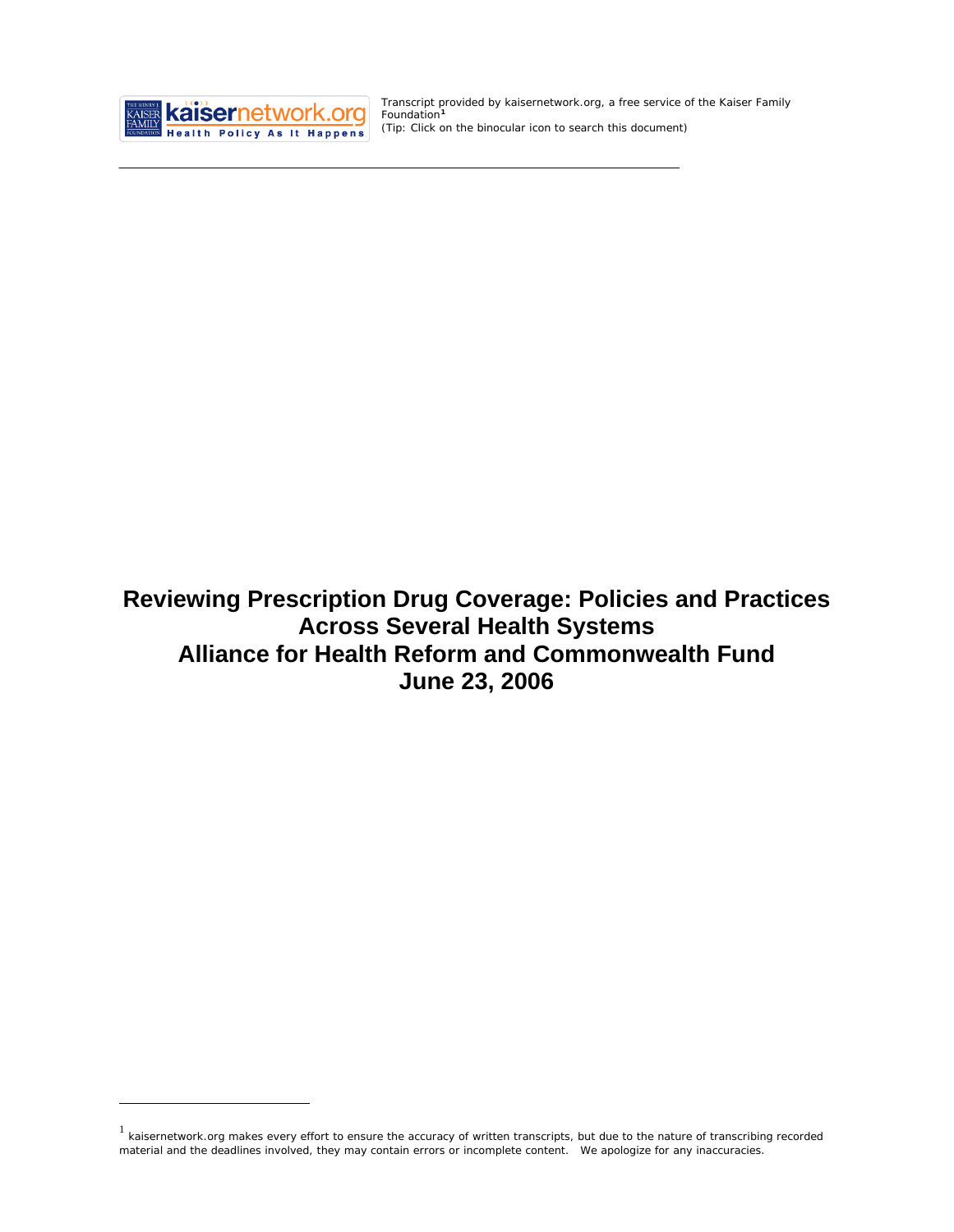

<u>.</u>

Transcript provided by kaisernetwork.org, a free service of the Kaiser Family Foundation**[1](#page-0-0)** *(Tip: Click on the binocular icon to search this document)* 

**Reviewing Prescription Drug Coverage: Policies and Practices Across Several Health Systems Alliance for Health Reform and Commonwealth Fund June 23, 2006**

<span id="page-0-0"></span> $1$  kaisernetwork.org makes every effort to ensure the accuracy of written transcripts, but due to the nature of transcribing recorded material and the deadlines involved, they may contain errors or incomplete content. We apologize for any inaccuracies.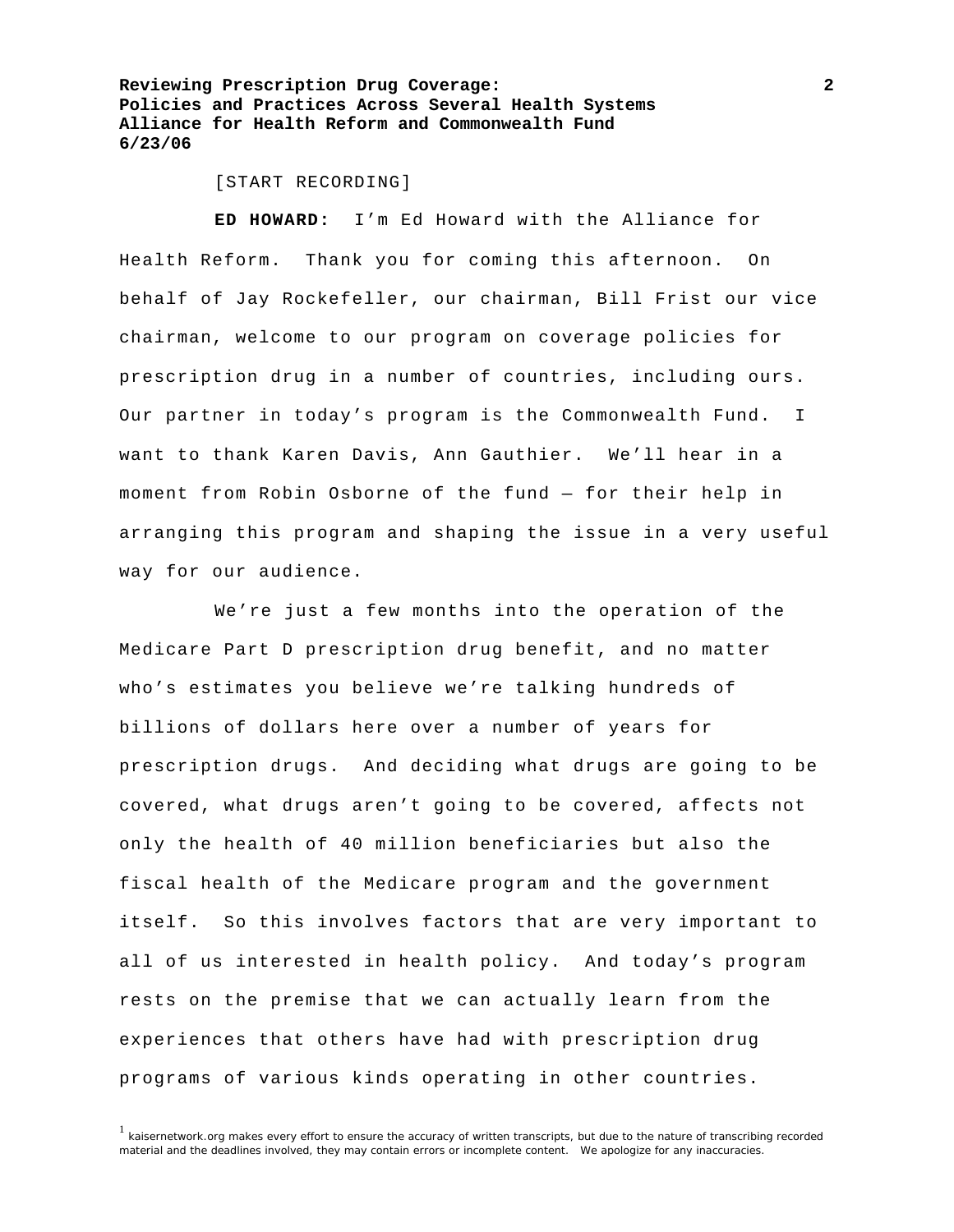[START RECORDING]

**ED HOWARD:** I'm Ed Howard with the Alliance for Health Reform. Thank you for coming this afternoon. On behalf of Jay Rockefeller, our chairman, Bill Frist our vice chairman, welcome to our program on coverage policies for prescription drug in a number of countries, including ours. Our partner in today's program is the Commonwealth Fund. I want to thank Karen Davis, Ann Gauthier. We'll hear in a moment from Robin Osborne of the fund — for their help in arranging this program and shaping the issue in a very useful way for our audience.

 We're just a few months into the operation of the Medicare Part D prescription drug benefit, and no matter who's estimates you believe we're talking hundreds of billions of dollars here over a number of years for prescription drugs. And deciding what drugs are going to be covered, what drugs aren't going to be covered, affects not only the health of 40 million beneficiaries but also the fiscal health of the Medicare program and the government itself. So this involves factors that are very important to all of us interested in health policy. And today's program rests on the premise that we can actually learn from the experiences that others have had with prescription drug programs of various kinds operating in other countries.

<sup>&</sup>lt;sup>1</sup> kaisernetwork.org makes every effort to ensure the accuracy of written transcripts, but due to the nature of transcribing recorded material and the deadlines involved, they may contain errors or incomplete content. We apologize for any inaccuracies.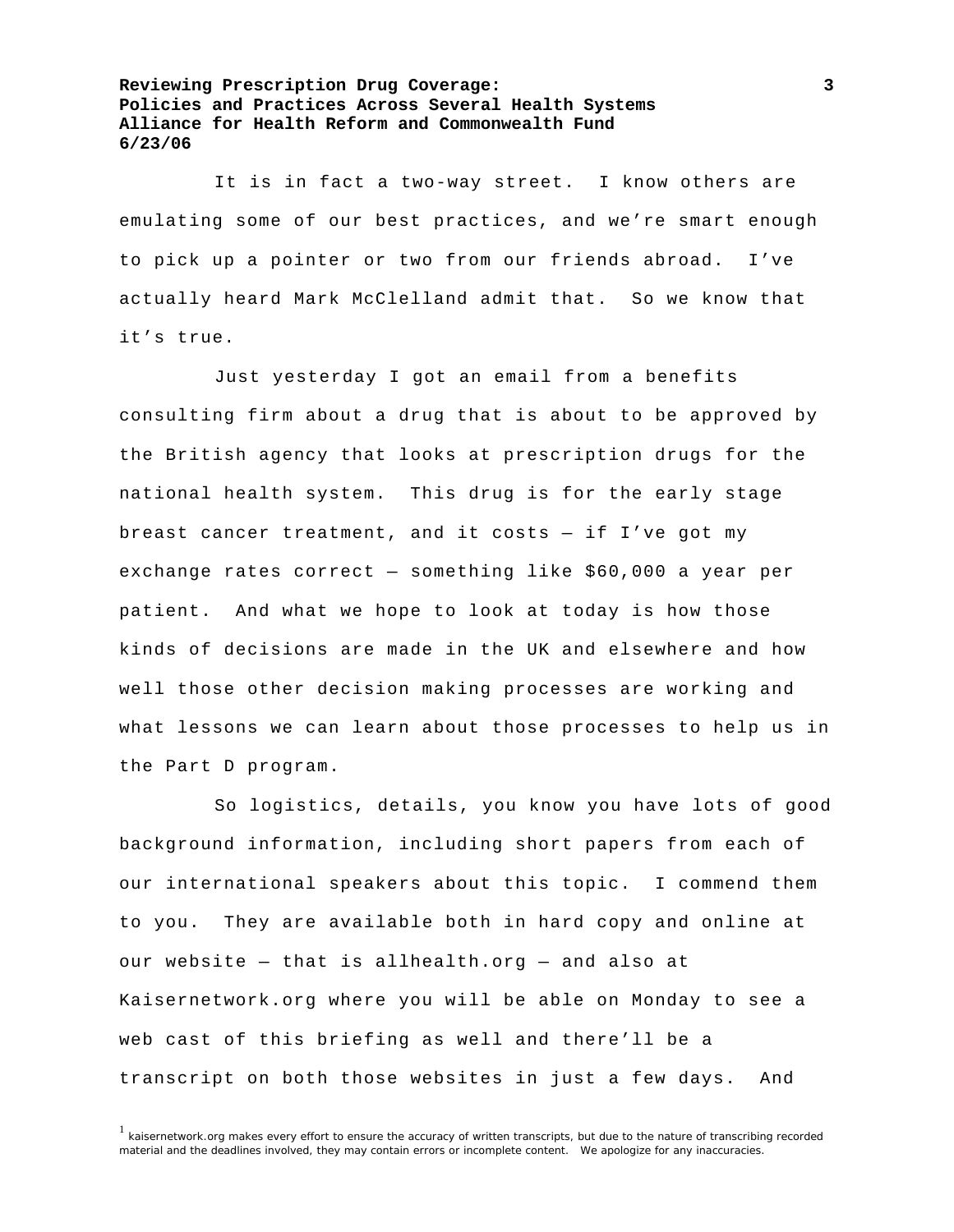It is in fact a two-way street. I know others are emulating some of our best practices, and we're smart enough to pick up a pointer or two from our friends abroad. I've actually heard Mark McClelland admit that. So we know that it's true.

 Just yesterday I got an email from a benefits consulting firm about a drug that is about to be approved by the British agency that looks at prescription drugs for the national health system. This drug is for the early stage breast cancer treatment, and it costs — if I've got my exchange rates correct — something like \$60,000 a year per patient. And what we hope to look at today is how those kinds of decisions are made in the UK and elsewhere and how well those other decision making processes are working and what lessons we can learn about those processes to help us in the Part D program.

 So logistics, details, you know you have lots of good background information, including short papers from each of our international speakers about this topic. I commend them to you. They are available both in hard copy and online at our website — that is allhealth.org — and also at Kaisernetwork.org where you will be able on Monday to see a web cast of this briefing as well and there'll be a transcript on both those websites in just a few days. And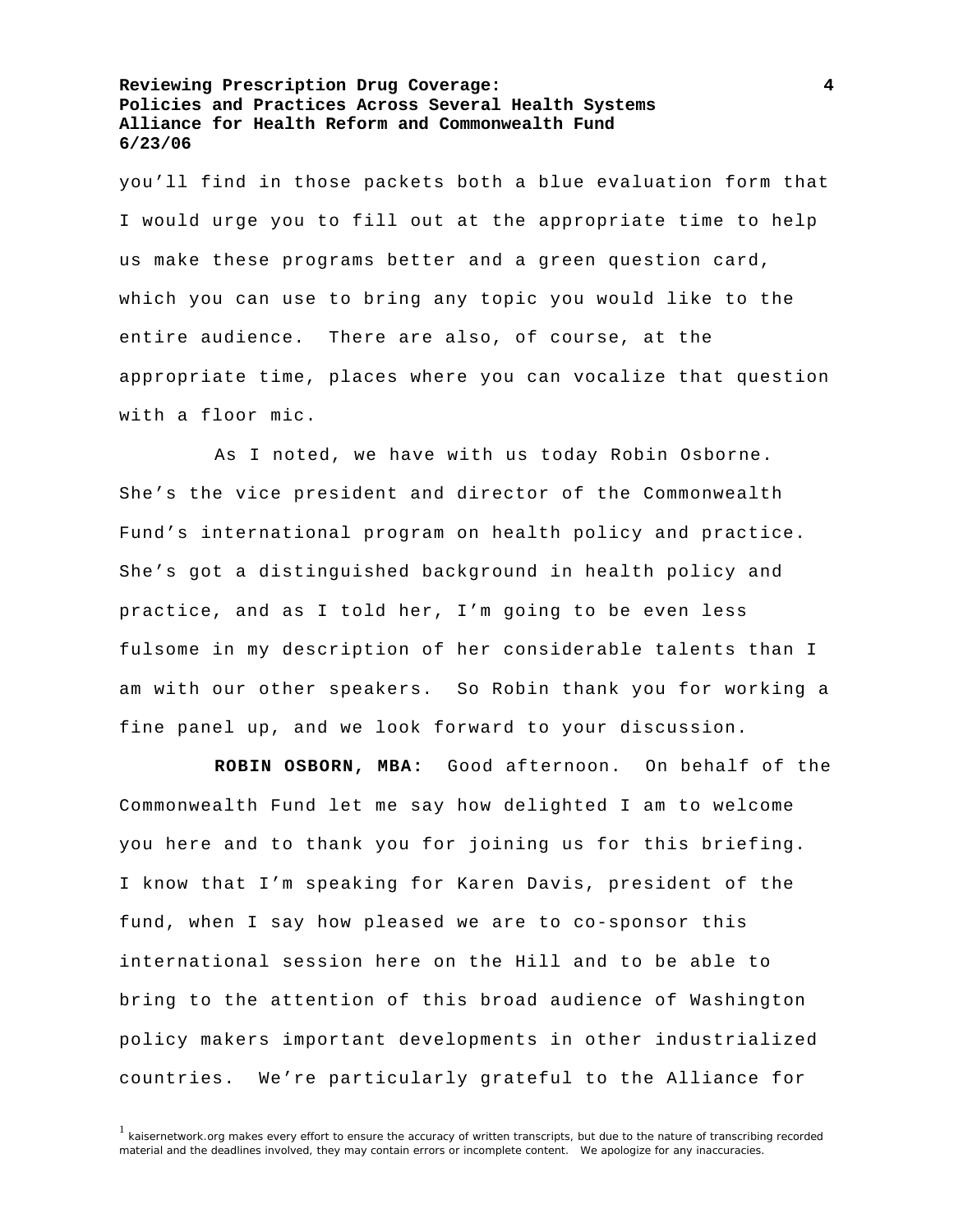you'll find in those packets both a blue evaluation form that I would urge you to fill out at the appropriate time to help us make these programs better and a green question card, which you can use to bring any topic you would like to the entire audience. There are also, of course, at the appropriate time, places where you can vocalize that question with a floor mic.

 As I noted, we have with us today Robin Osborne. She's the vice president and director of the Commonwealth Fund's international program on health policy and practice. She's got a distinguished background in health policy and practice, and as I told her, I'm going to be even less fulsome in my description of her considerable talents than I am with our other speakers. So Robin thank you for working a fine panel up, and we look forward to your discussion.

**ROBIN OSBORN, MBA:** Good afternoon. On behalf of the Commonwealth Fund let me say how delighted I am to welcome you here and to thank you for joining us for this briefing. I know that I'm speaking for Karen Davis, president of the fund, when I say how pleased we are to co-sponsor this international session here on the Hill and to be able to bring to the attention of this broad audience of Washington policy makers important developments in other industrialized countries. We're particularly grateful to the Alliance for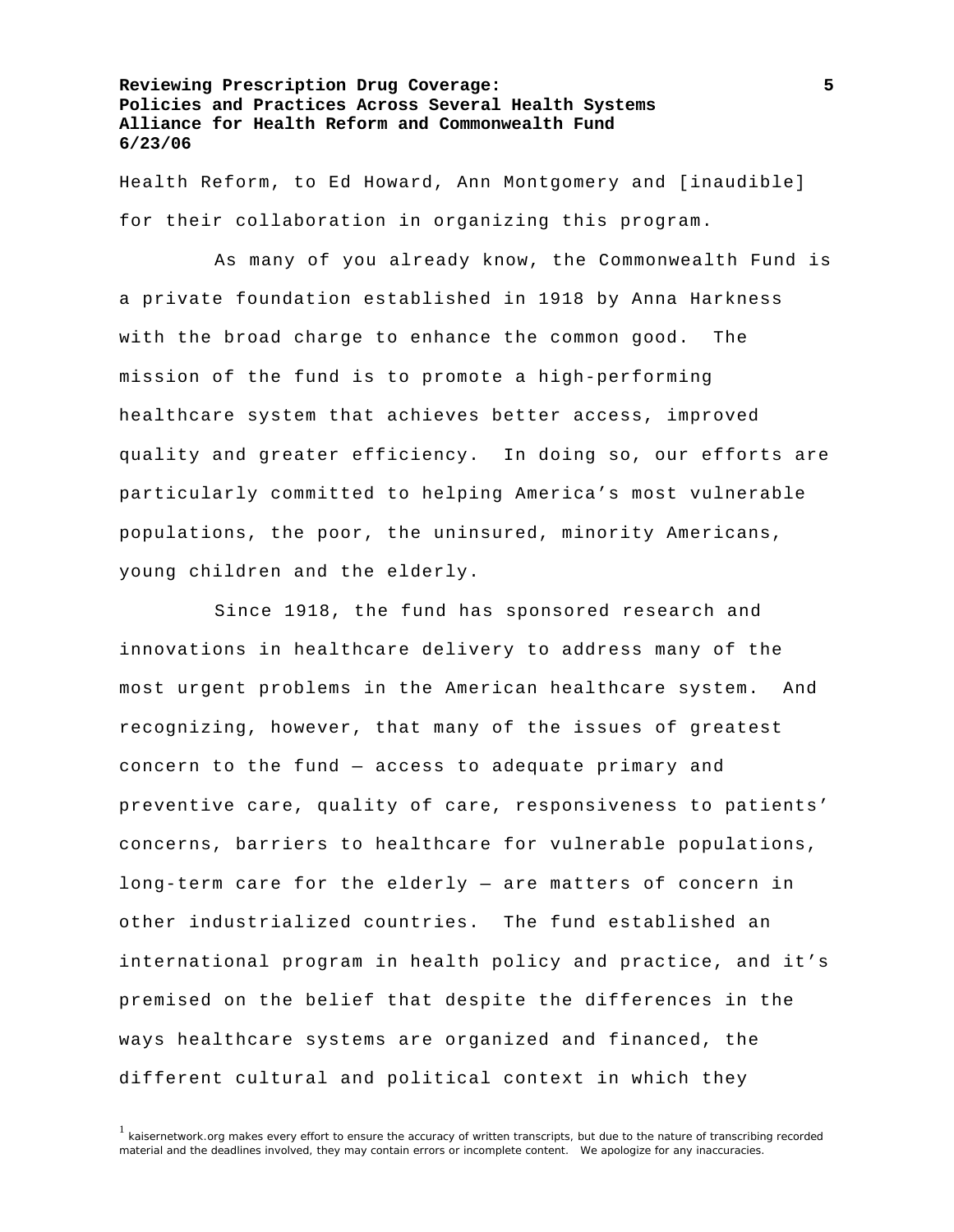Health Reform, to Ed Howard, Ann Montgomery and [inaudible] for their collaboration in organizing this program.

 As many of you already know, the Commonwealth Fund is a private foundation established in 1918 by Anna Harkness with the broad charge to enhance the common good. The mission of the fund is to promote a high-performing healthcare system that achieves better access, improved quality and greater efficiency. In doing so, our efforts are particularly committed to helping America's most vulnerable populations, the poor, the uninsured, minority Americans, young children and the elderly.

 Since 1918, the fund has sponsored research and innovations in healthcare delivery to address many of the most urgent problems in the American healthcare system. And recognizing, however, that many of the issues of greatest concern to the fund — access to adequate primary and preventive care, quality of care, responsiveness to patients' concerns, barriers to healthcare for vulnerable populations, long-term care for the elderly — are matters of concern in other industrialized countries. The fund established an international program in health policy and practice, and it's premised on the belief that despite the differences in the ways healthcare systems are organized and financed, the different cultural and political context in which they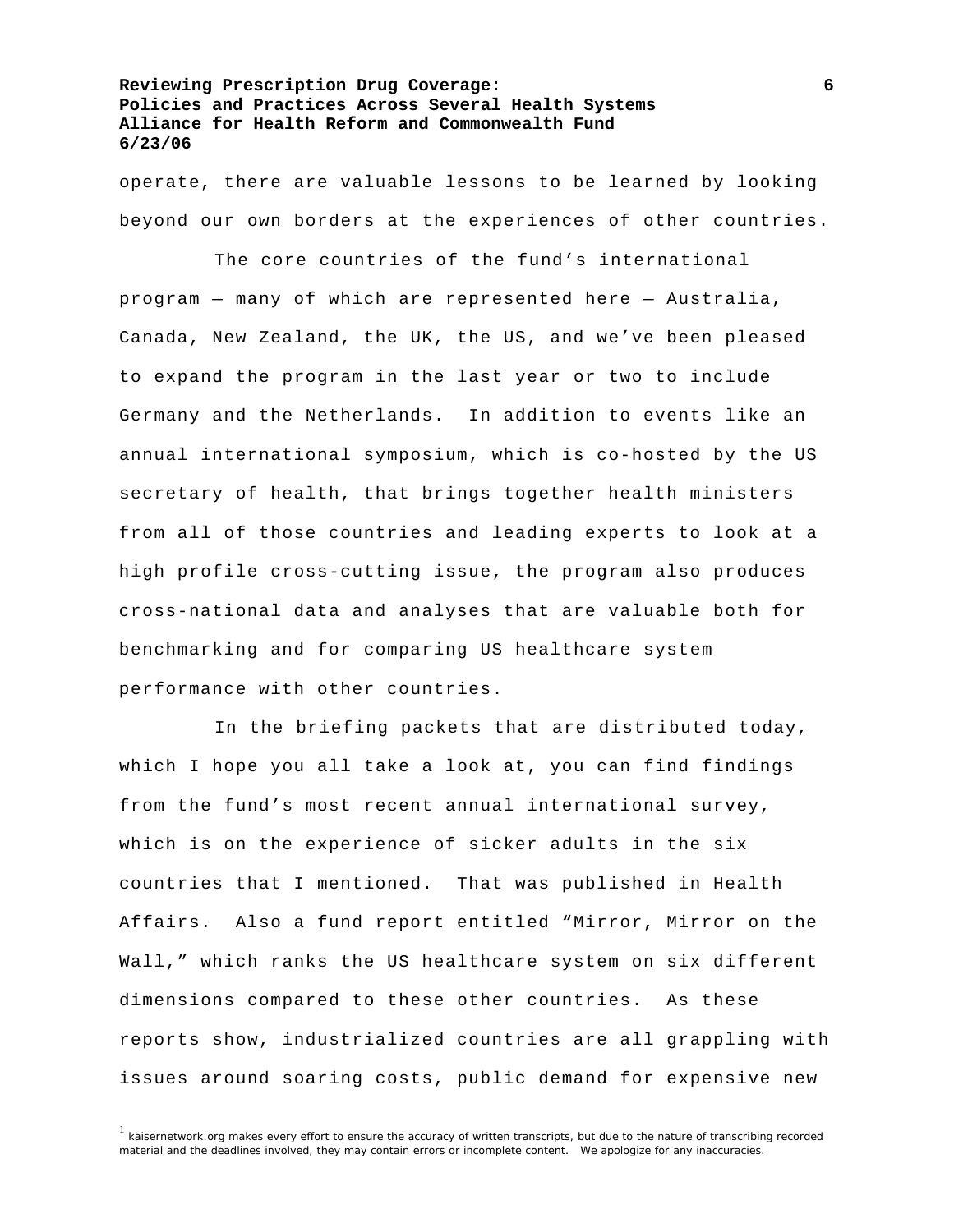operate, there are valuable lessons to be learned by looking beyond our own borders at the experiences of other countries.

 The core countries of the fund's international program — many of which are represented here — Australia, Canada, New Zealand, the UK, the US, and we've been pleased to expand the program in the last year or two to include Germany and the Netherlands. In addition to events like an annual international symposium, which is co-hosted by the US secretary of health, that brings together health ministers from all of those countries and leading experts to look at a high profile cross-cutting issue, the program also produces cross-national data and analyses that are valuable both for benchmarking and for comparing US healthcare system performance with other countries.

 In the briefing packets that are distributed today, which I hope you all take a look at, you can find findings from the fund's most recent annual international survey, which is on the experience of sicker adults in the six countries that I mentioned. That was published in Health Affairs. Also a fund report entitled "Mirror, Mirror on the Wall," which ranks the US healthcare system on six different dimensions compared to these other countries. As these reports show, industrialized countries are all grappling with issues around soaring costs, public demand for expensive new

 $1$  kaisernetwork.org makes every effort to ensure the accuracy of written transcripts, but due to the nature of transcribing recorded material and the deadlines involved, they may contain errors or incomplete content. We apologize for any inaccuracies.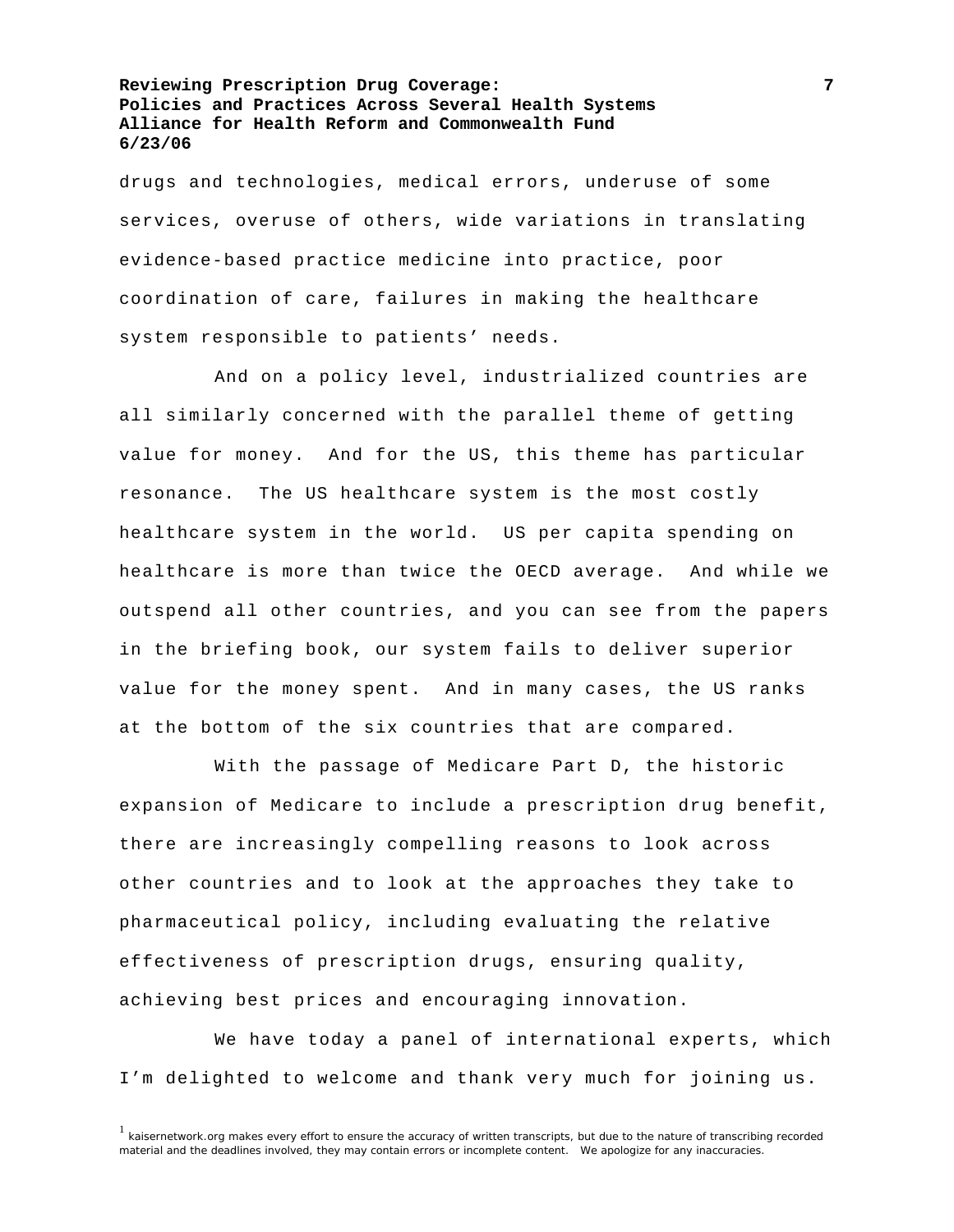drugs and technologies, medical errors, underuse of some services, overuse of others, wide variations in translating evidence-based practice medicine into practice, poor coordination of care, failures in making the healthcare system responsible to patients' needs.

 And on a policy level, industrialized countries are all similarly concerned with the parallel theme of getting value for money. And for the US, this theme has particular resonance. The US healthcare system is the most costly healthcare system in the world. US per capita spending on healthcare is more than twice the OECD average. And while we outspend all other countries, and you can see from the papers in the briefing book, our system fails to deliver superior value for the money spent. And in many cases, the US ranks at the bottom of the six countries that are compared.

 With the passage of Medicare Part D, the historic expansion of Medicare to include a prescription drug benefit, there are increasingly compelling reasons to look across other countries and to look at the approaches they take to pharmaceutical policy, including evaluating the relative effectiveness of prescription drugs, ensuring quality, achieving best prices and encouraging innovation.

 We have today a panel of international experts, which I'm delighted to welcome and thank very much for joining us.

 $1$  kaisernetwork.org makes every effort to ensure the accuracy of written transcripts, but due to the nature of transcribing recorded material and the deadlines involved, they may contain errors or incomplete content. We apologize for any inaccuracies.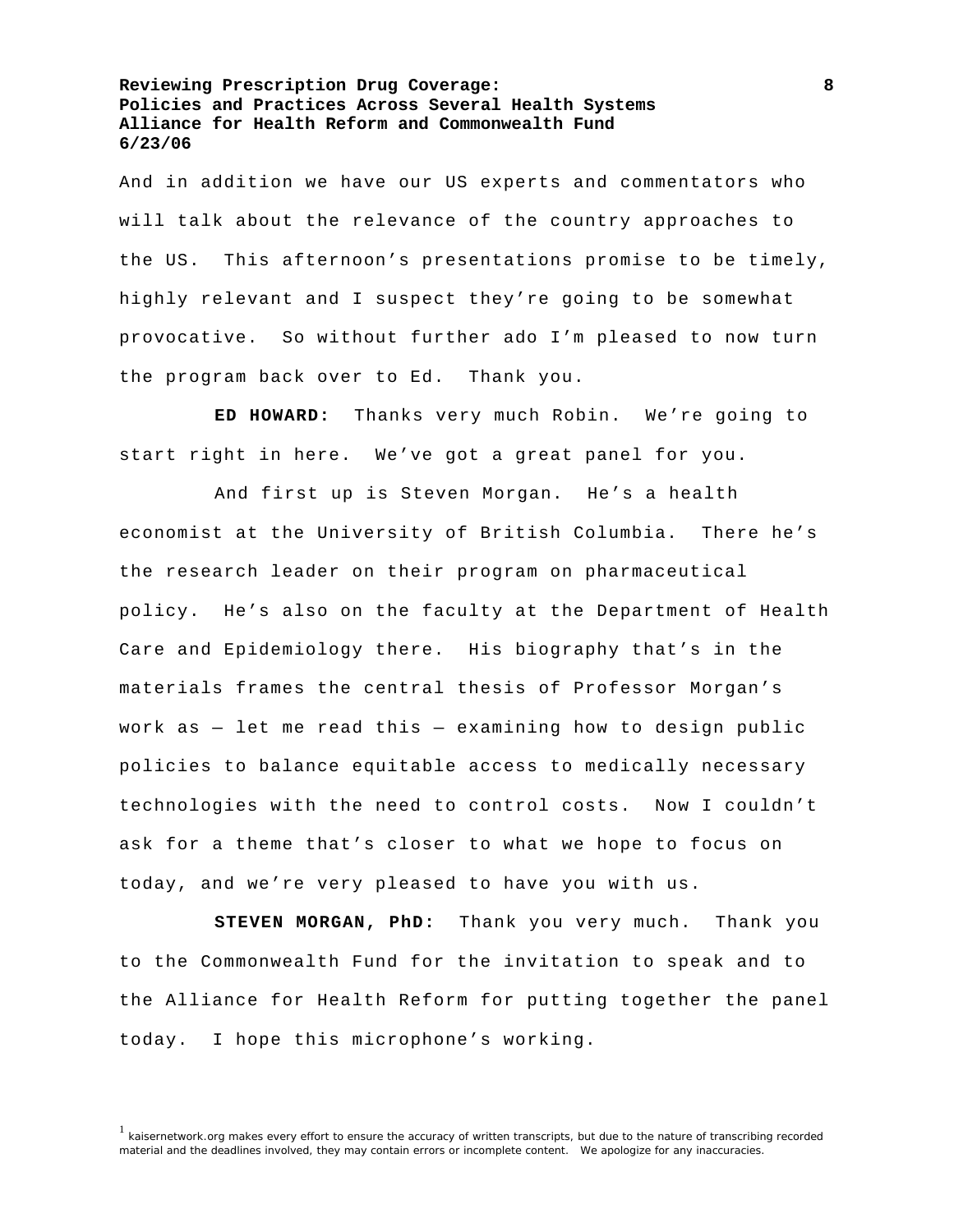And in addition we have our US experts and commentators who will talk about the relevance of the country approaches to the US. This afternoon's presentations promise to be timely, highly relevant and I suspect they're going to be somewhat provocative. So without further ado I'm pleased to now turn the program back over to Ed. Thank you.

**ED HOWARD:** Thanks very much Robin. We're going to start right in here. We've got a great panel for you.

 And first up is Steven Morgan. He's a health economist at the University of British Columbia. There he's the research leader on their program on pharmaceutical policy. He's also on the faculty at the Department of Health Care and Epidemiology there. His biography that's in the materials frames the central thesis of Professor Morgan's work as — let me read this — examining how to design public policies to balance equitable access to medically necessary technologies with the need to control costs. Now I couldn't ask for a theme that's closer to what we hope to focus on today, and we're very pleased to have you with us.

**STEVEN MORGAN, PhD:** Thank you very much. Thank you to the Commonwealth Fund for the invitation to speak and to the Alliance for Health Reform for putting together the panel today. I hope this microphone's working.

<sup>&</sup>lt;sup>1</sup> kaisernetwork.org makes every effort to ensure the accuracy of written transcripts, but due to the nature of transcribing recorded material and the deadlines involved, they may contain errors or incomplete content. We apologize for any inaccuracies.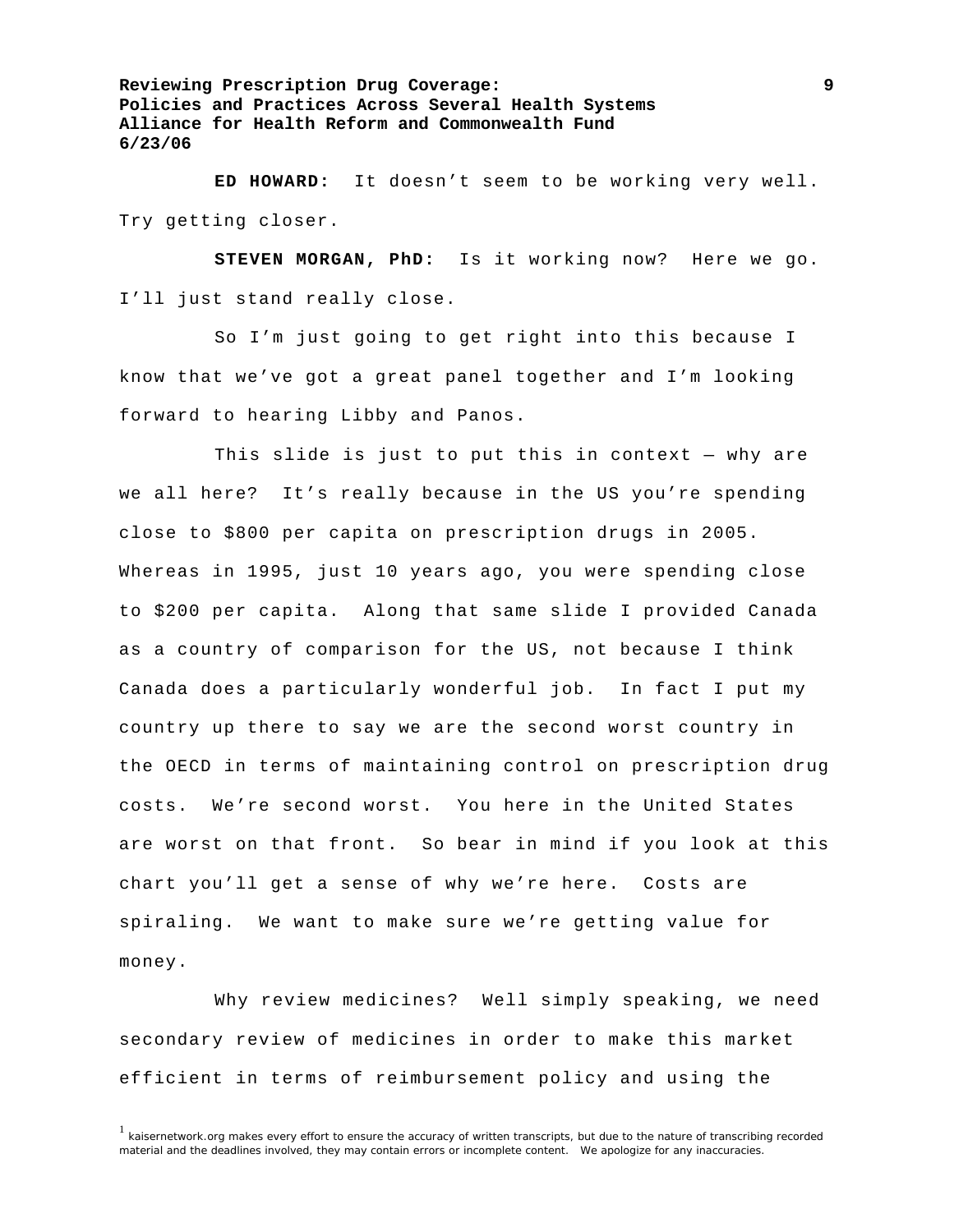**ED HOWARD:** It doesn't seem to be working very well. Try getting closer.

**STEVEN MORGAN, PhD:** Is it working now? Here we go. I'll just stand really close.

 So I'm just going to get right into this because I know that we've got a great panel together and I'm looking forward to hearing Libby and Panos.

This slide is just to put this in context  $-$  why are we all here? It's really because in the US you're spending close to \$800 per capita on prescription drugs in 2005. Whereas in 1995, just 10 years ago, you were spending close to \$200 per capita. Along that same slide I provided Canada as a country of comparison for the US, not because I think Canada does a particularly wonderful job. In fact I put my country up there to say we are the second worst country in the OECD in terms of maintaining control on prescription drug costs. We're second worst. You here in the United States are worst on that front. So bear in mind if you look at this chart you'll get a sense of why we're here. Costs are spiraling. We want to make sure we're getting value for money.

 Why review medicines? Well simply speaking, we need secondary review of medicines in order to make this market efficient in terms of reimbursement policy and using the

 $1$  kaisernetwork.org makes every effort to ensure the accuracy of written transcripts, but due to the nature of transcribing recorded material and the deadlines involved, they may contain errors or incomplete content. We apologize for any inaccuracies.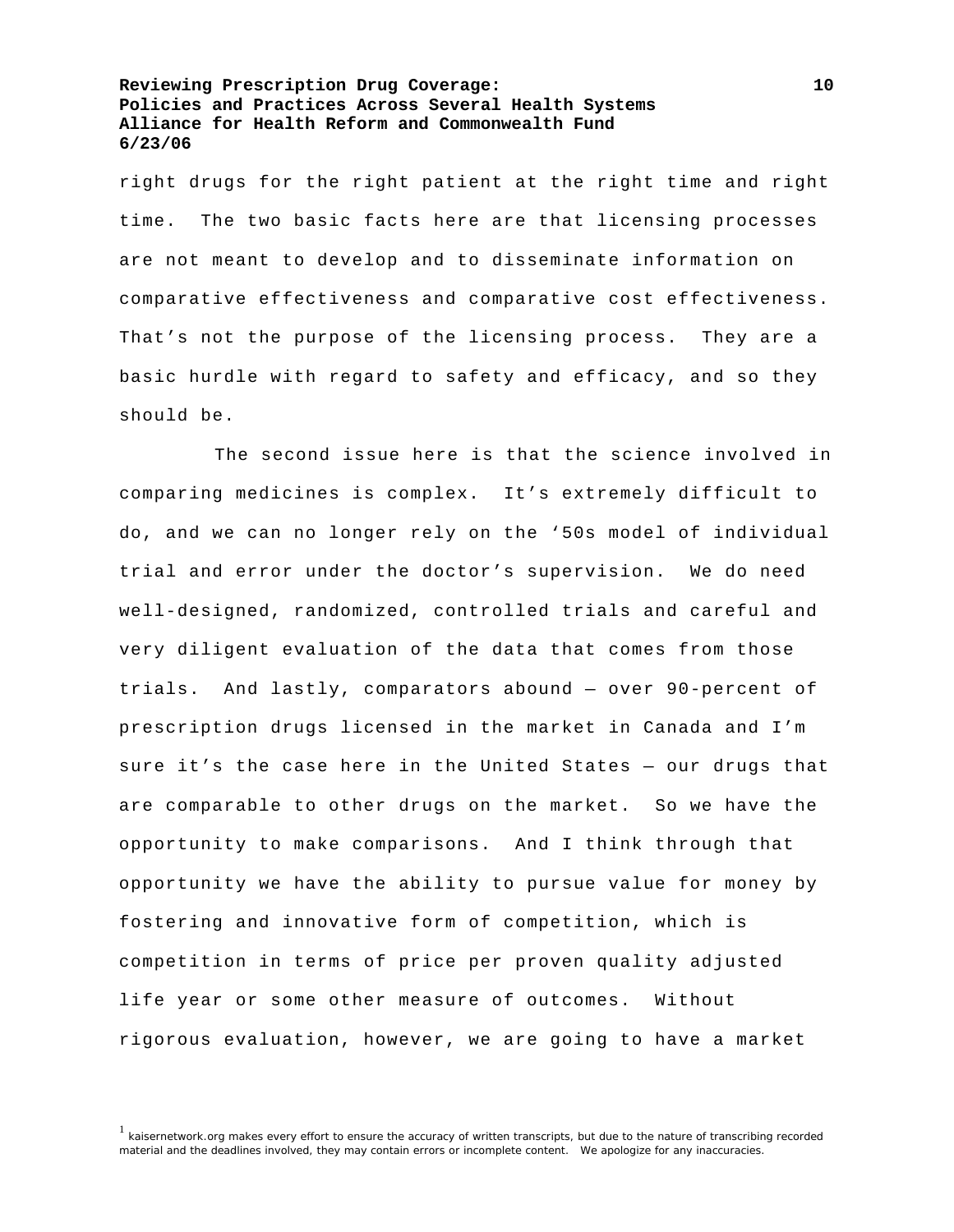right drugs for the right patient at the right time and right time. The two basic facts here are that licensing processes are not meant to develop and to disseminate information on comparative effectiveness and comparative cost effectiveness. That's not the purpose of the licensing process. They are a basic hurdle with regard to safety and efficacy, and so they should be.

 The second issue here is that the science involved in comparing medicines is complex. It's extremely difficult to do, and we can no longer rely on the '50s model of individual trial and error under the doctor's supervision. We do need well-designed, randomized, controlled trials and careful and very diligent evaluation of the data that comes from those trials. And lastly, comparators abound — over 90-percent of prescription drugs licensed in the market in Canada and I'm sure it's the case here in the United States — our drugs that are comparable to other drugs on the market. So we have the opportunity to make comparisons. And I think through that opportunity we have the ability to pursue value for money by fostering and innovative form of competition, which is competition in terms of price per proven quality adjusted life year or some other measure of outcomes. Without rigorous evaluation, however, we are going to have a market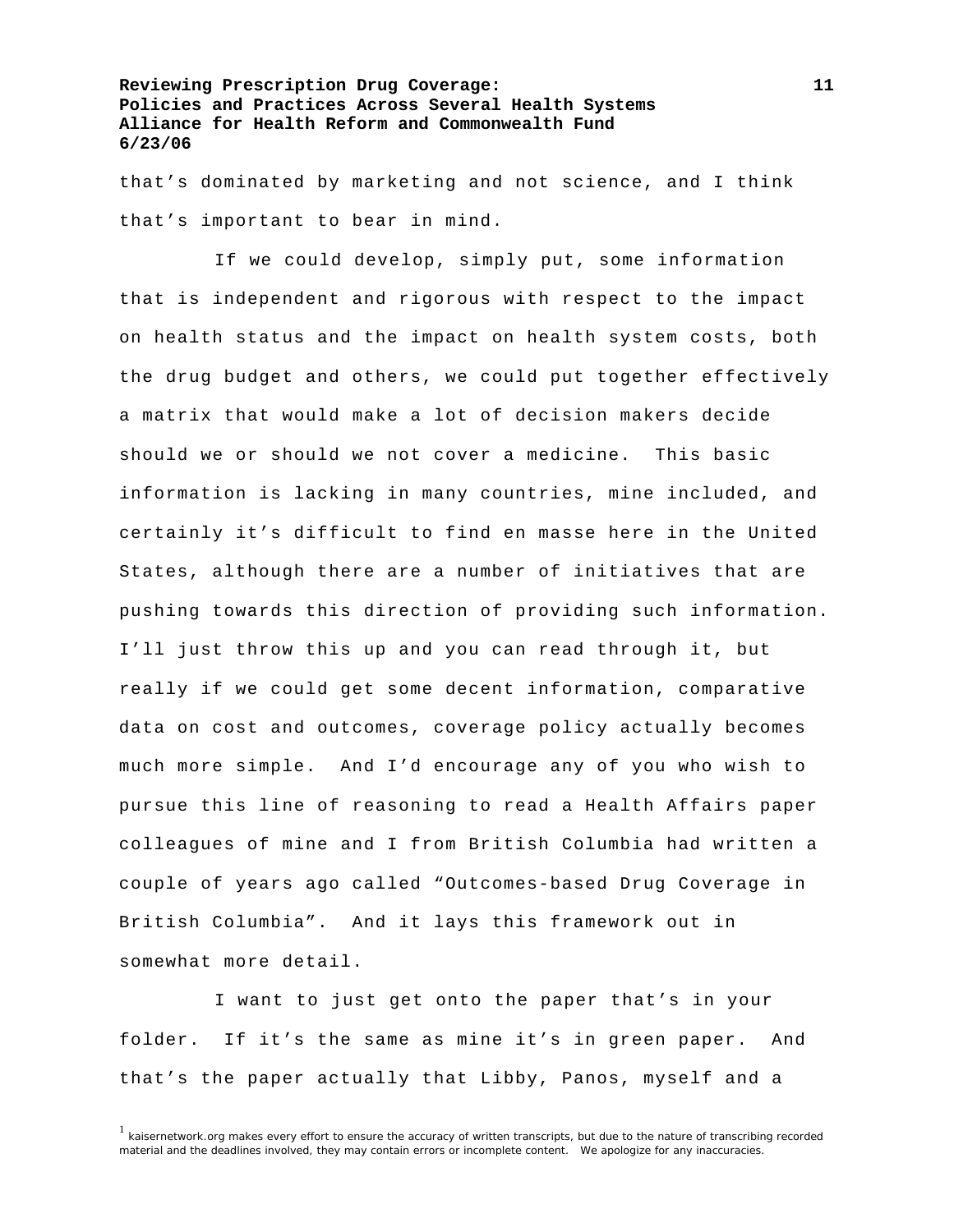that's dominated by marketing and not science, and I think that's important to bear in mind.

 If we could develop, simply put, some information that is independent and rigorous with respect to the impact on health status and the impact on health system costs, both the drug budget and others, we could put together effectively a matrix that would make a lot of decision makers decide should we or should we not cover a medicine. This basic information is lacking in many countries, mine included, and certainly it's difficult to find en masse here in the United States, although there are a number of initiatives that are pushing towards this direction of providing such information. I'll just throw this up and you can read through it, but really if we could get some decent information, comparative data on cost and outcomes, coverage policy actually becomes much more simple. And I'd encourage any of you who wish to pursue this line of reasoning to read a Health Affairs paper colleagues of mine and I from British Columbia had written a couple of years ago called "Outcomes-based Drug Coverage in British Columbia". And it lays this framework out in somewhat more detail.

 I want to just get onto the paper that's in your folder. If it's the same as mine it's in green paper. And that's the paper actually that Libby, Panos, myself and a

<sup>&</sup>lt;sup>1</sup> kaisernetwork.org makes every effort to ensure the accuracy of written transcripts, but due to the nature of transcribing recorded material and the deadlines involved, they may contain errors or incomplete content. We apologize for any inaccuracies.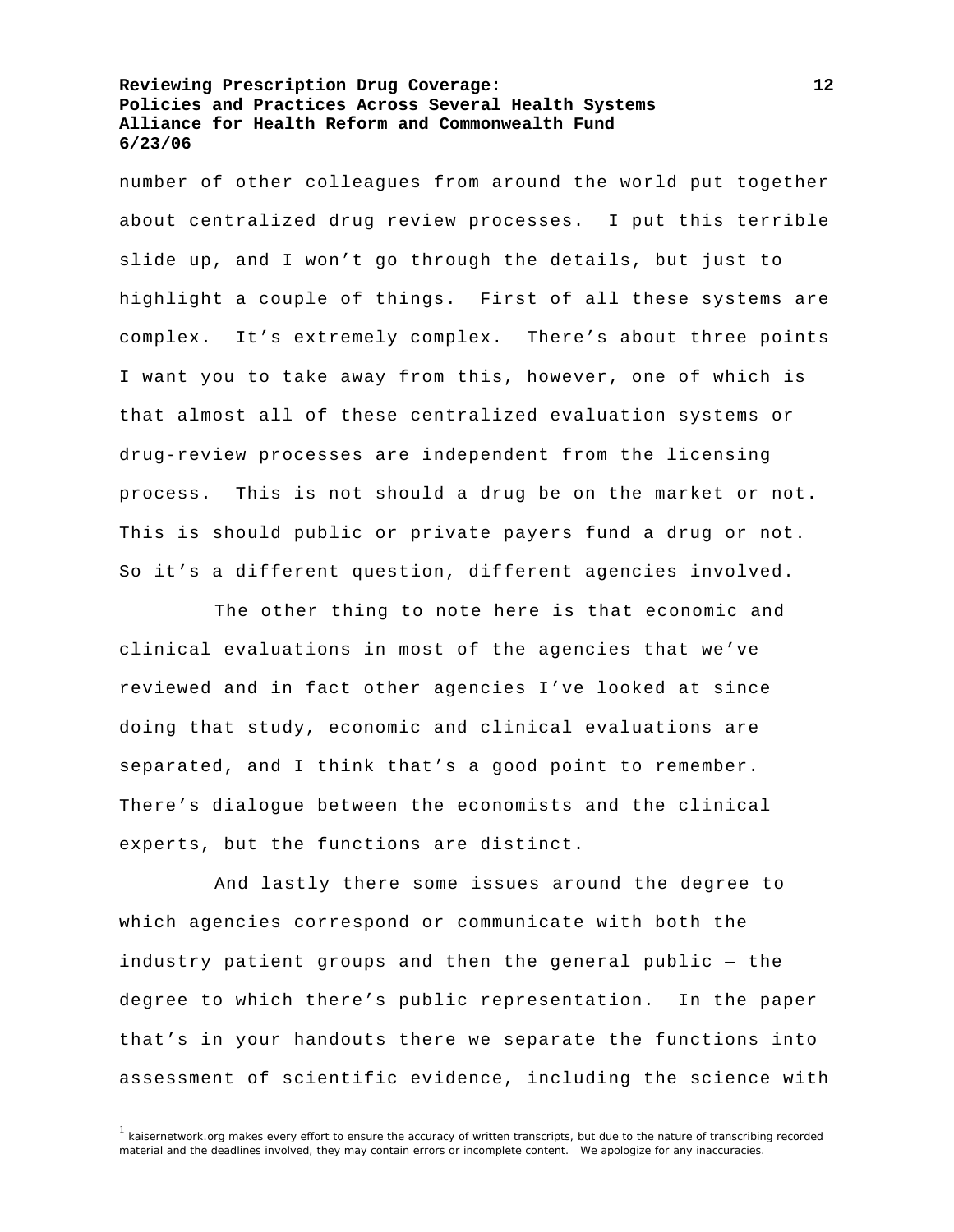number of other colleagues from around the world put together about centralized drug review processes. I put this terrible slide up, and I won't go through the details, but just to highlight a couple of things. First of all these systems are complex. It's extremely complex. There's about three points I want you to take away from this, however, one of which is that almost all of these centralized evaluation systems or drug-review processes are independent from the licensing process. This is not should a drug be on the market or not. This is should public or private payers fund a drug or not. So it's a different question, different agencies involved.

 The other thing to note here is that economic and clinical evaluations in most of the agencies that we've reviewed and in fact other agencies I've looked at since doing that study, economic and clinical evaluations are separated, and I think that's a good point to remember. There's dialogue between the economists and the clinical experts, but the functions are distinct.

 And lastly there some issues around the degree to which agencies correspond or communicate with both the industry patient groups and then the general public — the degree to which there's public representation. In the paper that's in your handouts there we separate the functions into assessment of scientific evidence, including the science with

 $1$  kaisernetwork.org makes every effort to ensure the accuracy of written transcripts, but due to the nature of transcribing recorded material and the deadlines involved, they may contain errors or incomplete content. We apologize for any inaccuracies.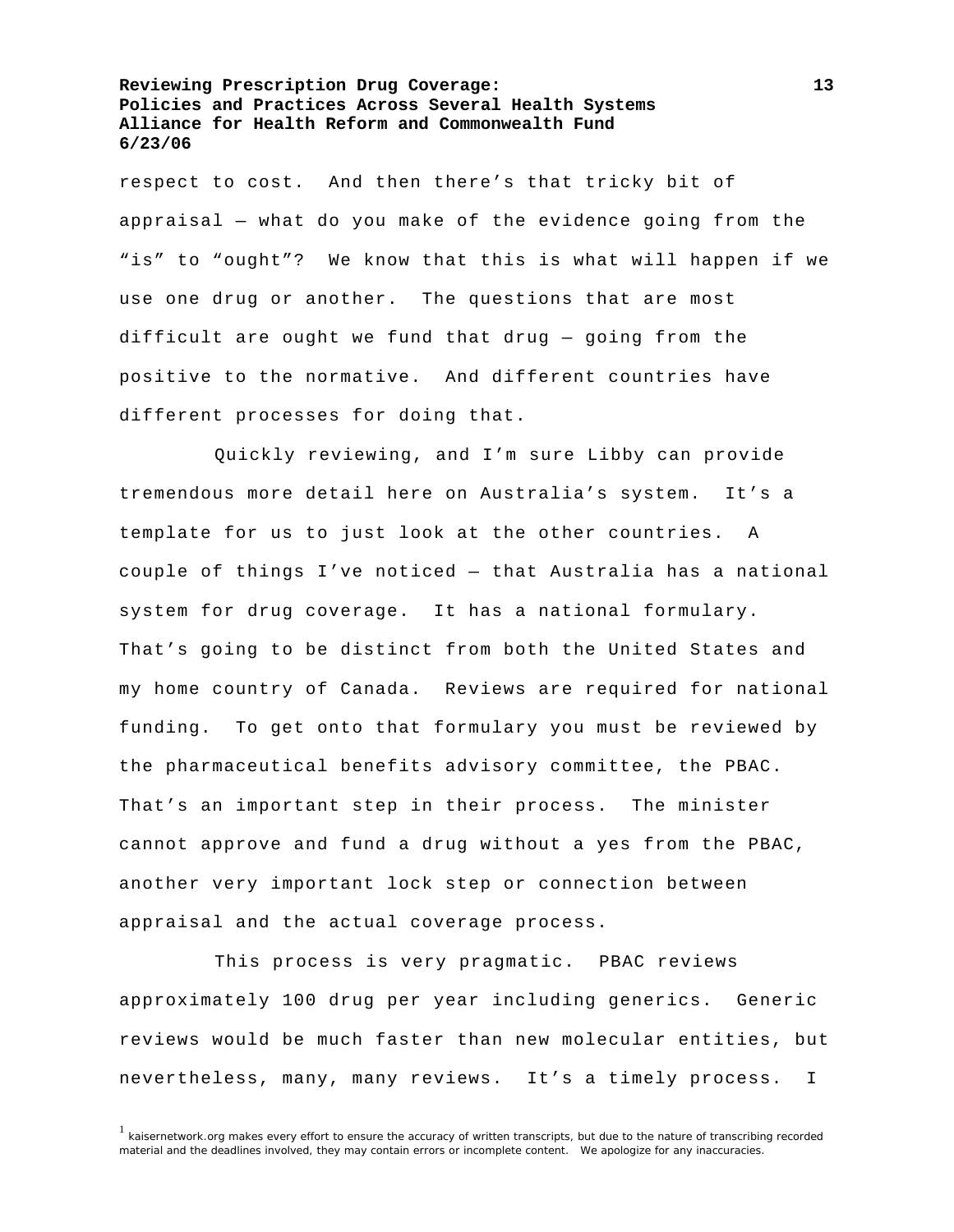respect to cost. And then there's that tricky bit of appraisal — what do you make of the evidence going from the "is" to "ought"? We know that this is what will happen if we use one drug or another. The questions that are most difficult are ought we fund that drug — going from the positive to the normative. And different countries have different processes for doing that.

 Quickly reviewing, and I'm sure Libby can provide tremendous more detail here on Australia's system. It's a template for us to just look at the other countries. A couple of things I've noticed — that Australia has a national system for drug coverage. It has a national formulary. That's going to be distinct from both the United States and my home country of Canada. Reviews are required for national funding. To get onto that formulary you must be reviewed by the pharmaceutical benefits advisory committee, the PBAC. That's an important step in their process. The minister cannot approve and fund a drug without a yes from the PBAC, another very important lock step or connection between appraisal and the actual coverage process.

 This process is very pragmatic. PBAC reviews approximately 100 drug per year including generics. Generic reviews would be much faster than new molecular entities, but nevertheless, many, many reviews. It's a timely process. I

 $1$  kaisernetwork.org makes every effort to ensure the accuracy of written transcripts, but due to the nature of transcribing recorded material and the deadlines involved, they may contain errors or incomplete content. We apologize for any inaccuracies.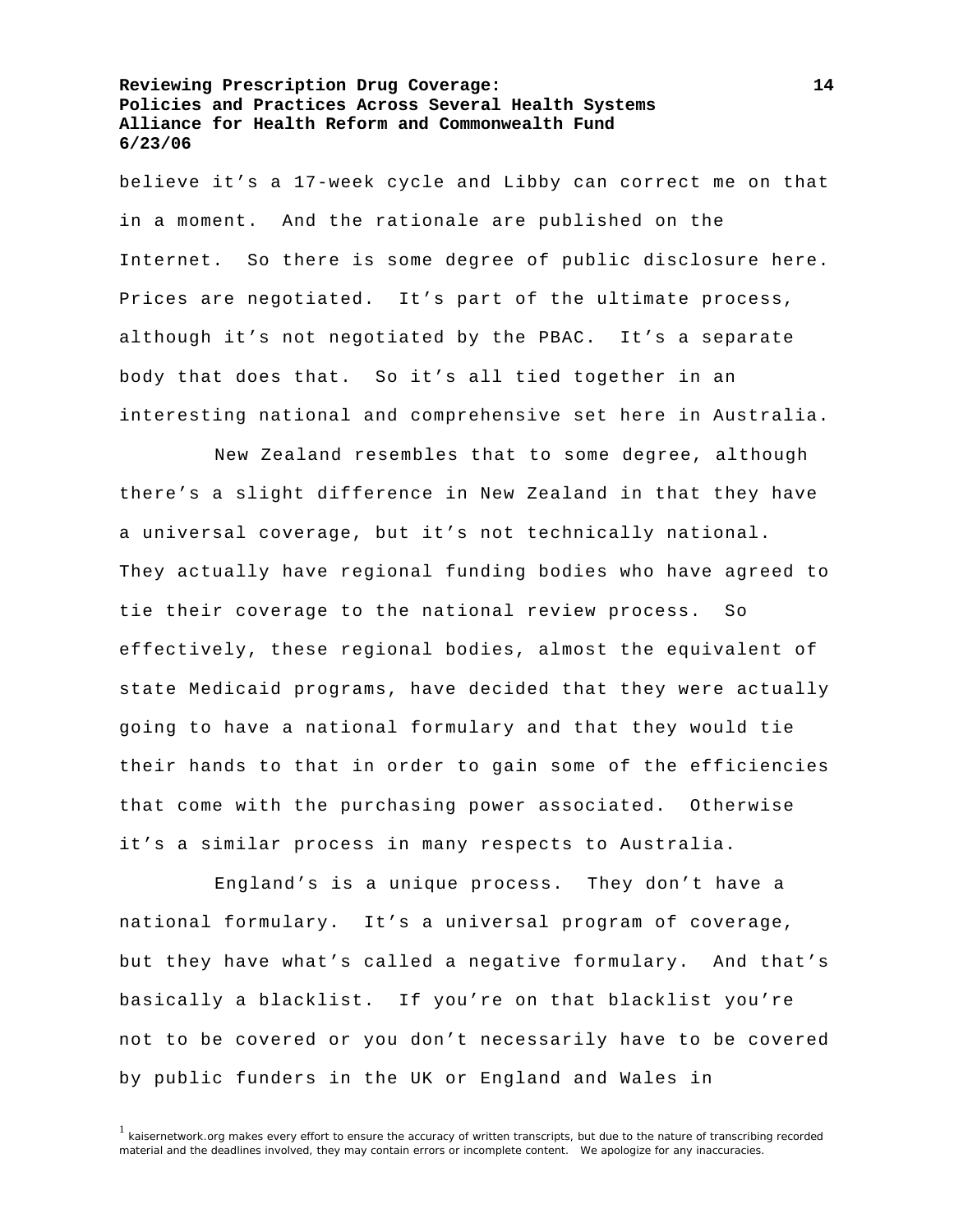believe it's a 17-week cycle and Libby can correct me on that in a moment. And the rationale are published on the Internet. So there is some degree of public disclosure here. Prices are negotiated. It's part of the ultimate process, although it's not negotiated by the PBAC. It's a separate body that does that. So it's all tied together in an interesting national and comprehensive set here in Australia.

 New Zealand resembles that to some degree, although there's a slight difference in New Zealand in that they have a universal coverage, but it's not technically national. They actually have regional funding bodies who have agreed to tie their coverage to the national review process. So effectively, these regional bodies, almost the equivalent of state Medicaid programs, have decided that they were actually going to have a national formulary and that they would tie their hands to that in order to gain some of the efficiencies that come with the purchasing power associated. Otherwise it's a similar process in many respects to Australia.

 England's is a unique process. They don't have a national formulary. It's a universal program of coverage, but they have what's called a negative formulary. And that's basically a blacklist. If you're on that blacklist you're not to be covered or you don't necessarily have to be covered by public funders in the UK or England and Wales in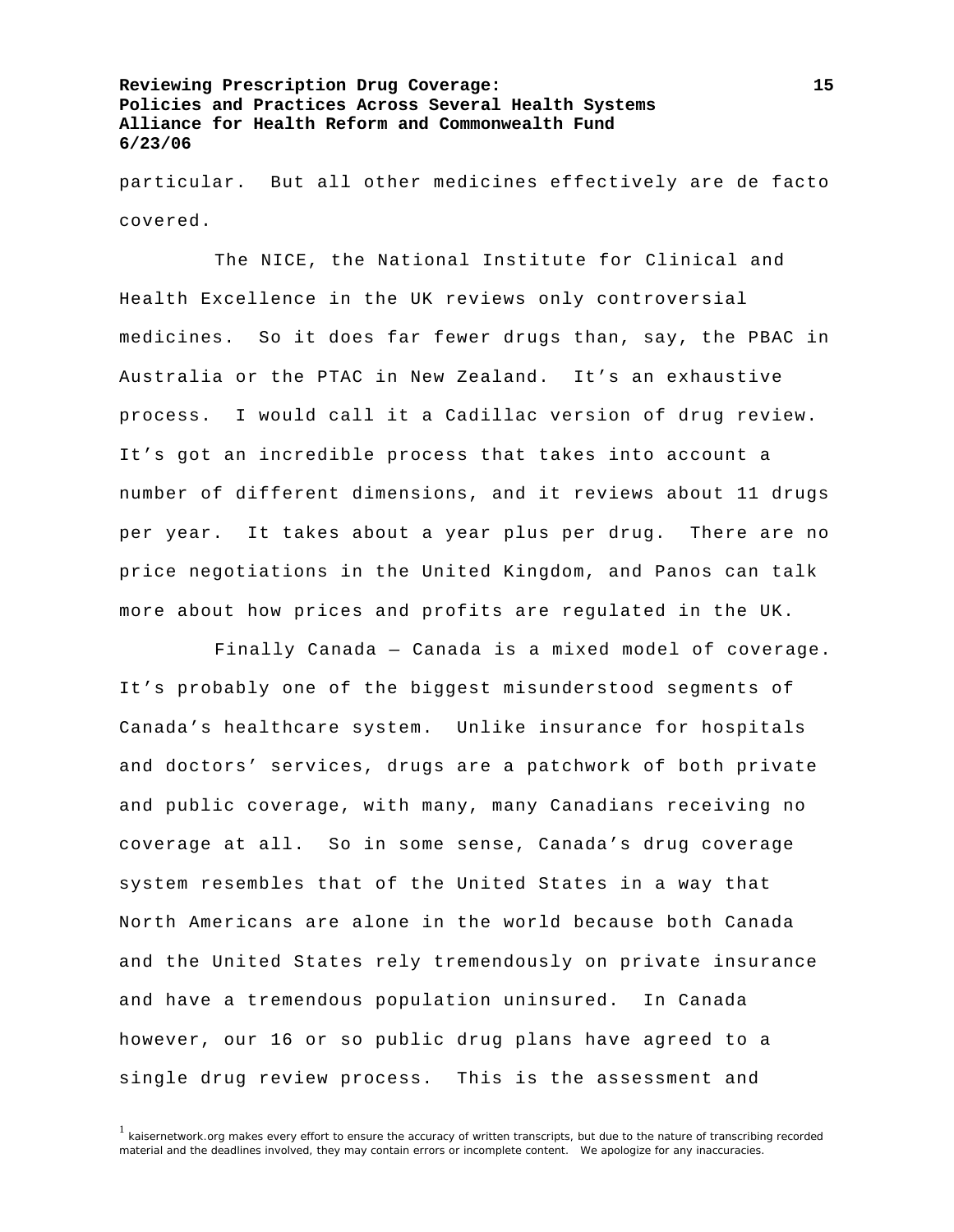particular. But all other medicines effectively are de facto covered.

 The NICE, the National Institute for Clinical and Health Excellence in the UK reviews only controversial medicines. So it does far fewer drugs than, say, the PBAC in Australia or the PTAC in New Zealand. It's an exhaustive process. I would call it a Cadillac version of drug review. It's got an incredible process that takes into account a number of different dimensions, and it reviews about 11 drugs per year. It takes about a year plus per drug. There are no price negotiations in the United Kingdom, and Panos can talk more about how prices and profits are regulated in the UK.

 Finally Canada — Canada is a mixed model of coverage. It's probably one of the biggest misunderstood segments of Canada's healthcare system. Unlike insurance for hospitals and doctors' services, drugs are a patchwork of both private and public coverage, with many, many Canadians receiving no coverage at all. So in some sense, Canada's drug coverage system resembles that of the United States in a way that North Americans are alone in the world because both Canada and the United States rely tremendously on private insurance and have a tremendous population uninsured. In Canada however, our 16 or so public drug plans have agreed to a single drug review process. This is the assessment and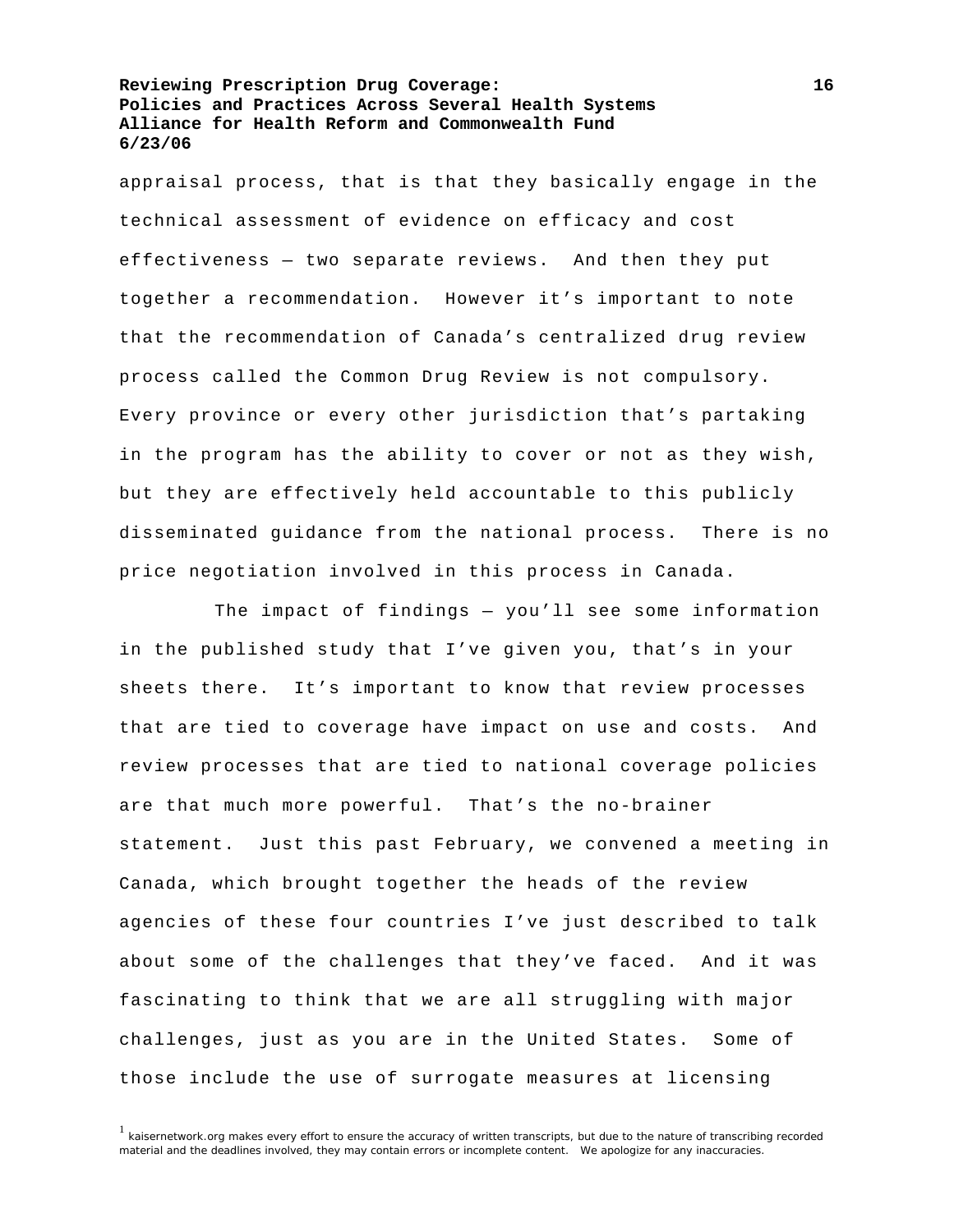appraisal process, that is that they basically engage in the technical assessment of evidence on efficacy and cost effectiveness — two separate reviews. And then they put together a recommendation. However it's important to note that the recommendation of Canada's centralized drug review process called the Common Drug Review is not compulsory. Every province or every other jurisdiction that's partaking in the program has the ability to cover or not as they wish, but they are effectively held accountable to this publicly disseminated guidance from the national process. There is no price negotiation involved in this process in Canada.

 The impact of findings — you'll see some information in the published study that I've given you, that's in your sheets there. It's important to know that review processes that are tied to coverage have impact on use and costs. And review processes that are tied to national coverage policies are that much more powerful. That's the no-brainer statement. Just this past February, we convened a meeting in Canada, which brought together the heads of the review agencies of these four countries I've just described to talk about some of the challenges that they've faced. And it was fascinating to think that we are all struggling with major challenges, just as you are in the United States. Some of those include the use of surrogate measures at licensing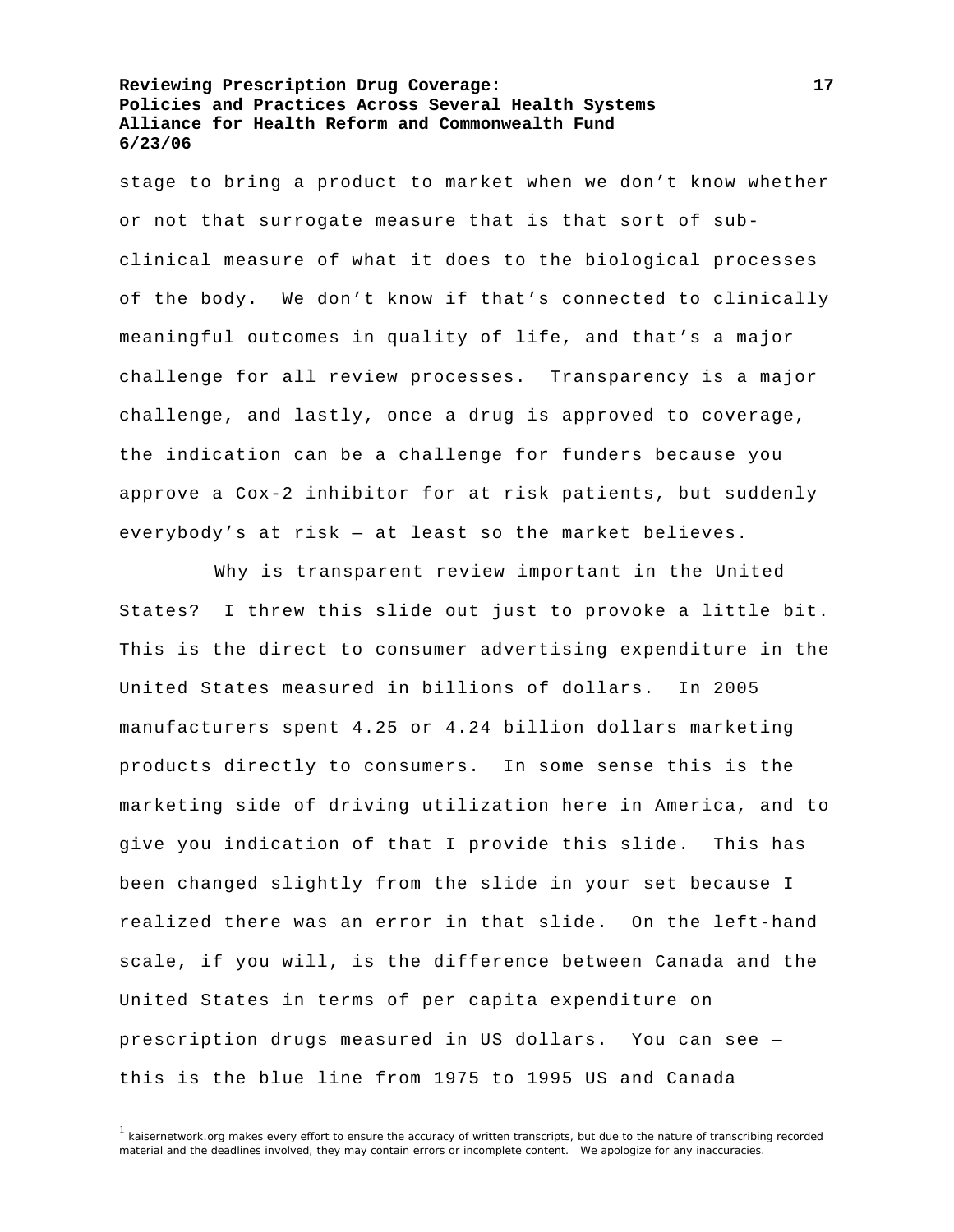stage to bring a product to market when we don't know whether or not that surrogate measure that is that sort of subclinical measure of what it does to the biological processes of the body. We don't know if that's connected to clinically meaningful outcomes in quality of life, and that's a major challenge for all review processes. Transparency is a major challenge, and lastly, once a drug is approved to coverage, the indication can be a challenge for funders because you approve a Cox-2 inhibitor for at risk patients, but suddenly everybody's at risk — at least so the market believes.

 Why is transparent review important in the United States? I threw this slide out just to provoke a little bit. This is the direct to consumer advertising expenditure in the United States measured in billions of dollars. In 2005 manufacturers spent 4.25 or 4.24 billion dollars marketing products directly to consumers. In some sense this is the marketing side of driving utilization here in America, and to give you indication of that I provide this slide. This has been changed slightly from the slide in your set because I realized there was an error in that slide. On the left-hand scale, if you will, is the difference between Canada and the United States in terms of per capita expenditure on prescription drugs measured in US dollars. You can see this is the blue line from 1975 to 1995 US and Canada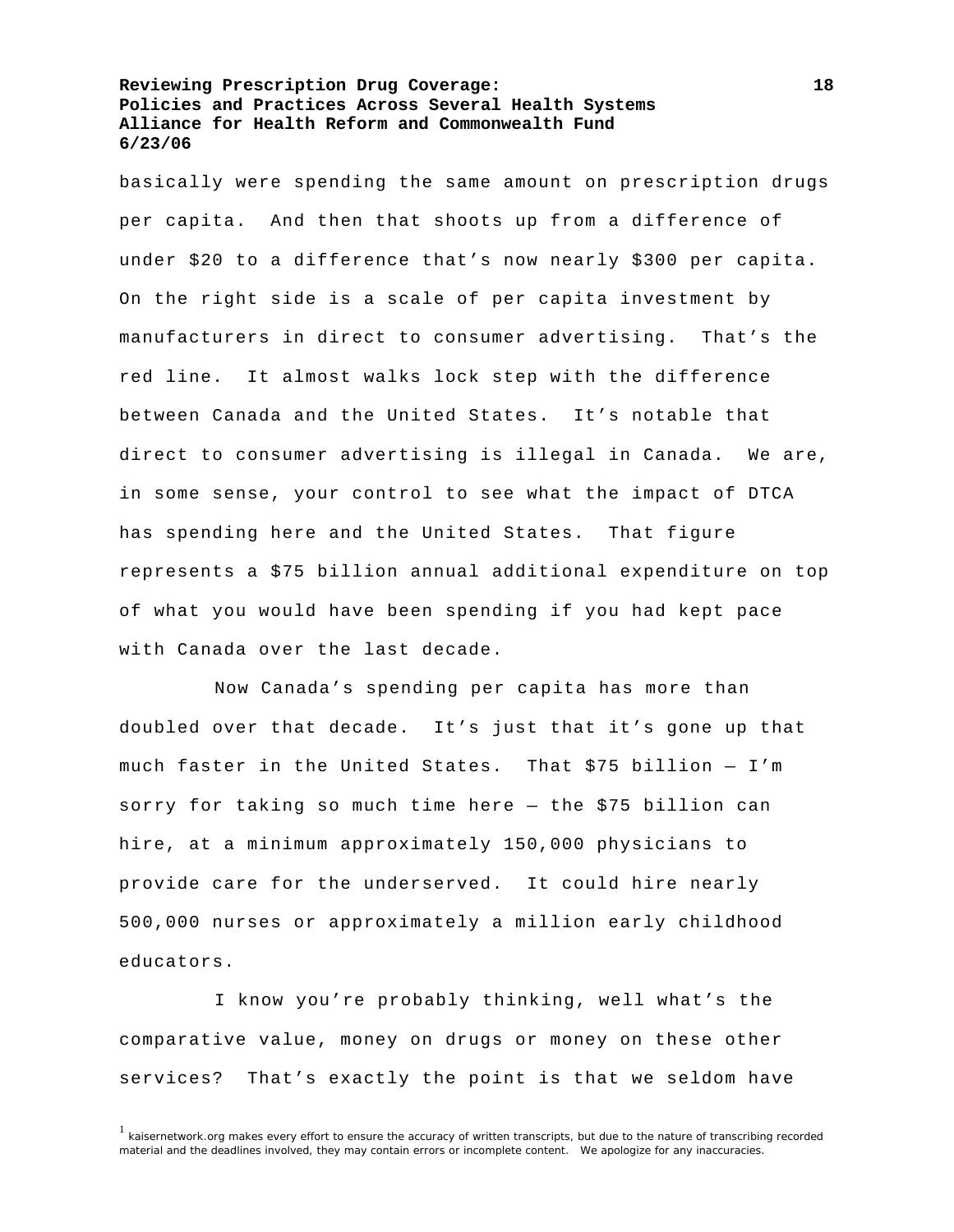basically were spending the same amount on prescription drugs per capita. And then that shoots up from a difference of under \$20 to a difference that's now nearly \$300 per capita. On the right side is a scale of per capita investment by manufacturers in direct to consumer advertising. That's the red line. It almost walks lock step with the difference between Canada and the United States. It's notable that direct to consumer advertising is illegal in Canada. We are, in some sense, your control to see what the impact of DTCA has spending here and the United States. That figure represents a \$75 billion annual additional expenditure on top of what you would have been spending if you had kept pace with Canada over the last decade.

 Now Canada's spending per capita has more than doubled over that decade. It's just that it's gone up that much faster in the United States. That \$75 billion — I'm sorry for taking so much time here — the \$75 billion can hire, at a minimum approximately 150,000 physicians to provide care for the underserved. It could hire nearly 500,000 nurses or approximately a million early childhood educators.

 I know you're probably thinking, well what's the comparative value, money on drugs or money on these other services? That's exactly the point is that we seldom have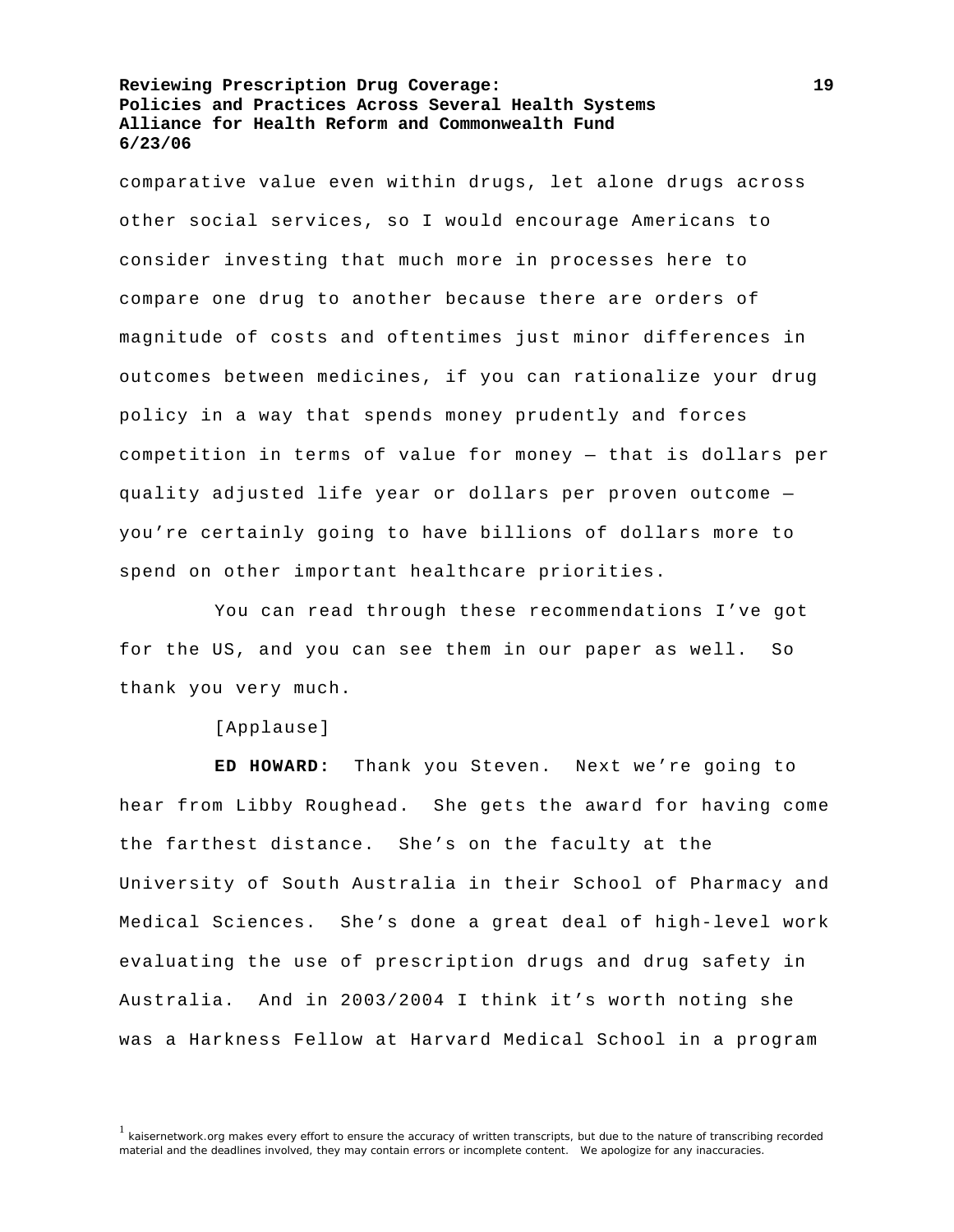comparative value even within drugs, let alone drugs across other social services, so I would encourage Americans to consider investing that much more in processes here to compare one drug to another because there are orders of magnitude of costs and oftentimes just minor differences in outcomes between medicines, if you can rationalize your drug policy in a way that spends money prudently and forces competition in terms of value for money — that is dollars per quality adjusted life year or dollars per proven outcome you're certainly going to have billions of dollars more to spend on other important healthcare priorities.

 You can read through these recommendations I've got for the US, and you can see them in our paper as well. So thank you very much.

## [Applause]

**ED HOWARD:** Thank you Steven. Next we're going to hear from Libby Roughead. She gets the award for having come the farthest distance. She's on the faculty at the University of South Australia in their School of Pharmacy and Medical Sciences. She's done a great deal of high-level work evaluating the use of prescription drugs and drug safety in Australia. And in 2003/2004 I think it's worth noting she was a Harkness Fellow at Harvard Medical School in a program

<sup>&</sup>lt;sup>1</sup> kaisernetwork.org makes every effort to ensure the accuracy of written transcripts, but due to the nature of transcribing recorded material and the deadlines involved, they may contain errors or incomplete content. We apologize for any inaccuracies.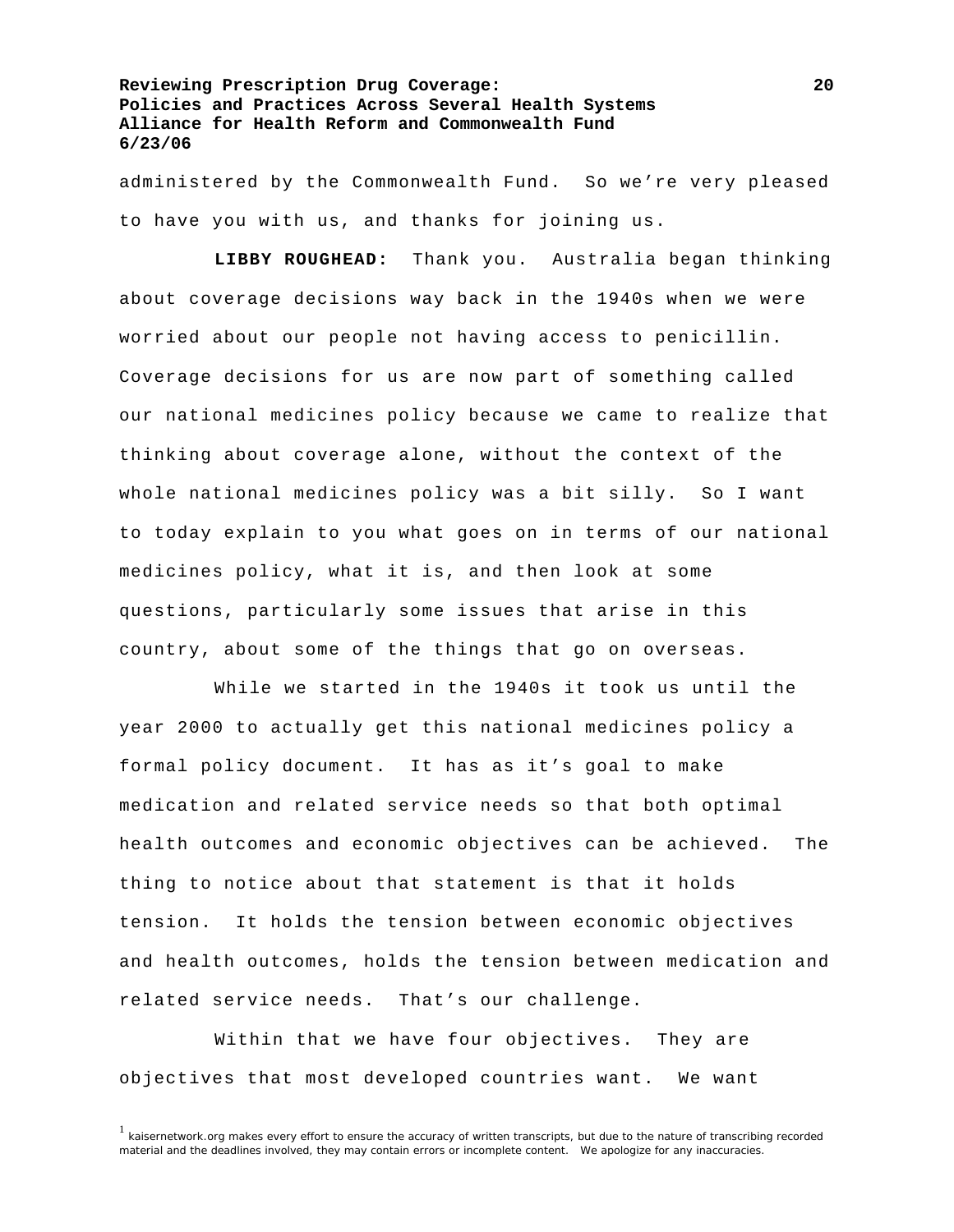administered by the Commonwealth Fund. So we're very pleased to have you with us, and thanks for joining us.

**LIBBY ROUGHEAD:** Thank you. Australia began thinking about coverage decisions way back in the 1940s when we were worried about our people not having access to penicillin. Coverage decisions for us are now part of something called our national medicines policy because we came to realize that thinking about coverage alone, without the context of the whole national medicines policy was a bit silly. So I want to today explain to you what goes on in terms of our national medicines policy, what it is, and then look at some questions, particularly some issues that arise in this country, about some of the things that go on overseas.

 While we started in the 1940s it took us until the year 2000 to actually get this national medicines policy a formal policy document. It has as it's goal to make medication and related service needs so that both optimal health outcomes and economic objectives can be achieved. The thing to notice about that statement is that it holds tension. It holds the tension between economic objectives and health outcomes, holds the tension between medication and related service needs. That's our challenge.

 Within that we have four objectives. They are objectives that most developed countries want. We want

<sup>&</sup>lt;sup>1</sup> kaisernetwork.org makes every effort to ensure the accuracy of written transcripts, but due to the nature of transcribing recorded material and the deadlines involved, they may contain errors or incomplete content. We apologize for any inaccuracies.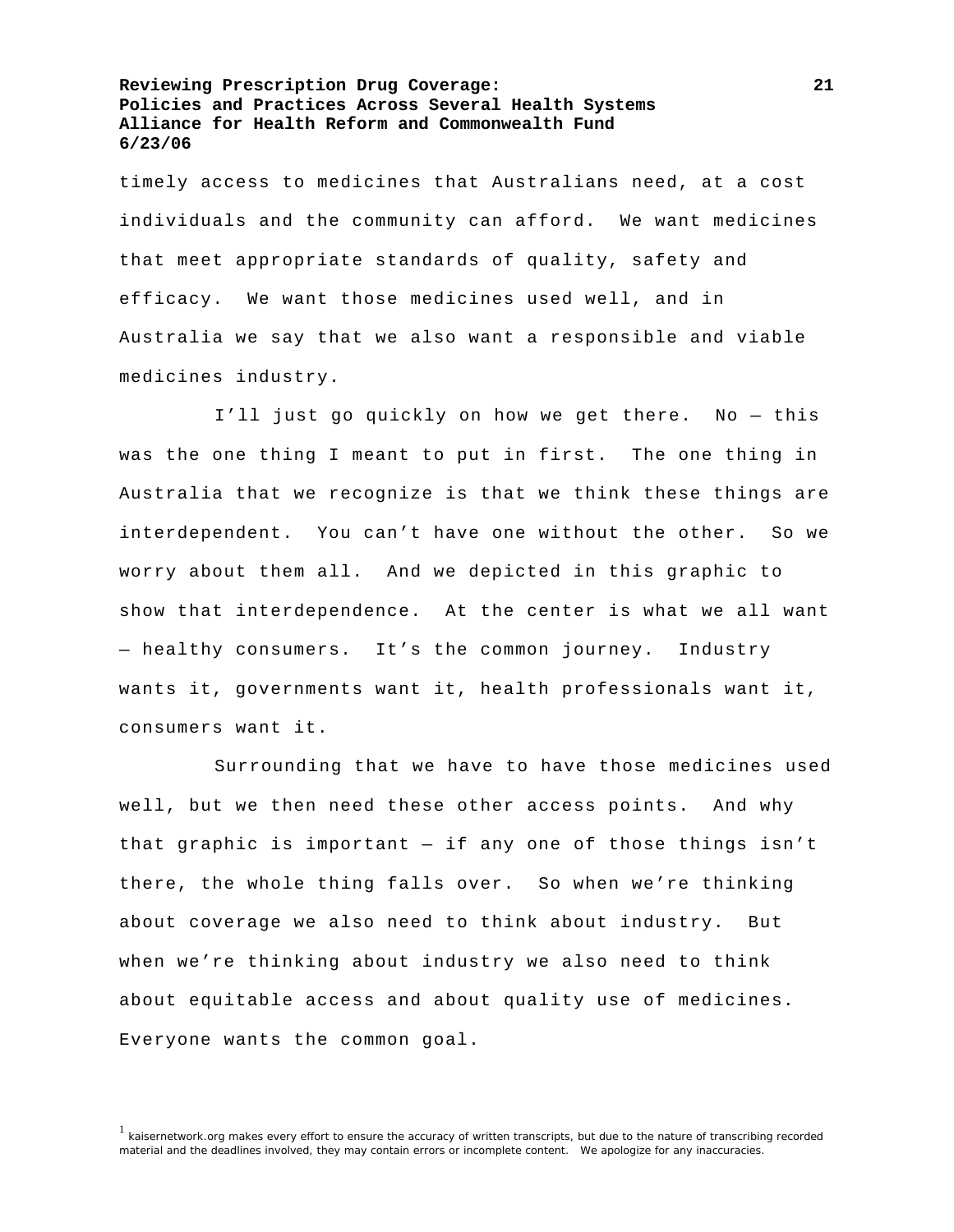timely access to medicines that Australians need, at a cost individuals and the community can afford. We want medicines that meet appropriate standards of quality, safety and efficacy. We want those medicines used well, and in Australia we say that we also want a responsible and viable medicines industry.

 I'll just go quickly on how we get there. No — this was the one thing I meant to put in first. The one thing in Australia that we recognize is that we think these things are interdependent. You can't have one without the other. So we worry about them all. And we depicted in this graphic to show that interdependence. At the center is what we all want — healthy consumers. It's the common journey. Industry wants it, governments want it, health professionals want it, consumers want it.

 Surrounding that we have to have those medicines used well, but we then need these other access points. And why that graphic is important — if any one of those things isn't there, the whole thing falls over. So when we're thinking about coverage we also need to think about industry. But when we're thinking about industry we also need to think about equitable access and about quality use of medicines. Everyone wants the common goal.

<sup>&</sup>lt;sup>1</sup> kaisernetwork.org makes every effort to ensure the accuracy of written transcripts, but due to the nature of transcribing recorded material and the deadlines involved, they may contain errors or incomplete content. We apologize for any inaccuracies.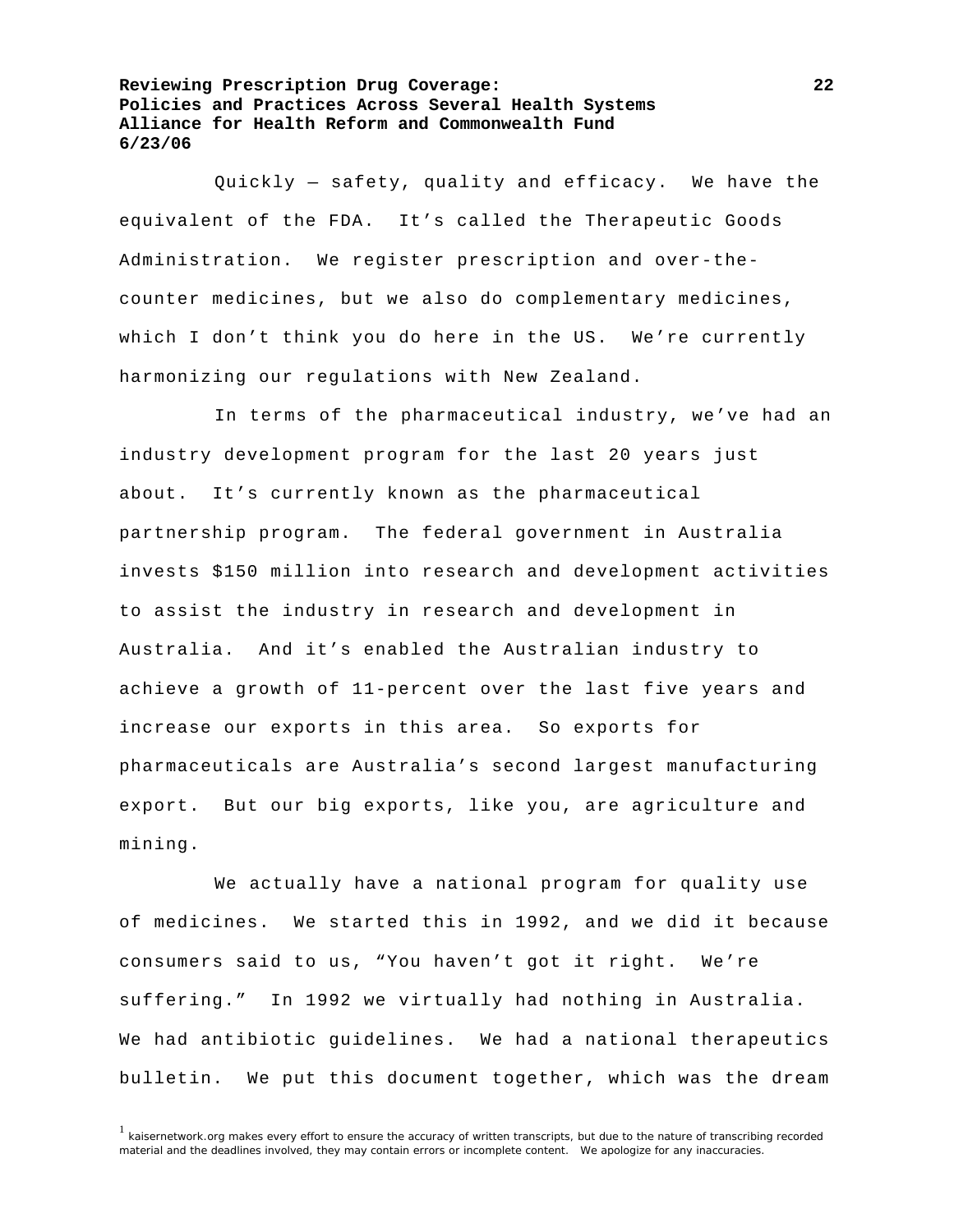Quickly — safety, quality and efficacy. We have the equivalent of the FDA. It's called the Therapeutic Goods Administration. We register prescription and over-thecounter medicines, but we also do complementary medicines, which I don't think you do here in the US. We're currently harmonizing our regulations with New Zealand.

 In terms of the pharmaceutical industry, we've had an industry development program for the last 20 years just about. It's currently known as the pharmaceutical partnership program. The federal government in Australia invests \$150 million into research and development activities to assist the industry in research and development in Australia. And it's enabled the Australian industry to achieve a growth of 11-percent over the last five years and increase our exports in this area. So exports for pharmaceuticals are Australia's second largest manufacturing export. But our big exports, like you, are agriculture and mining.

 We actually have a national program for quality use of medicines. We started this in 1992, and we did it because consumers said to us, "You haven't got it right. We're suffering." In 1992 we virtually had nothing in Australia. We had antibiotic guidelines. We had a national therapeutics bulletin. We put this document together, which was the dream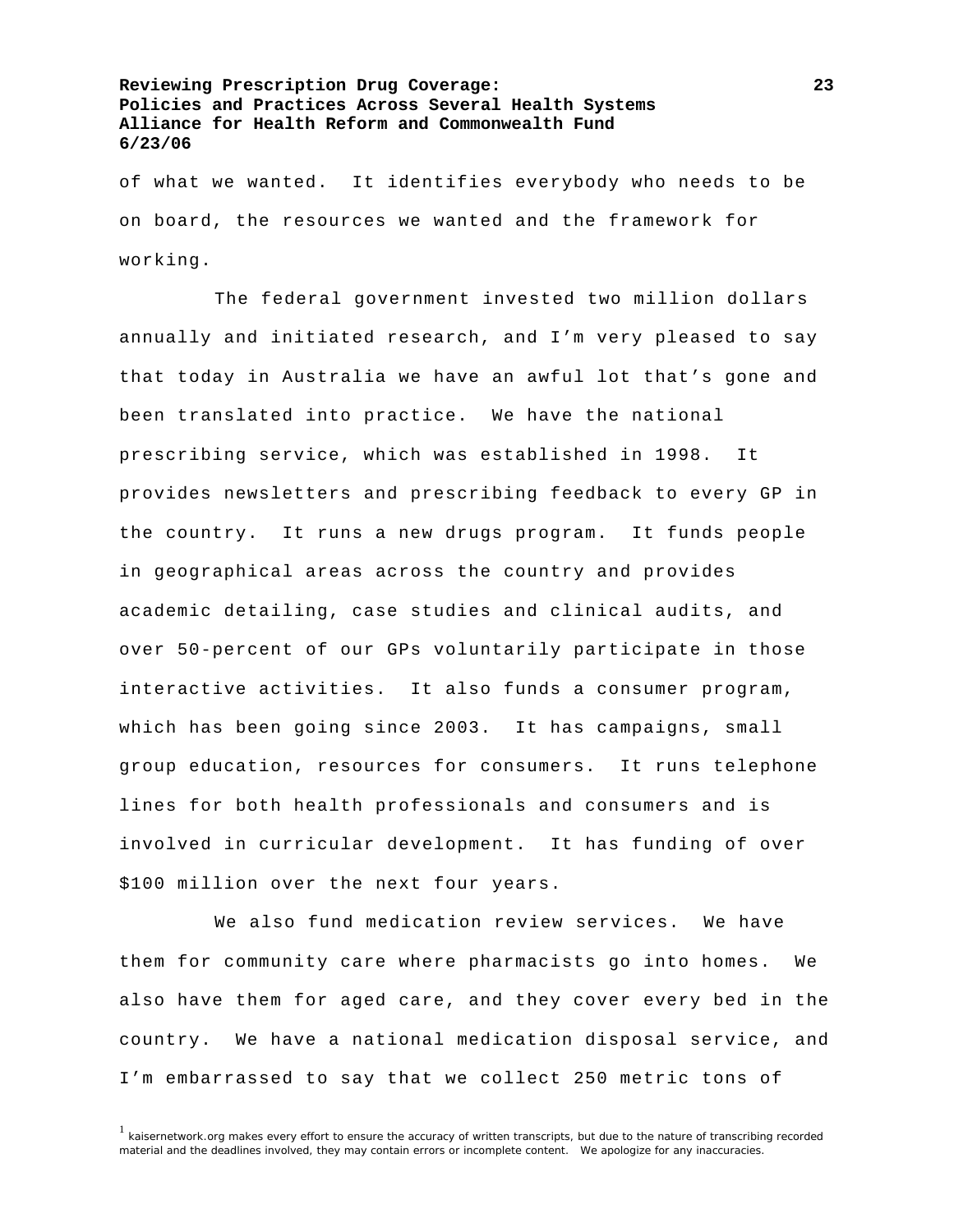of what we wanted. It identifies everybody who needs to be on board, the resources we wanted and the framework for working.

 The federal government invested two million dollars annually and initiated research, and I'm very pleased to say that today in Australia we have an awful lot that's gone and been translated into practice. We have the national prescribing service, which was established in 1998. It provides newsletters and prescribing feedback to every GP in the country. It runs a new drugs program. It funds people in geographical areas across the country and provides academic detailing, case studies and clinical audits, and over 50-percent of our GPs voluntarily participate in those interactive activities. It also funds a consumer program, which has been going since 2003. It has campaigns, small group education, resources for consumers. It runs telephone lines for both health professionals and consumers and is involved in curricular development. It has funding of over \$100 million over the next four years.

 We also fund medication review services. We have them for community care where pharmacists go into homes. We also have them for aged care, and they cover every bed in the country. We have a national medication disposal service, and I'm embarrassed to say that we collect 250 metric tons of

<sup>&</sup>lt;sup>1</sup> kaisernetwork.org makes every effort to ensure the accuracy of written transcripts, but due to the nature of transcribing recorded material and the deadlines involved, they may contain errors or incomplete content. We apologize for any inaccuracies.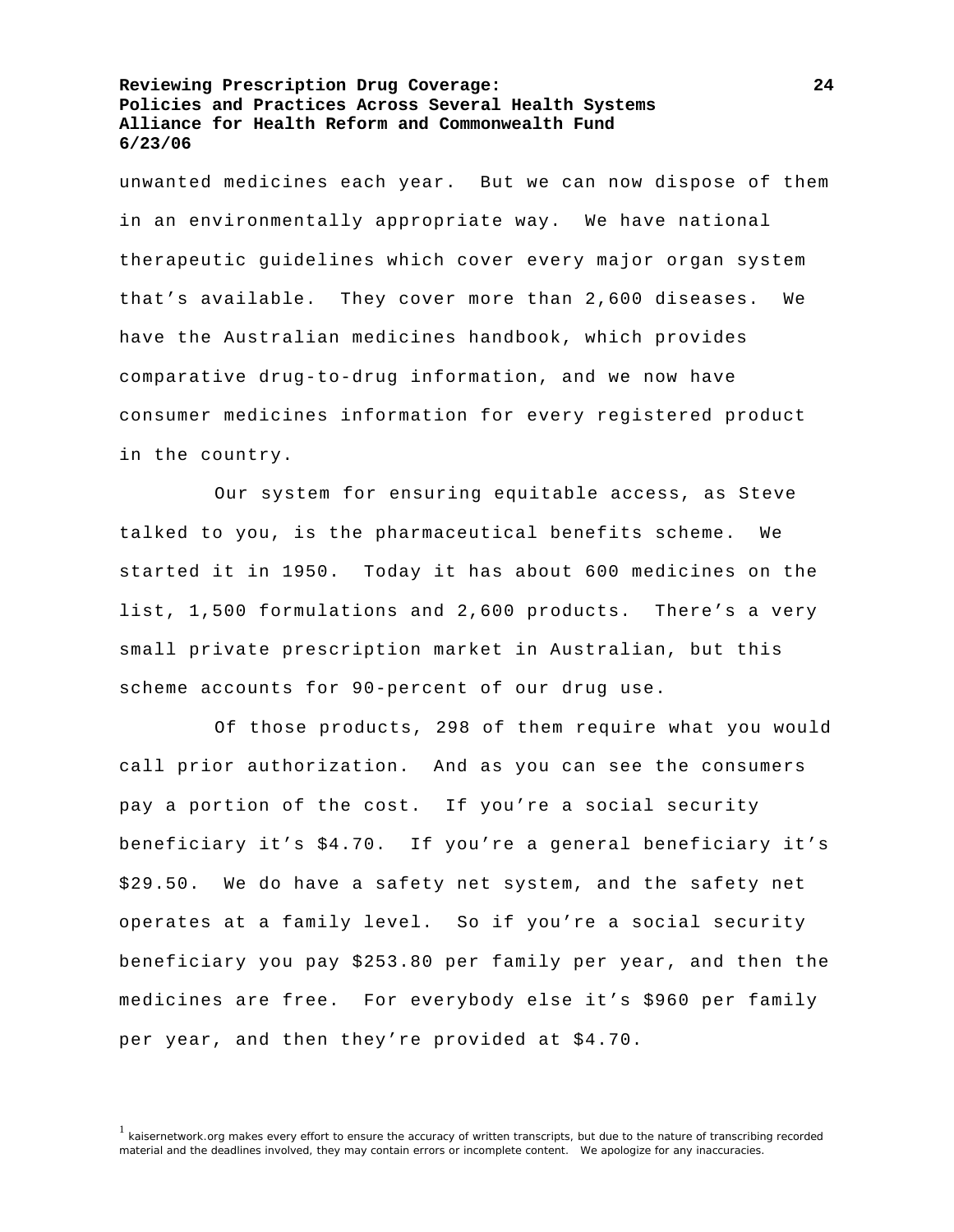unwanted medicines each year. But we can now dispose of them in an environmentally appropriate way. We have national therapeutic guidelines which cover every major organ system that's available. They cover more than 2,600 diseases. We have the Australian medicines handbook, which provides comparative drug-to-drug information, and we now have consumer medicines information for every registered product in the country.

 Our system for ensuring equitable access, as Steve talked to you, is the pharmaceutical benefits scheme. We started it in 1950. Today it has about 600 medicines on the list, 1,500 formulations and 2,600 products. There's a very small private prescription market in Australian, but this scheme accounts for 90-percent of our drug use.

 Of those products, 298 of them require what you would call prior authorization. And as you can see the consumers pay a portion of the cost. If you're a social security beneficiary it's \$4.70. If you're a general beneficiary it's \$29.50. We do have a safety net system, and the safety net operates at a family level. So if you're a social security beneficiary you pay \$253.80 per family per year, and then the medicines are free. For everybody else it's \$960 per family per year, and then they're provided at \$4.70.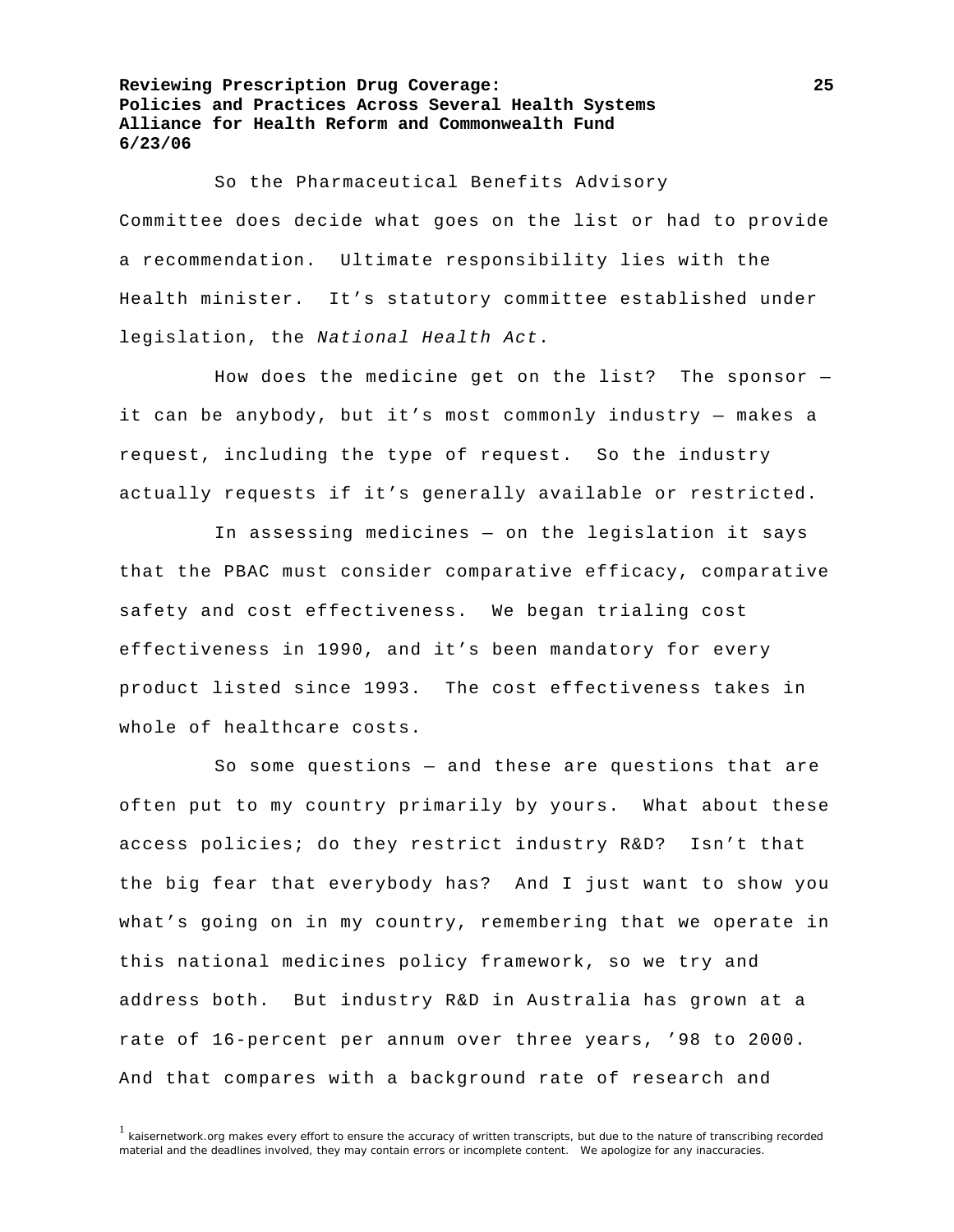So the Pharmaceutical Benefits Advisory Committee does decide what goes on the list or had to provide a recommendation. Ultimate responsibility lies with the Health minister. It's statutory committee established under legislation, the *National Health Act*.

 How does the medicine get on the list? The sponsor it can be anybody, but it's most commonly industry — makes a request, including the type of request. So the industry actually requests if it's generally available or restricted.

 In assessing medicines — on the legislation it says that the PBAC must consider comparative efficacy, comparative safety and cost effectiveness. We began trialing cost effectiveness in 1990, and it's been mandatory for every product listed since 1993. The cost effectiveness takes in whole of healthcare costs.

 So some questions — and these are questions that are often put to my country primarily by yours. What about these access policies; do they restrict industry R&D? Isn't that the big fear that everybody has? And I just want to show you what's going on in my country, remembering that we operate in this national medicines policy framework, so we try and address both. But industry R&D in Australia has grown at a rate of 16-percent per annum over three years, '98 to 2000. And that compares with a background rate of research and

<sup>&</sup>lt;sup>1</sup> kaisernetwork.org makes every effort to ensure the accuracy of written transcripts, but due to the nature of transcribing recorded material and the deadlines involved, they may contain errors or incomplete content. We apologize for any inaccuracies.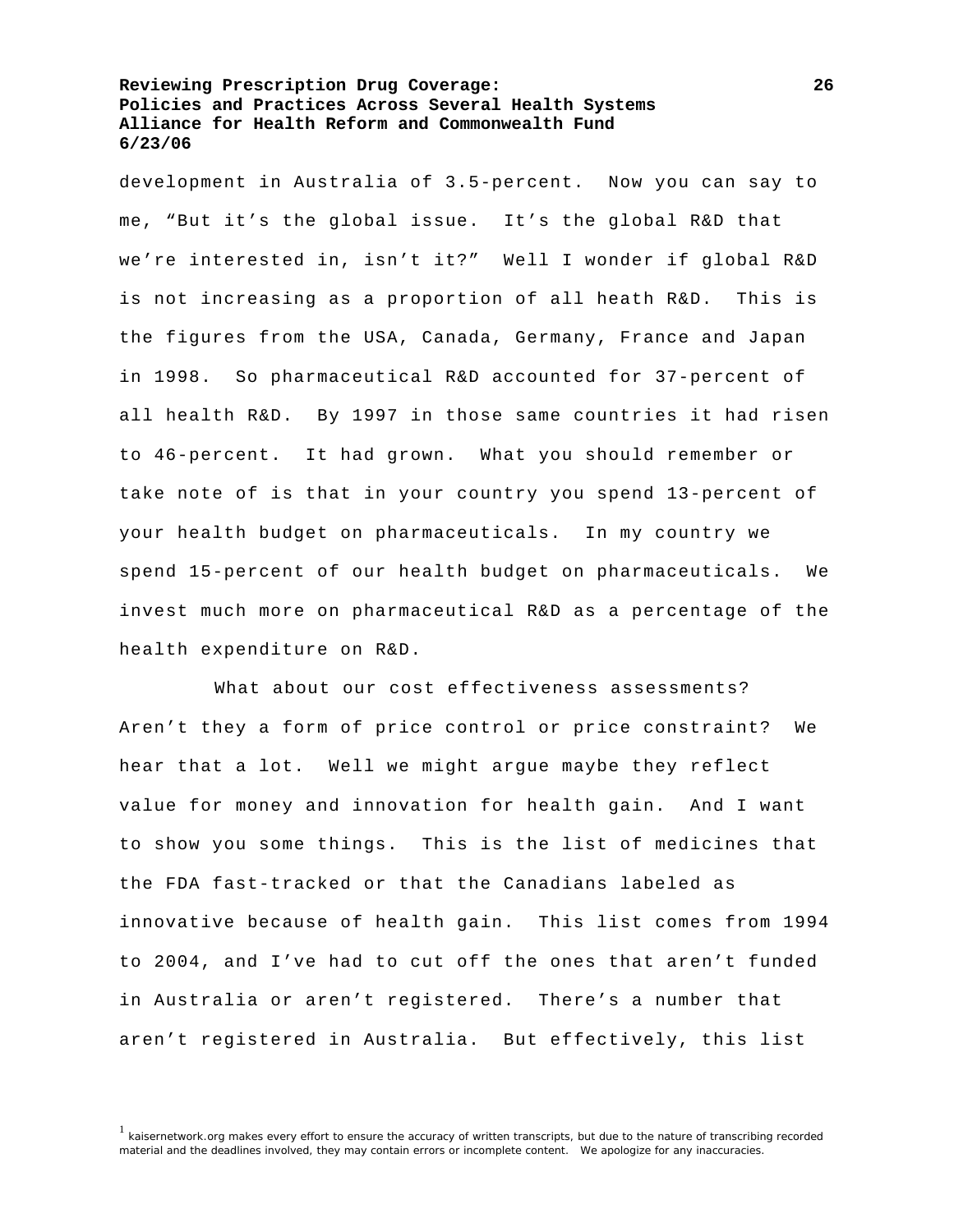development in Australia of 3.5-percent. Now you can say to me, "But it's the global issue. It's the global R&D that we're interested in, isn't it?" Well I wonder if global R&D is not increasing as a proportion of all heath R&D. This is the figures from the USA, Canada, Germany, France and Japan in 1998. So pharmaceutical R&D accounted for 37-percent of all health R&D. By 1997 in those same countries it had risen to 46-percent. It had grown. What you should remember or take note of is that in your country you spend 13-percent of your health budget on pharmaceuticals. In my country we spend 15-percent of our health budget on pharmaceuticals. We invest much more on pharmaceutical R&D as a percentage of the health expenditure on R&D.

 What about our cost effectiveness assessments? Aren't they a form of price control or price constraint? We hear that a lot. Well we might argue maybe they reflect value for money and innovation for health gain. And I want to show you some things. This is the list of medicines that the FDA fast-tracked or that the Canadians labeled as innovative because of health gain. This list comes from 1994 to 2004, and I've had to cut off the ones that aren't funded in Australia or aren't registered. There's a number that aren't registered in Australia. But effectively, this list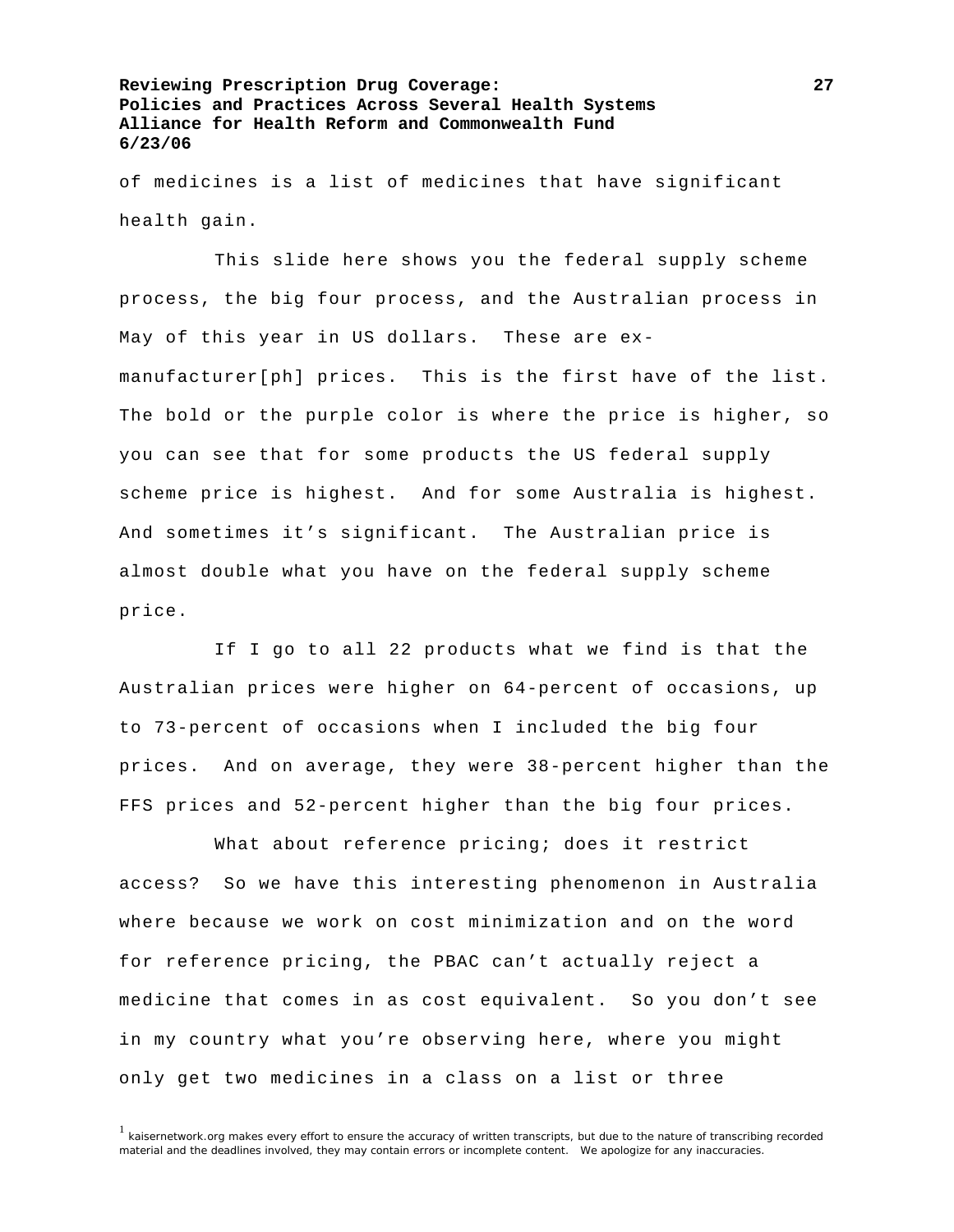of medicines is a list of medicines that have significant health gain.

 This slide here shows you the federal supply scheme process, the big four process, and the Australian process in May of this year in US dollars. These are exmanufacturer[ph] prices. This is the first have of the list. The bold or the purple color is where the price is higher, so you can see that for some products the US federal supply scheme price is highest. And for some Australia is highest. And sometimes it's significant. The Australian price is almost double what you have on the federal supply scheme price.

 If I go to all 22 products what we find is that the Australian prices were higher on 64-percent of occasions, up to 73-percent of occasions when I included the big four prices. And on average, they were 38-percent higher than the FFS prices and 52-percent higher than the big four prices.

 What about reference pricing; does it restrict access? So we have this interesting phenomenon in Australia where because we work on cost minimization and on the word for reference pricing, the PBAC can't actually reject a medicine that comes in as cost equivalent. So you don't see in my country what you're observing here, where you might only get two medicines in a class on a list or three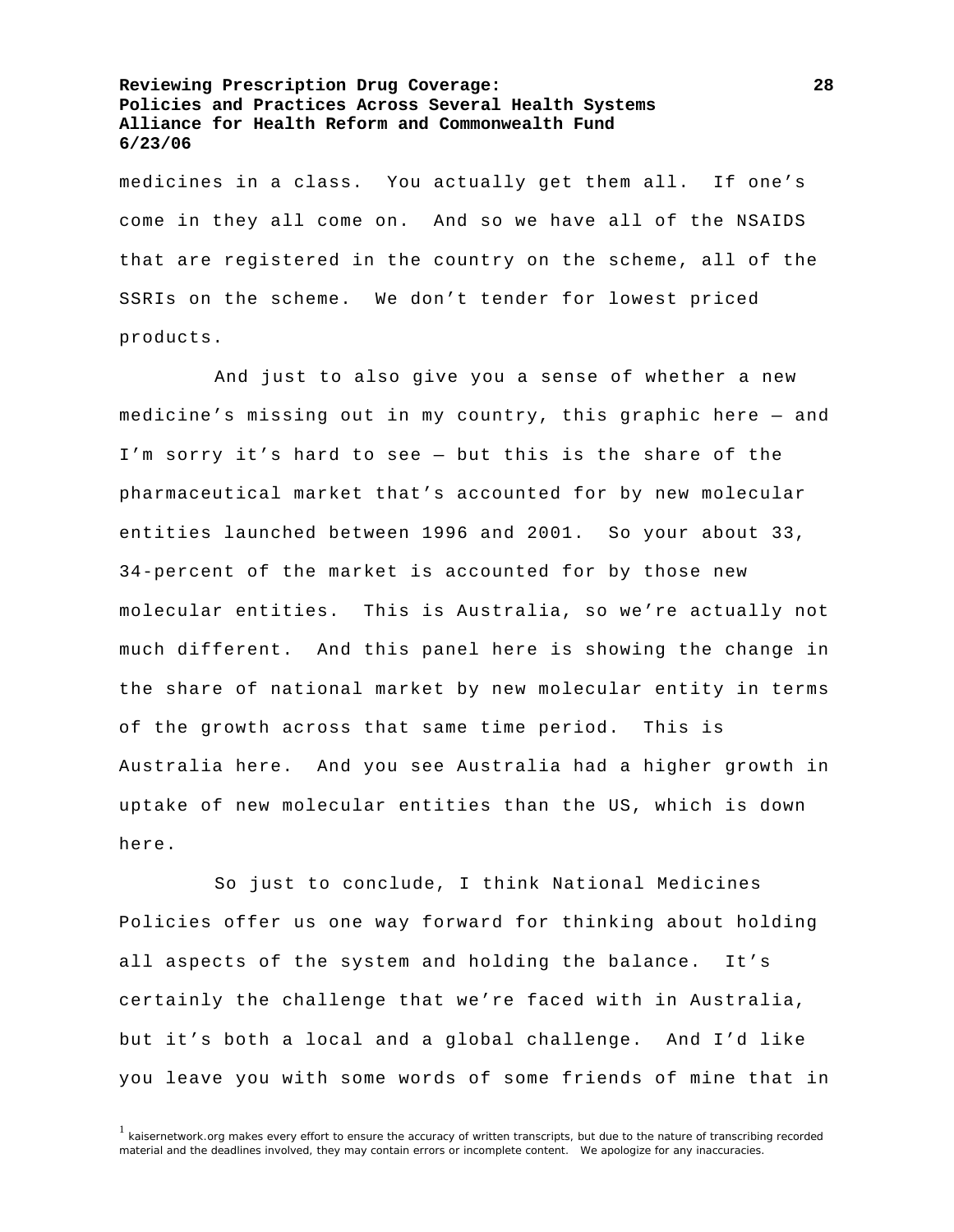medicines in a class. You actually get them all. If one's come in they all come on. And so we have all of the NSAIDS that are registered in the country on the scheme, all of the SSRIs on the scheme. We don't tender for lowest priced products.

 And just to also give you a sense of whether a new medicine's missing out in my country, this graphic here — and I'm sorry it's hard to see — but this is the share of the pharmaceutical market that's accounted for by new molecular entities launched between 1996 and 2001. So your about 33, 34-percent of the market is accounted for by those new molecular entities. This is Australia, so we're actually not much different. And this panel here is showing the change in the share of national market by new molecular entity in terms of the growth across that same time period. This is Australia here. And you see Australia had a higher growth in uptake of new molecular entities than the US, which is down here.

 So just to conclude, I think National Medicines Policies offer us one way forward for thinking about holding all aspects of the system and holding the balance. It's certainly the challenge that we're faced with in Australia, but it's both a local and a global challenge. And I'd like you leave you with some words of some friends of mine that in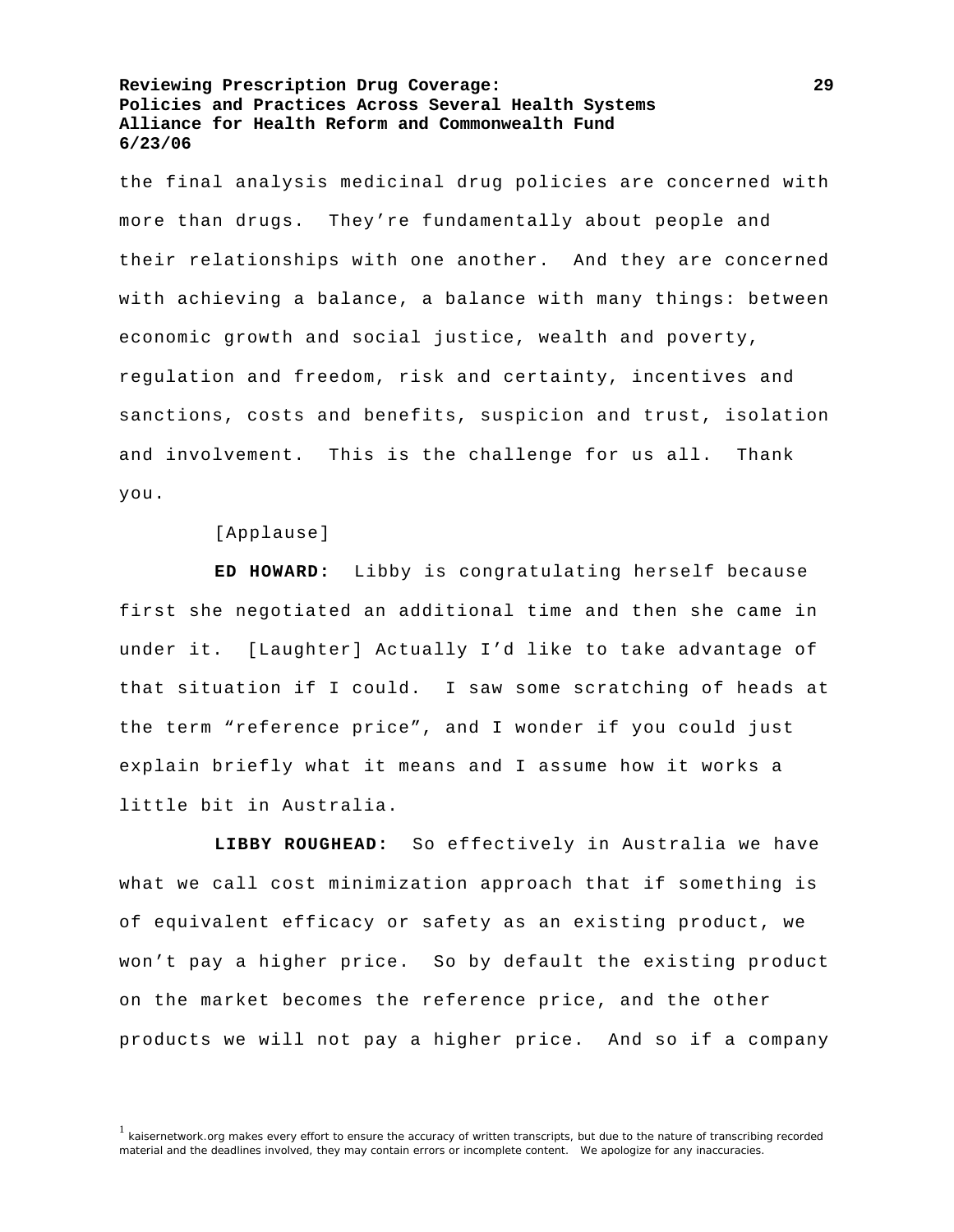the final analysis medicinal drug policies are concerned with more than drugs. They're fundamentally about people and their relationships with one another. And they are concerned with achieving a balance, a balance with many things: between economic growth and social justice, wealth and poverty, regulation and freedom, risk and certainty, incentives and sanctions, costs and benefits, suspicion and trust, isolation and involvement. This is the challenge for us all. Thank you.

[Applause]

**ED HOWARD:** Libby is congratulating herself because first she negotiated an additional time and then she came in under it. [Laughter] Actually I'd like to take advantage of that situation if I could. I saw some scratching of heads at the term "reference price", and I wonder if you could just explain briefly what it means and I assume how it works a little bit in Australia.

**LIBBY ROUGHEAD:** So effectively in Australia we have what we call cost minimization approach that if something is of equivalent efficacy or safety as an existing product, we won't pay a higher price. So by default the existing product on the market becomes the reference price, and the other products we will not pay a higher price. And so if a company

<sup>&</sup>lt;sup>1</sup> kaisernetwork.org makes every effort to ensure the accuracy of written transcripts, but due to the nature of transcribing recorded material and the deadlines involved, they may contain errors or incomplete content. We apologize for any inaccuracies.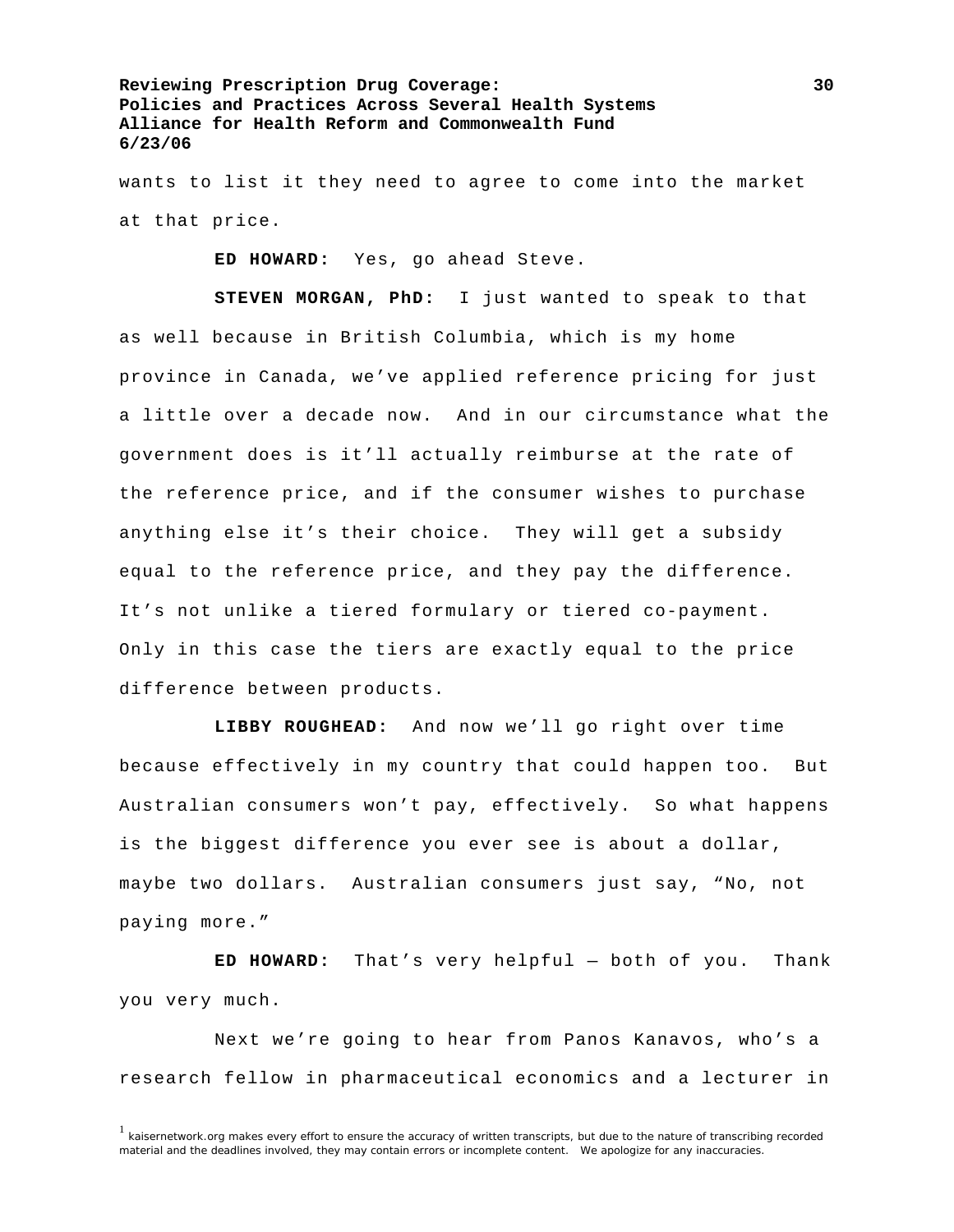wants to list it they need to agree to come into the market at that price.

**ED HOWARD:** Yes, go ahead Steve.

**STEVEN MORGAN, PhD:** I just wanted to speak to that as well because in British Columbia, which is my home province in Canada, we've applied reference pricing for just a little over a decade now. And in our circumstance what the government does is it'll actually reimburse at the rate of the reference price, and if the consumer wishes to purchase anything else it's their choice. They will get a subsidy equal to the reference price, and they pay the difference. It's not unlike a tiered formulary or tiered co-payment. Only in this case the tiers are exactly equal to the price difference between products.

**LIBBY ROUGHEAD:** And now we'll go right over time because effectively in my country that could happen too. But Australian consumers won't pay, effectively. So what happens is the biggest difference you ever see is about a dollar, maybe two dollars. Australian consumers just say, "No, not paying more."

**ED HOWARD:** That's very helpful — both of you. Thank you very much.

 Next we're going to hear from Panos Kanavos, who's a research fellow in pharmaceutical economics and a lecturer in

<sup>&</sup>lt;sup>1</sup> kaisernetwork.org makes every effort to ensure the accuracy of written transcripts, but due to the nature of transcribing recorded material and the deadlines involved, they may contain errors or incomplete content. We apologize for any inaccuracies.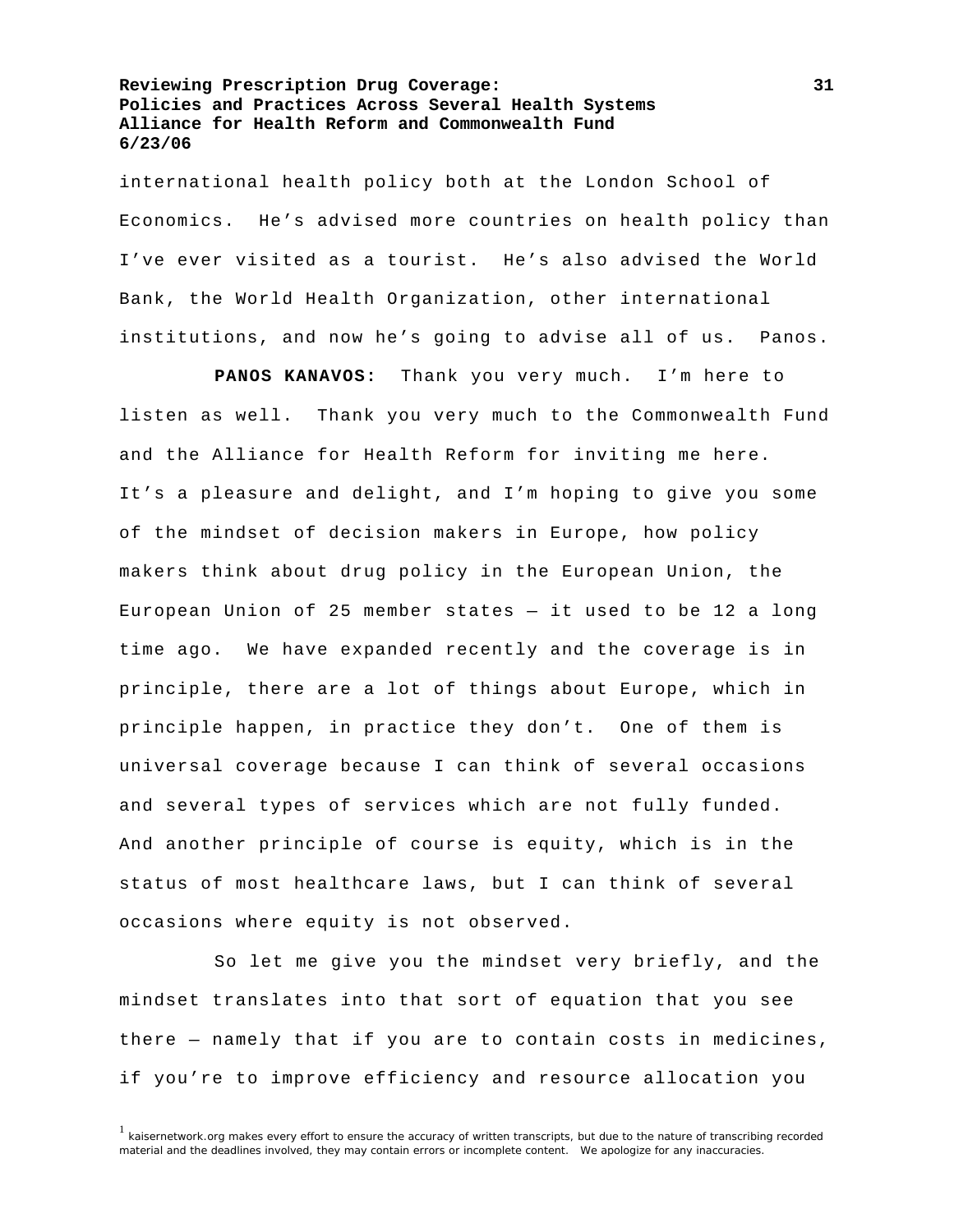international health policy both at the London School of Economics. He's advised more countries on health policy than I've ever visited as a tourist. He's also advised the World Bank, the World Health Organization, other international institutions, and now he's going to advise all of us. Panos.

**PANOS KANAVOS:** Thank you very much. I'm here to listen as well. Thank you very much to the Commonwealth Fund and the Alliance for Health Reform for inviting me here. It's a pleasure and delight, and I'm hoping to give you some of the mindset of decision makers in Europe, how policy makers think about drug policy in the European Union, the European Union of 25 member states  $-$  it used to be 12 a long time ago. We have expanded recently and the coverage is in principle, there are a lot of things about Europe, which in principle happen, in practice they don't. One of them is universal coverage because I can think of several occasions and several types of services which are not fully funded. And another principle of course is equity, which is in the status of most healthcare laws, but I can think of several occasions where equity is not observed.

 So let me give you the mindset very briefly, and the mindset translates into that sort of equation that you see there — namely that if you are to contain costs in medicines, if you're to improve efficiency and resource allocation you

 $1$  kaisernetwork.org makes every effort to ensure the accuracy of written transcripts, but due to the nature of transcribing recorded material and the deadlines involved, they may contain errors or incomplete content. We apologize for any inaccuracies.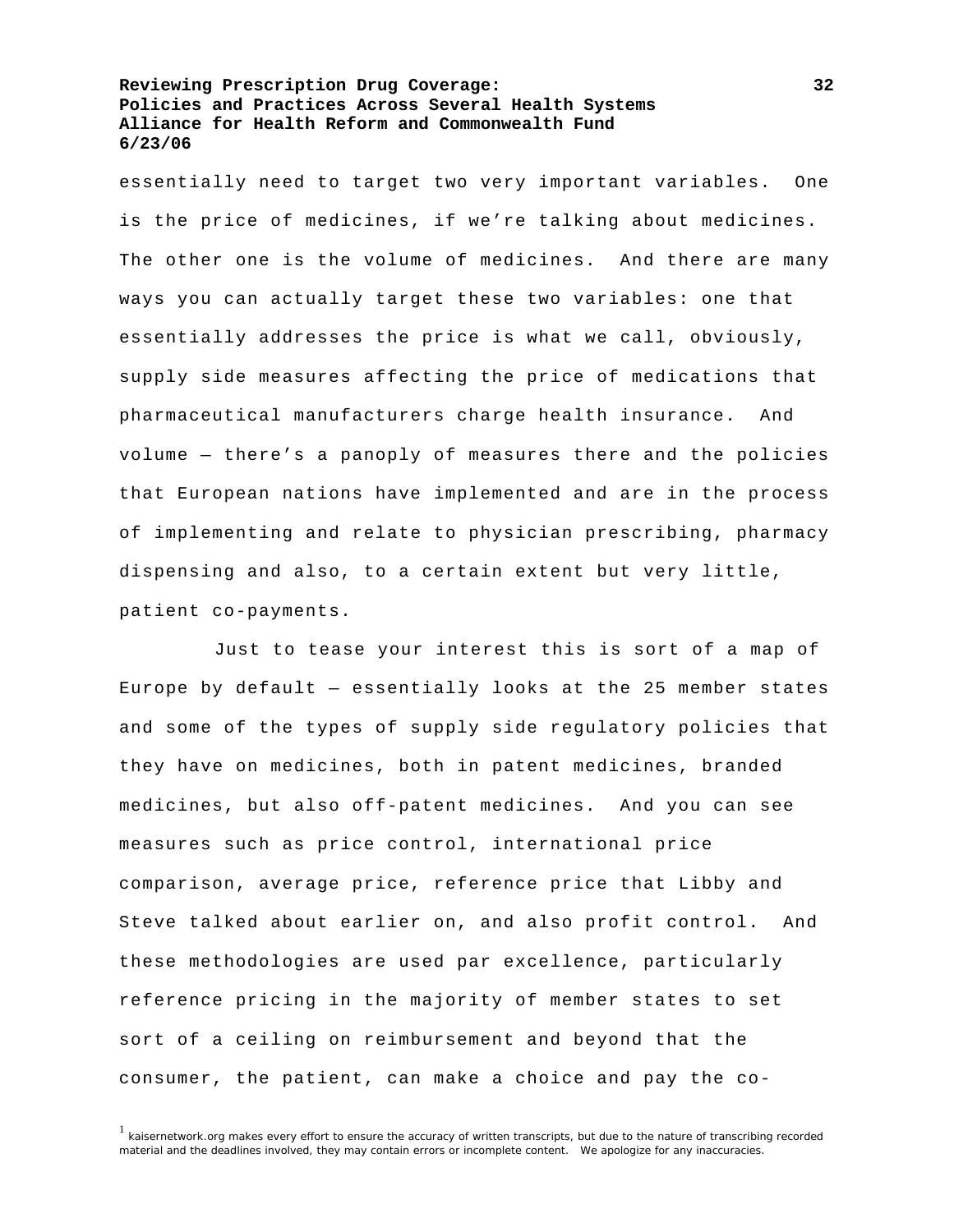essentially need to target two very important variables. One is the price of medicines, if we're talking about medicines. The other one is the volume of medicines. And there are many ways you can actually target these two variables: one that essentially addresses the price is what we call, obviously, supply side measures affecting the price of medications that pharmaceutical manufacturers charge health insurance. And volume — there's a panoply of measures there and the policies that European nations have implemented and are in the process of implementing and relate to physician prescribing, pharmacy dispensing and also, to a certain extent but very little, patient co-payments.

 Just to tease your interest this is sort of a map of Europe by default  $-$  essentially looks at the 25 member states and some of the types of supply side regulatory policies that they have on medicines, both in patent medicines, branded medicines, but also off-patent medicines. And you can see measures such as price control, international price comparison, average price, reference price that Libby and Steve talked about earlier on, and also profit control. And these methodologies are used par excellence, particularly reference pricing in the majority of member states to set sort of a ceiling on reimbursement and beyond that the consumer, the patient, can make a choice and pay the co-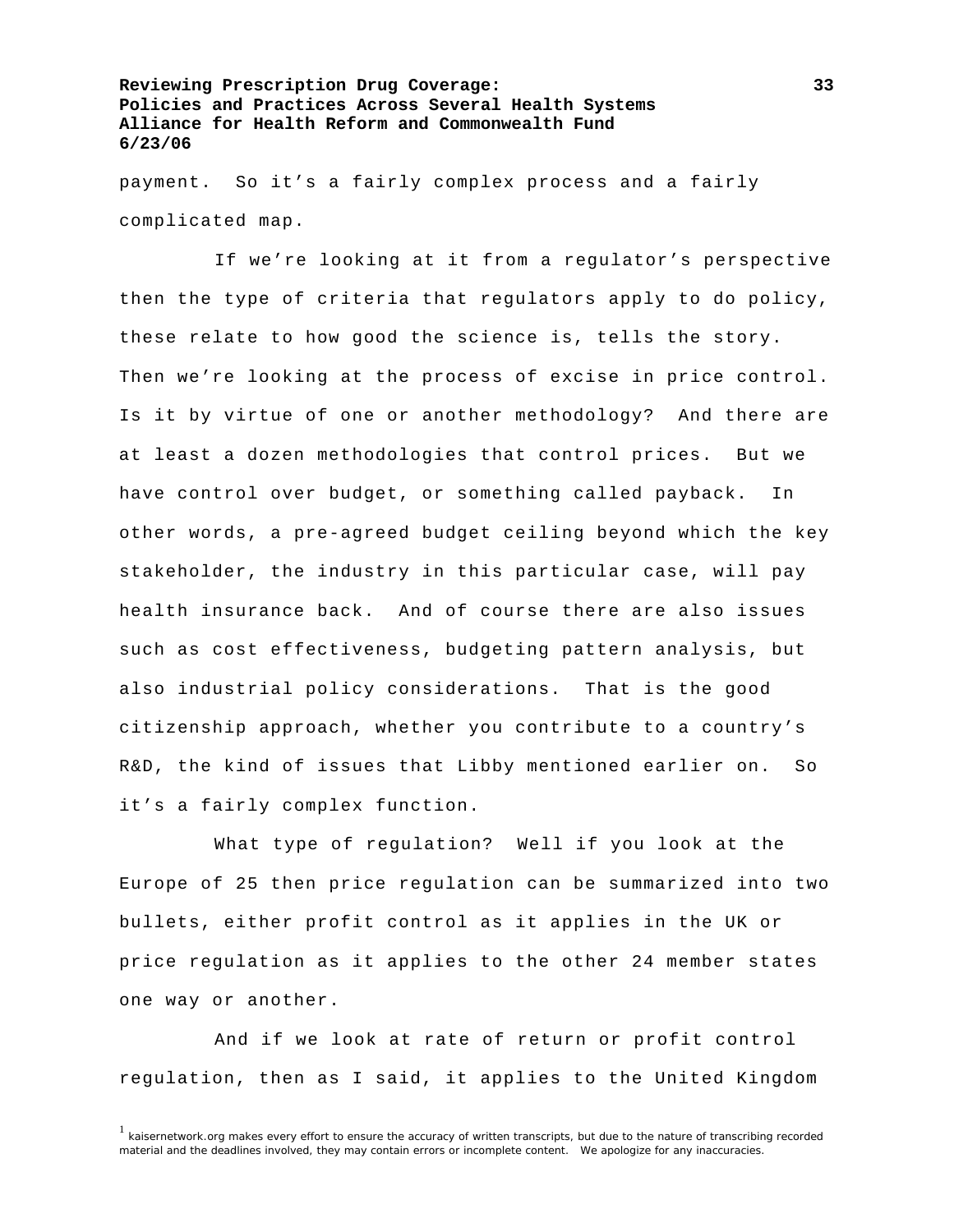payment. So it's a fairly complex process and a fairly complicated map.

 If we're looking at it from a regulator's perspective then the type of criteria that regulators apply to do policy, these relate to how good the science is, tells the story. Then we're looking at the process of excise in price control. Is it by virtue of one or another methodology? And there are at least a dozen methodologies that control prices. But we have control over budget, or something called payback. In other words, a pre-agreed budget ceiling beyond which the key stakeholder, the industry in this particular case, will pay health insurance back. And of course there are also issues such as cost effectiveness, budgeting pattern analysis, but also industrial policy considerations. That is the good citizenship approach, whether you contribute to a country's R&D, the kind of issues that Libby mentioned earlier on. So it's a fairly complex function.

 What type of regulation? Well if you look at the Europe of 25 then price regulation can be summarized into two bullets, either profit control as it applies in the UK or price regulation as it applies to the other 24 member states one way or another.

 And if we look at rate of return or profit control regulation, then as I said, it applies to the United Kingdom

 $1$  kaisernetwork.org makes every effort to ensure the accuracy of written transcripts, but due to the nature of transcribing recorded material and the deadlines involved, they may contain errors or incomplete content. We apologize for any inaccuracies.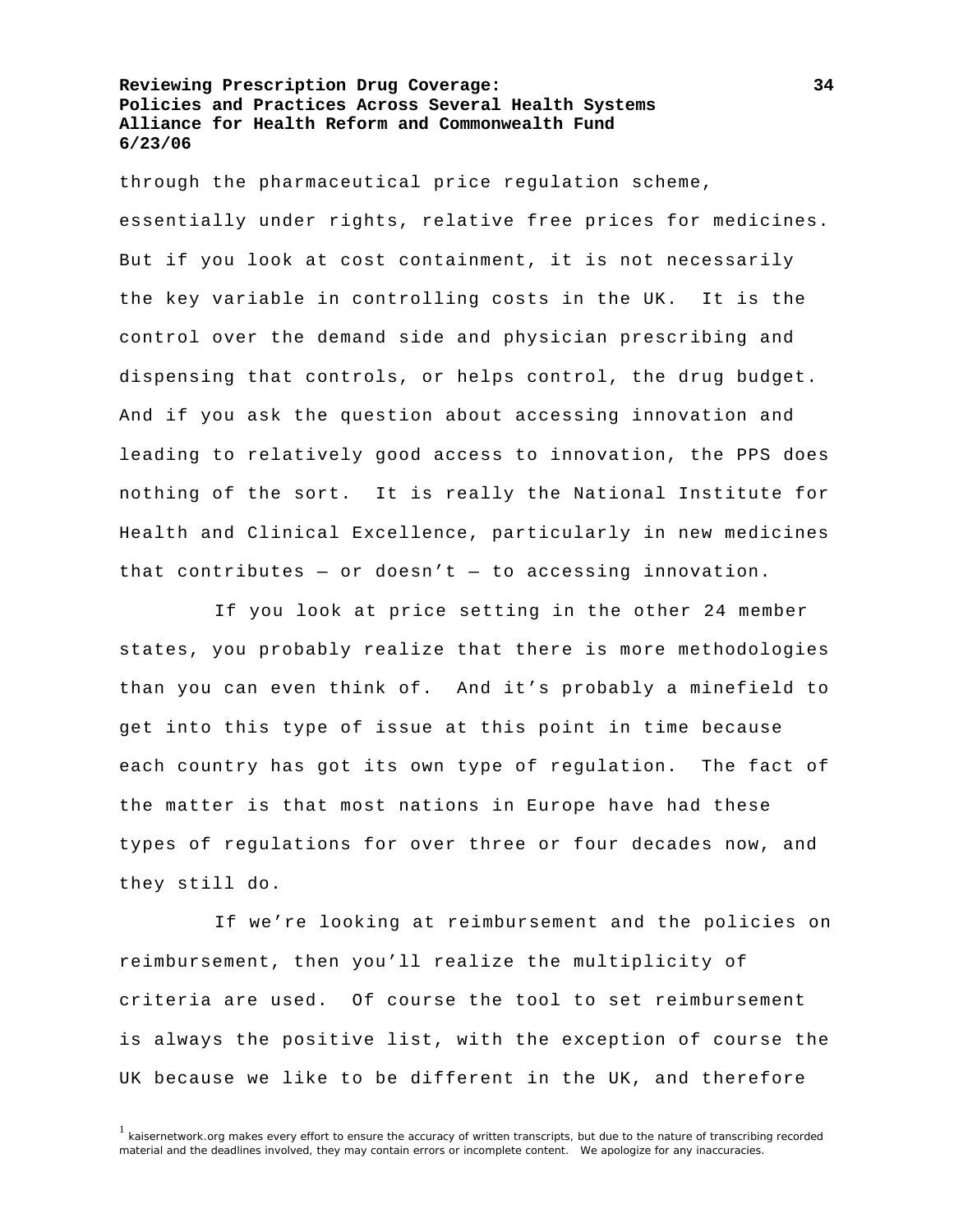through the pharmaceutical price regulation scheme, essentially under rights, relative free prices for medicines. But if you look at cost containment, it is not necessarily the key variable in controlling costs in the UK. It is the control over the demand side and physician prescribing and dispensing that controls, or helps control, the drug budget. And if you ask the question about accessing innovation and leading to relatively good access to innovation, the PPS does nothing of the sort. It is really the National Institute for Health and Clinical Excellence, particularly in new medicines that contributes - or doesn't - to accessing innovation.

 If you look at price setting in the other 24 member states, you probably realize that there is more methodologies than you can even think of. And it's probably a minefield to get into this type of issue at this point in time because each country has got its own type of regulation. The fact of the matter is that most nations in Europe have had these types of regulations for over three or four decades now, and they still do.

 If we're looking at reimbursement and the policies on reimbursement, then you'll realize the multiplicity of criteria are used. Of course the tool to set reimbursement is always the positive list, with the exception of course the UK because we like to be different in the UK, and therefore

<sup>&</sup>lt;sup>1</sup> kaisernetwork.org makes every effort to ensure the accuracy of written transcripts, but due to the nature of transcribing recorded material and the deadlines involved, they may contain errors or incomplete content. We apologize for any inaccuracies.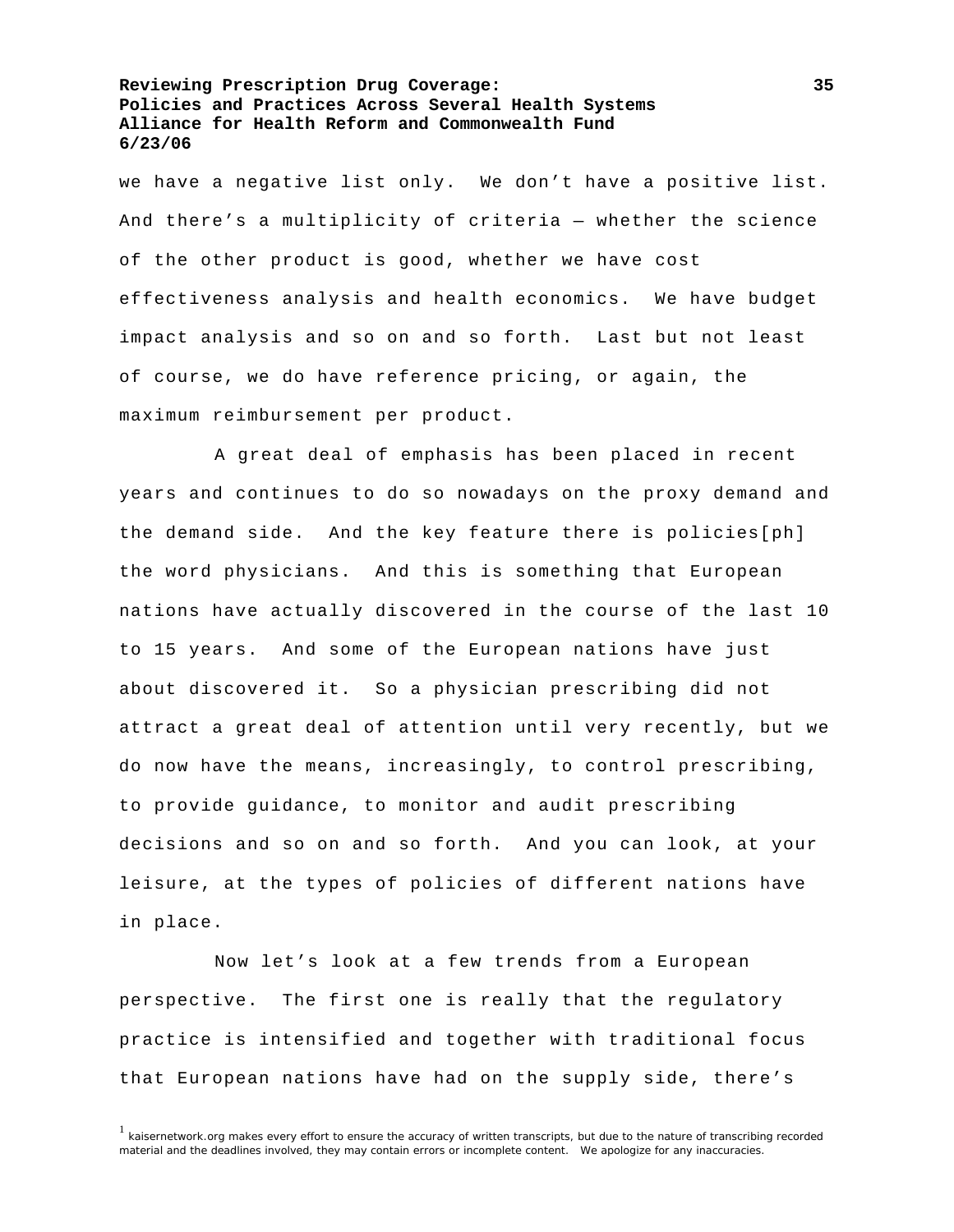we have a negative list only. We don't have a positive list. And there's a multiplicity of criteria — whether the science of the other product is good, whether we have cost effectiveness analysis and health economics. We have budget impact analysis and so on and so forth. Last but not least of course, we do have reference pricing, or again, the maximum reimbursement per product.

 A great deal of emphasis has been placed in recent years and continues to do so nowadays on the proxy demand and the demand side. And the key feature there is policies[ph] the word physicians. And this is something that European nations have actually discovered in the course of the last 10 to 15 years. And some of the European nations have just about discovered it. So a physician prescribing did not attract a great deal of attention until very recently, but we do now have the means, increasingly, to control prescribing, to provide guidance, to monitor and audit prescribing decisions and so on and so forth. And you can look, at your leisure, at the types of policies of different nations have in place.

 Now let's look at a few trends from a European perspective. The first one is really that the regulatory practice is intensified and together with traditional focus that European nations have had on the supply side, there's

<sup>&</sup>lt;sup>1</sup> kaisernetwork.org makes every effort to ensure the accuracy of written transcripts, but due to the nature of transcribing recorded material and the deadlines involved, they may contain errors or incomplete content. We apologize for any inaccuracies.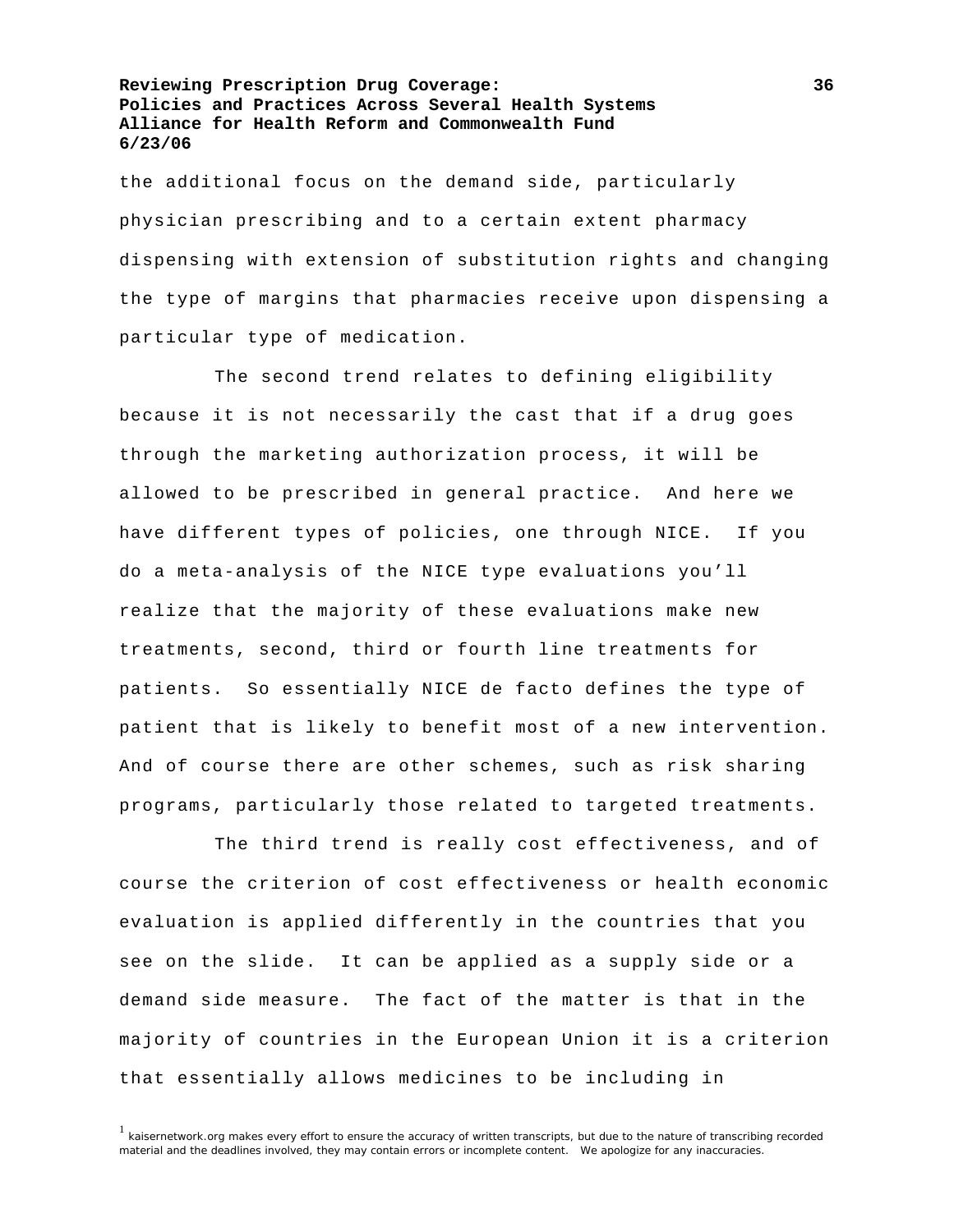the additional focus on the demand side, particularly physician prescribing and to a certain extent pharmacy dispensing with extension of substitution rights and changing the type of margins that pharmacies receive upon dispensing a particular type of medication.

 The second trend relates to defining eligibility because it is not necessarily the cast that if a drug goes through the marketing authorization process, it will be allowed to be prescribed in general practice. And here we have different types of policies, one through NICE. If you do a meta-analysis of the NICE type evaluations you'll realize that the majority of these evaluations make new treatments, second, third or fourth line treatments for patients. So essentially NICE de facto defines the type of patient that is likely to benefit most of a new intervention. And of course there are other schemes, such as risk sharing programs, particularly those related to targeted treatments.

 The third trend is really cost effectiveness, and of course the criterion of cost effectiveness or health economic evaluation is applied differently in the countries that you see on the slide. It can be applied as a supply side or a demand side measure. The fact of the matter is that in the majority of countries in the European Union it is a criterion that essentially allows medicines to be including in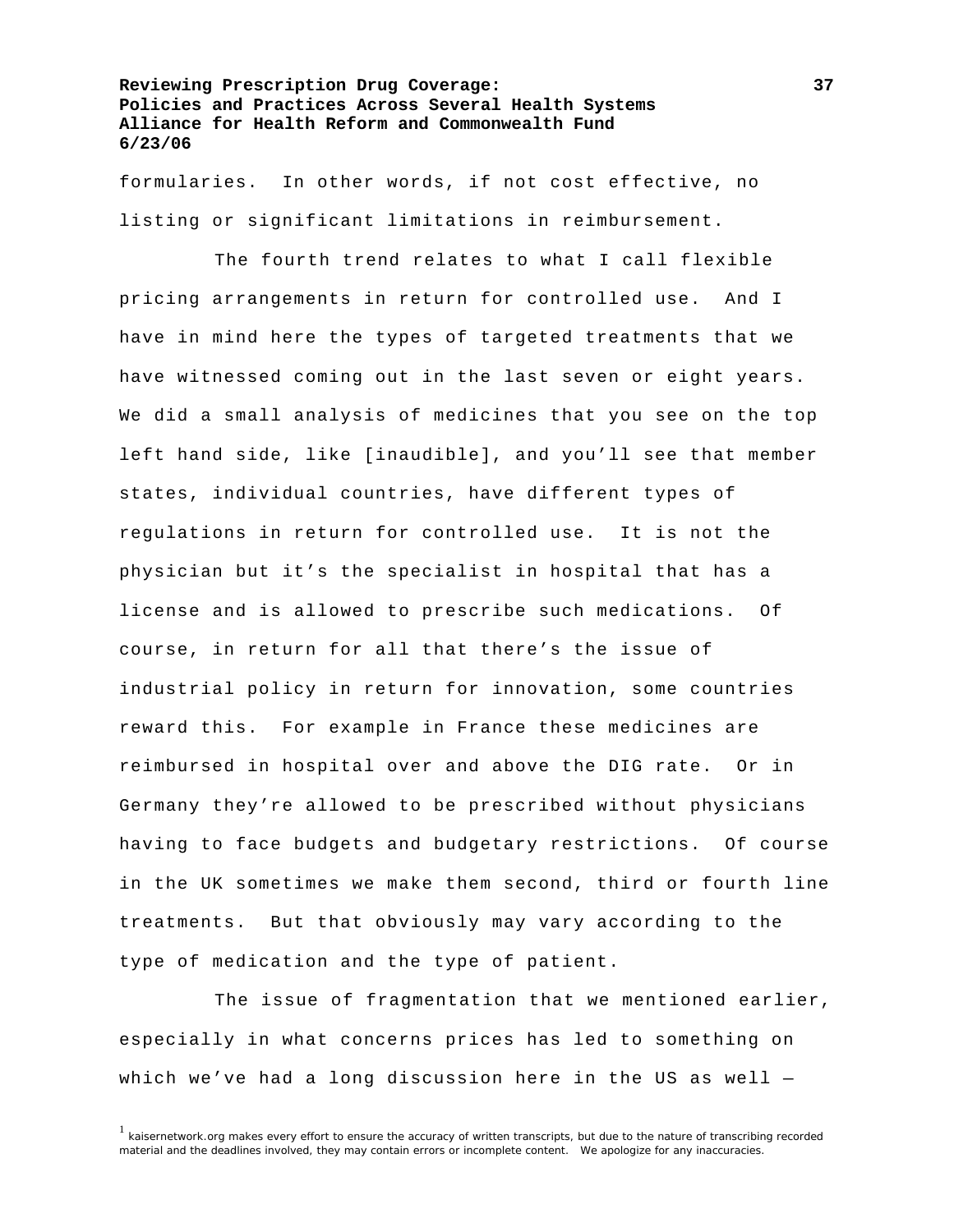formularies. In other words, if not cost effective, no listing or significant limitations in reimbursement.

 The fourth trend relates to what I call flexible pricing arrangements in return for controlled use. And I have in mind here the types of targeted treatments that we have witnessed coming out in the last seven or eight years. We did a small analysis of medicines that you see on the top left hand side, like [inaudible], and you'll see that member states, individual countries, have different types of regulations in return for controlled use. It is not the physician but it's the specialist in hospital that has a license and is allowed to prescribe such medications. Of course, in return for all that there's the issue of industrial policy in return for innovation, some countries reward this. For example in France these medicines are reimbursed in hospital over and above the DIG rate. Or in Germany they're allowed to be prescribed without physicians having to face budgets and budgetary restrictions. Of course in the UK sometimes we make them second, third or fourth line treatments. But that obviously may vary according to the type of medication and the type of patient.

 The issue of fragmentation that we mentioned earlier, especially in what concerns prices has led to something on which we've had a long discussion here in the US as well —

<sup>&</sup>lt;sup>1</sup> kaisernetwork.org makes every effort to ensure the accuracy of written transcripts, but due to the nature of transcribing recorded material and the deadlines involved, they may contain errors or incomplete content. We apologize for any inaccuracies.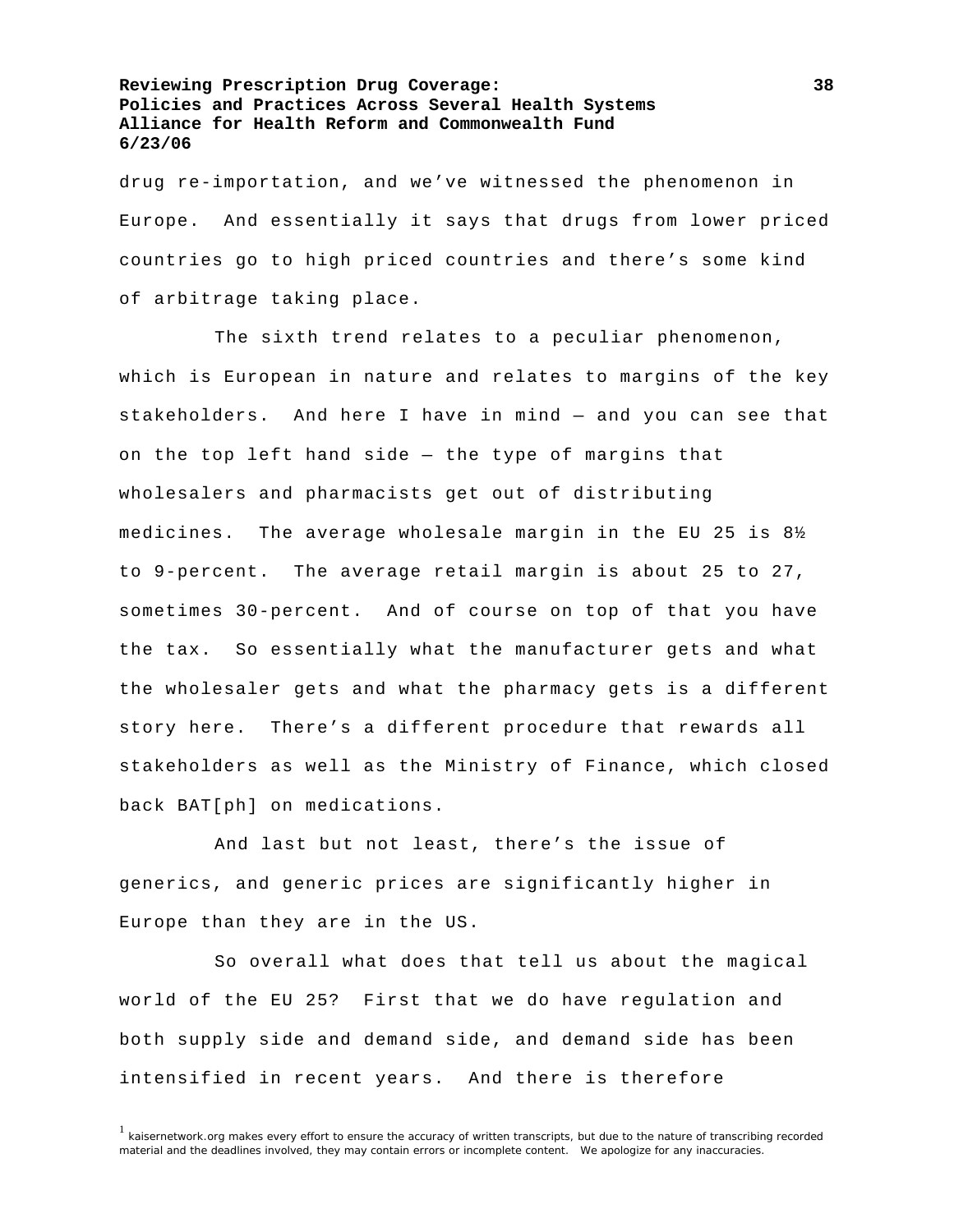drug re-importation, and we've witnessed the phenomenon in Europe. And essentially it says that drugs from lower priced countries go to high priced countries and there's some kind of arbitrage taking place.

 The sixth trend relates to a peculiar phenomenon, which is European in nature and relates to margins of the key stakeholders. And here I have in mind — and you can see that on the top left hand side — the type of margins that wholesalers and pharmacists get out of distributing medicines. The average wholesale margin in the EU 25 is 8½ to 9-percent. The average retail margin is about 25 to 27, sometimes 30-percent. And of course on top of that you have the tax. So essentially what the manufacturer gets and what the wholesaler gets and what the pharmacy gets is a different story here. There's a different procedure that rewards all stakeholders as well as the Ministry of Finance, which closed back BAT[ph] on medications.

 And last but not least, there's the issue of generics, and generic prices are significantly higher in Europe than they are in the US.

 So overall what does that tell us about the magical world of the EU 25? First that we do have regulation and both supply side and demand side, and demand side has been intensified in recent years. And there is therefore

<sup>&</sup>lt;sup>1</sup> kaisernetwork.org makes every effort to ensure the accuracy of written transcripts, but due to the nature of transcribing recorded material and the deadlines involved, they may contain errors or incomplete content. We apologize for any inaccuracies.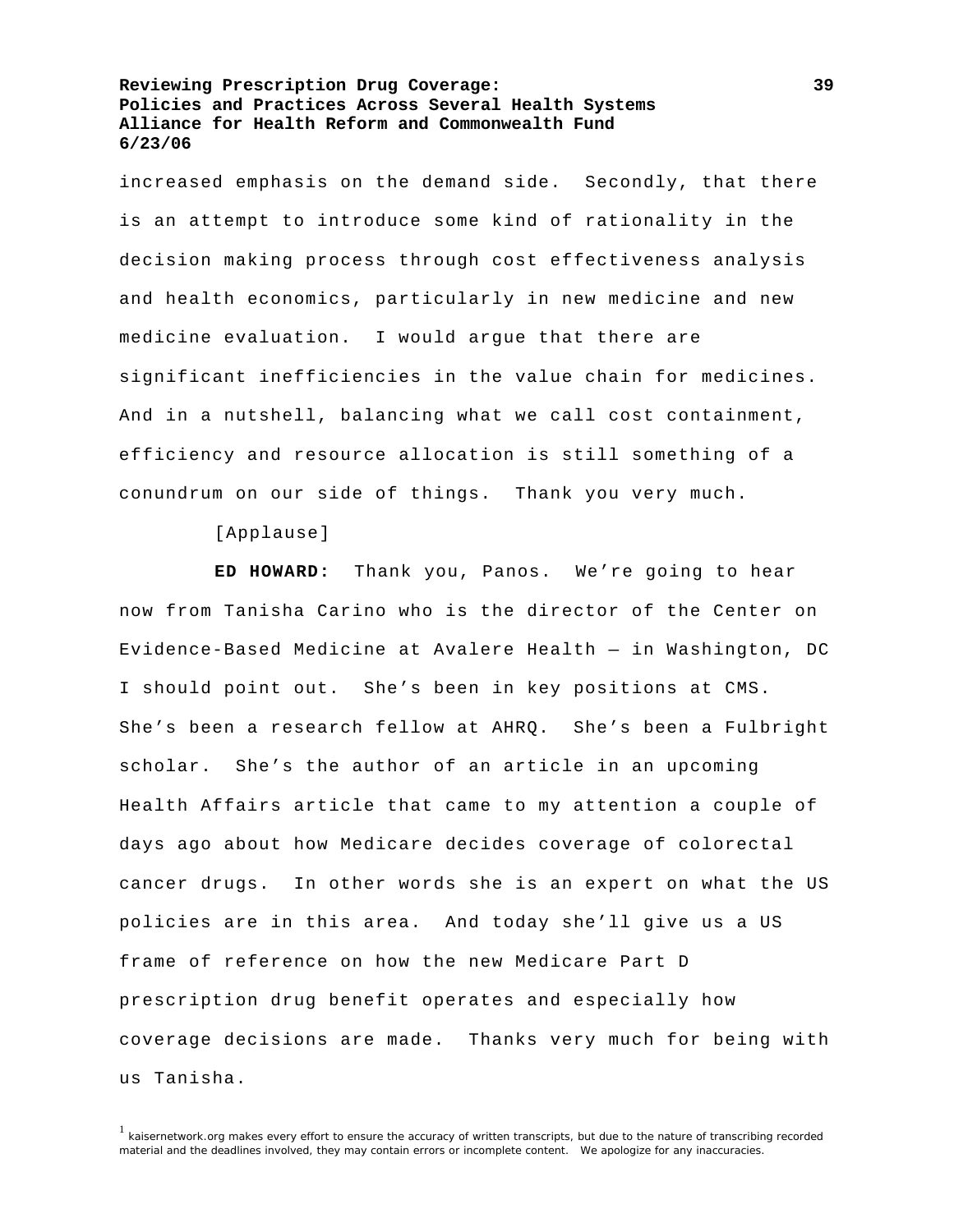increased emphasis on the demand side. Secondly, that there is an attempt to introduce some kind of rationality in the decision making process through cost effectiveness analysis and health economics, particularly in new medicine and new medicine evaluation. I would argue that there are significant inefficiencies in the value chain for medicines. And in a nutshell, balancing what we call cost containment, efficiency and resource allocation is still something of a conundrum on our side of things. Thank you very much.

[Applause]

**ED HOWARD:** Thank you, Panos. We're going to hear now from Tanisha Carino who is the director of the Center on Evidence-Based Medicine at Avalere Health — in Washington, DC I should point out. She's been in key positions at CMS. She's been a research fellow at AHRQ. She's been a Fulbright scholar. She's the author of an article in an upcoming Health Affairs article that came to my attention a couple of days ago about how Medicare decides coverage of colorectal cancer drugs. In other words she is an expert on what the US policies are in this area. And today she'll give us a US frame of reference on how the new Medicare Part D prescription drug benefit operates and especially how coverage decisions are made. Thanks very much for being with us Tanisha.

 $1$  kaisernetwork.org makes every effort to ensure the accuracy of written transcripts, but due to the nature of transcribing recorded material and the deadlines involved, they may contain errors or incomplete content. We apologize for any inaccuracies.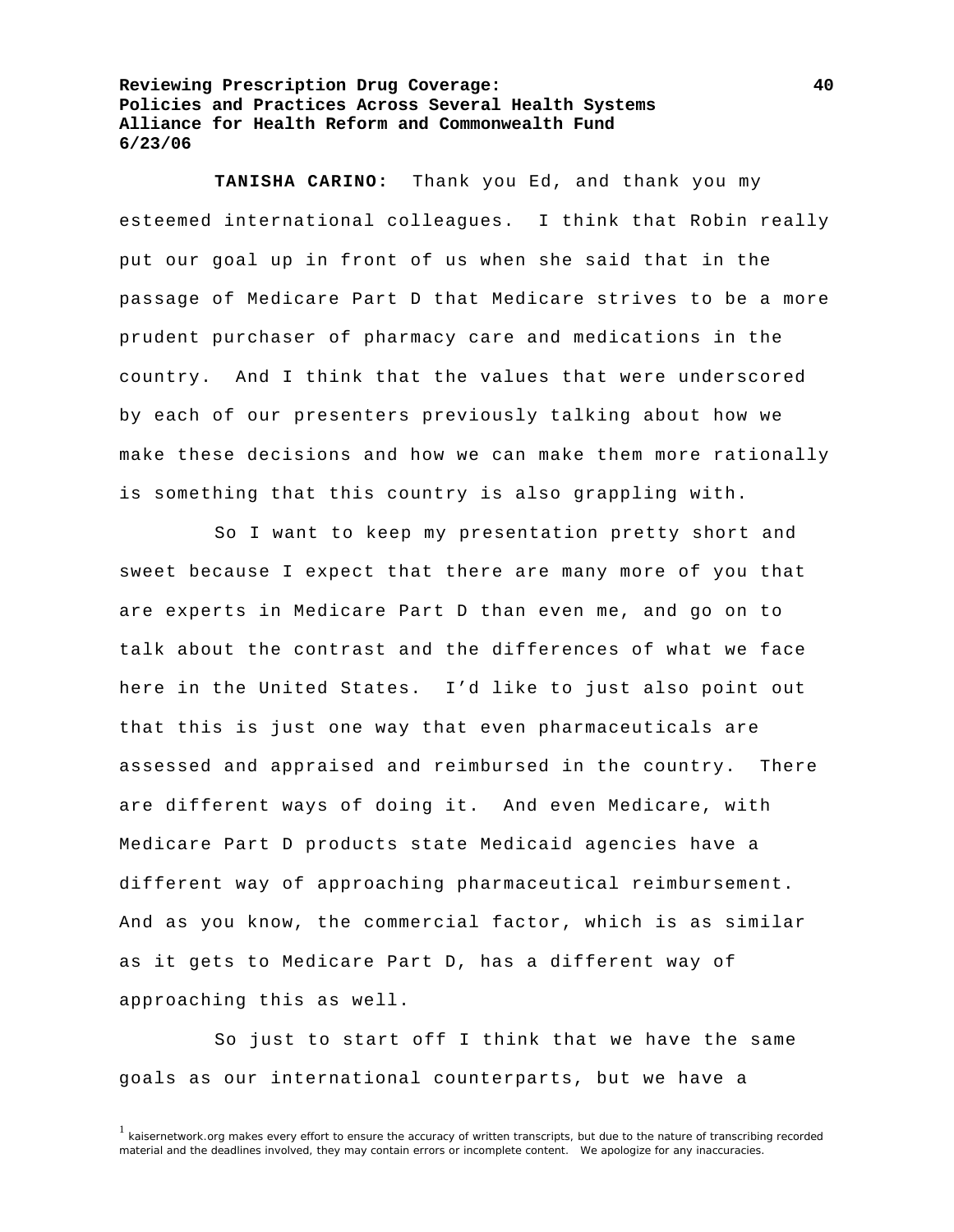**TANISHA CARINO:** Thank you Ed, and thank you my esteemed international colleagues. I think that Robin really put our goal up in front of us when she said that in the passage of Medicare Part D that Medicare strives to be a more prudent purchaser of pharmacy care and medications in the country. And I think that the values that were underscored by each of our presenters previously talking about how we make these decisions and how we can make them more rationally is something that this country is also grappling with.

 So I want to keep my presentation pretty short and sweet because I expect that there are many more of you that are experts in Medicare Part D than even me, and go on to talk about the contrast and the differences of what we face here in the United States. I'd like to just also point out that this is just one way that even pharmaceuticals are assessed and appraised and reimbursed in the country. There are different ways of doing it. And even Medicare, with Medicare Part D products state Medicaid agencies have a different way of approaching pharmaceutical reimbursement. And as you know, the commercial factor, which is as similar as it gets to Medicare Part D, has a different way of approaching this as well.

 So just to start off I think that we have the same goals as our international counterparts, but we have a

<sup>&</sup>lt;sup>1</sup> kaisernetwork.org makes every effort to ensure the accuracy of written transcripts, but due to the nature of transcribing recorded material and the deadlines involved, they may contain errors or incomplete content. We apologize for any inaccuracies.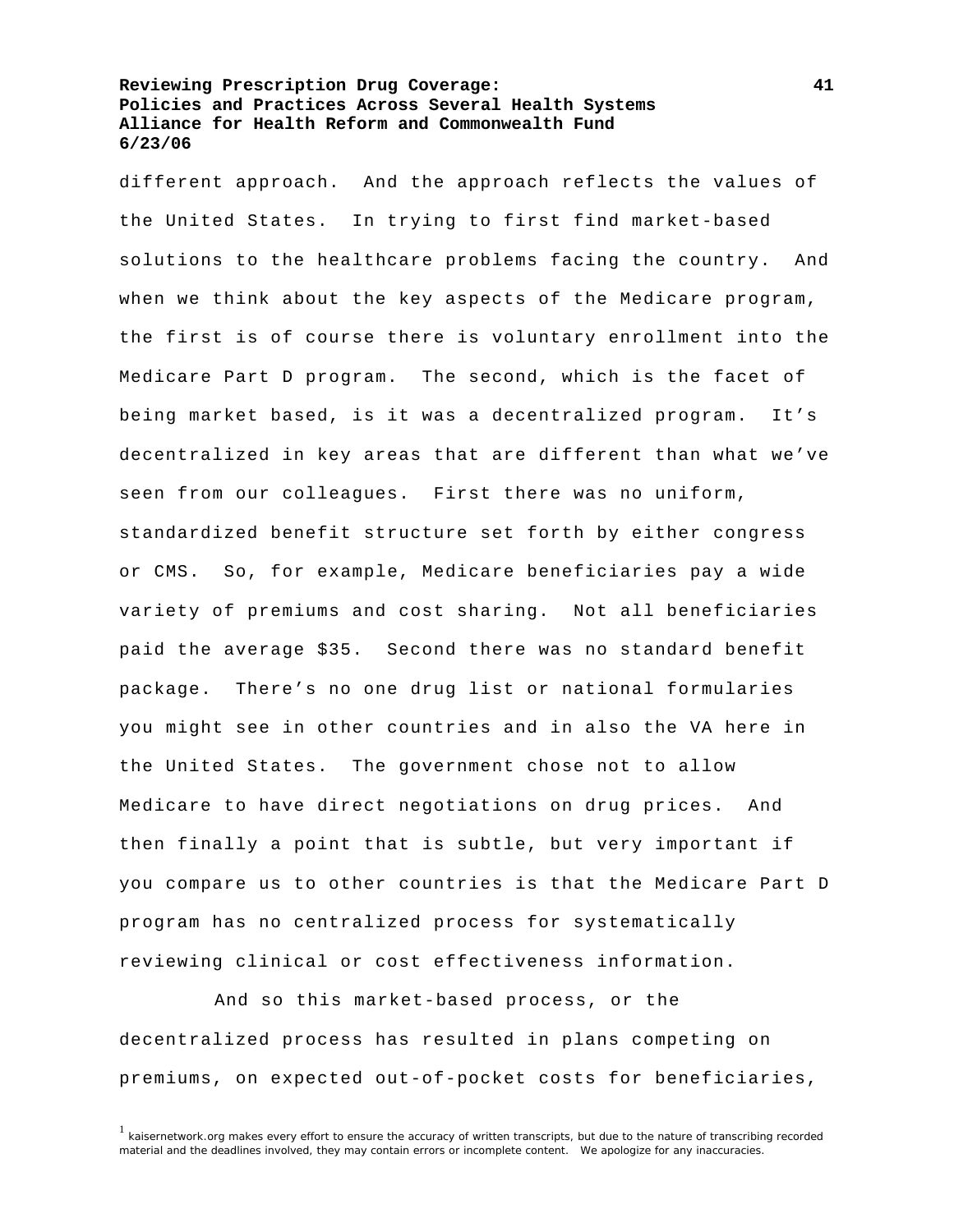different approach. And the approach reflects the values of the United States. In trying to first find market-based solutions to the healthcare problems facing the country. And when we think about the key aspects of the Medicare program, the first is of course there is voluntary enrollment into the Medicare Part D program. The second, which is the facet of being market based, is it was a decentralized program. It's decentralized in key areas that are different than what we've seen from our colleagues. First there was no uniform, standardized benefit structure set forth by either congress or CMS. So, for example, Medicare beneficiaries pay a wide variety of premiums and cost sharing. Not all beneficiaries paid the average \$35. Second there was no standard benefit package. There's no one drug list or national formularies you might see in other countries and in also the VA here in the United States. The government chose not to allow Medicare to have direct negotiations on drug prices. And then finally a point that is subtle, but very important if you compare us to other countries is that the Medicare Part D program has no centralized process for systematically reviewing clinical or cost effectiveness information.

 And so this market-based process, or the decentralized process has resulted in plans competing on premiums, on expected out-of-pocket costs for beneficiaries,

 $1$  kaisernetwork.org makes every effort to ensure the accuracy of written transcripts, but due to the nature of transcribing recorded material and the deadlines involved, they may contain errors or incomplete content. We apologize for any inaccuracies.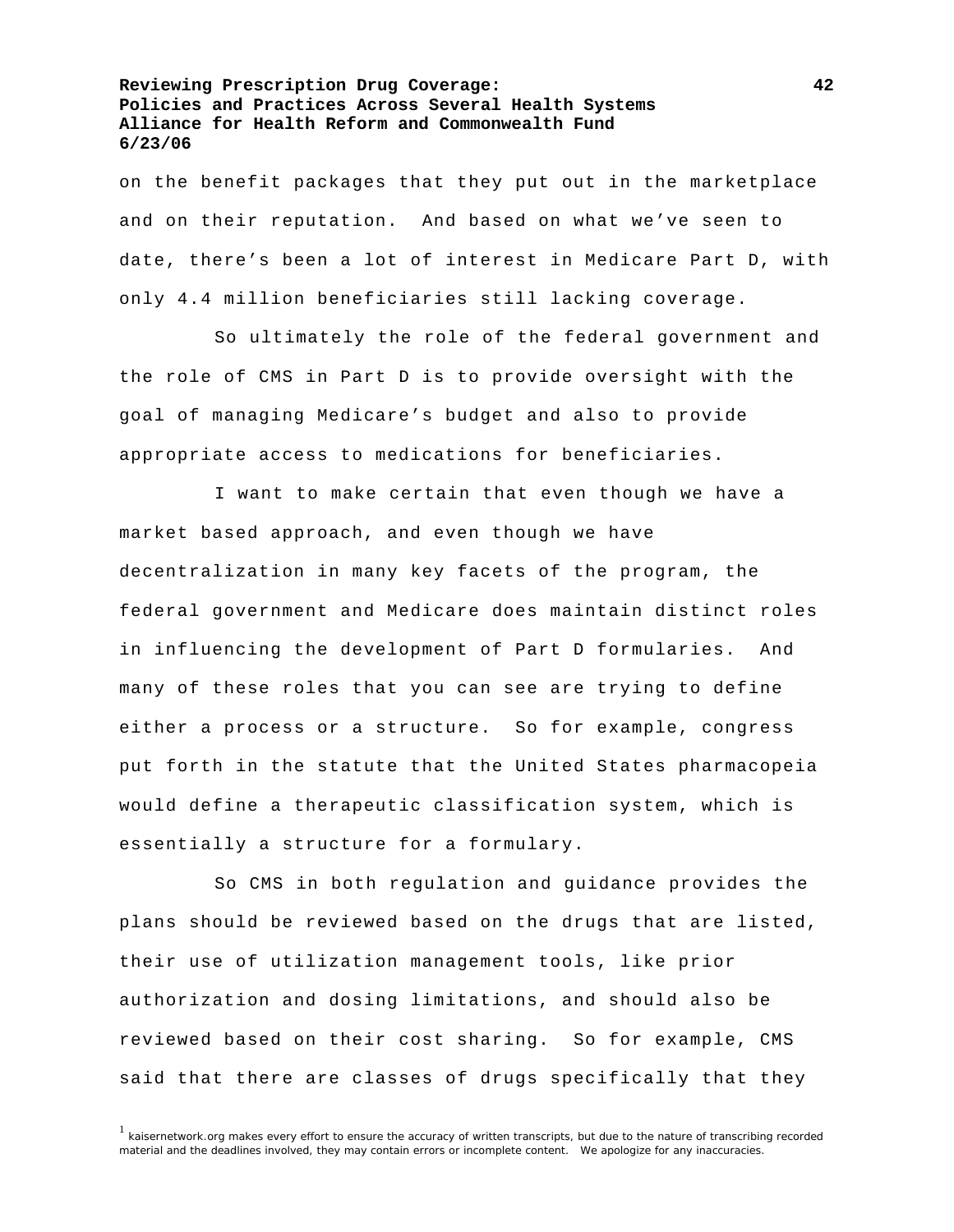on the benefit packages that they put out in the marketplace and on their reputation. And based on what we've seen to date, there's been a lot of interest in Medicare Part D, with only 4.4 million beneficiaries still lacking coverage.

 So ultimately the role of the federal government and the role of CMS in Part D is to provide oversight with the goal of managing Medicare's budget and also to provide appropriate access to medications for beneficiaries.

 I want to make certain that even though we have a market based approach, and even though we have decentralization in many key facets of the program, the federal government and Medicare does maintain distinct roles in influencing the development of Part D formularies. And many of these roles that you can see are trying to define either a process or a structure. So for example, congress put forth in the statute that the United States pharmacopeia would define a therapeutic classification system, which is essentially a structure for a formulary.

 So CMS in both regulation and guidance provides the plans should be reviewed based on the drugs that are listed, their use of utilization management tools, like prior authorization and dosing limitations, and should also be reviewed based on their cost sharing. So for example, CMS said that there are classes of drugs specifically that they

 $1$  kaisernetwork.org makes every effort to ensure the accuracy of written transcripts, but due to the nature of transcribing recorded material and the deadlines involved, they may contain errors or incomplete content. We apologize for any inaccuracies.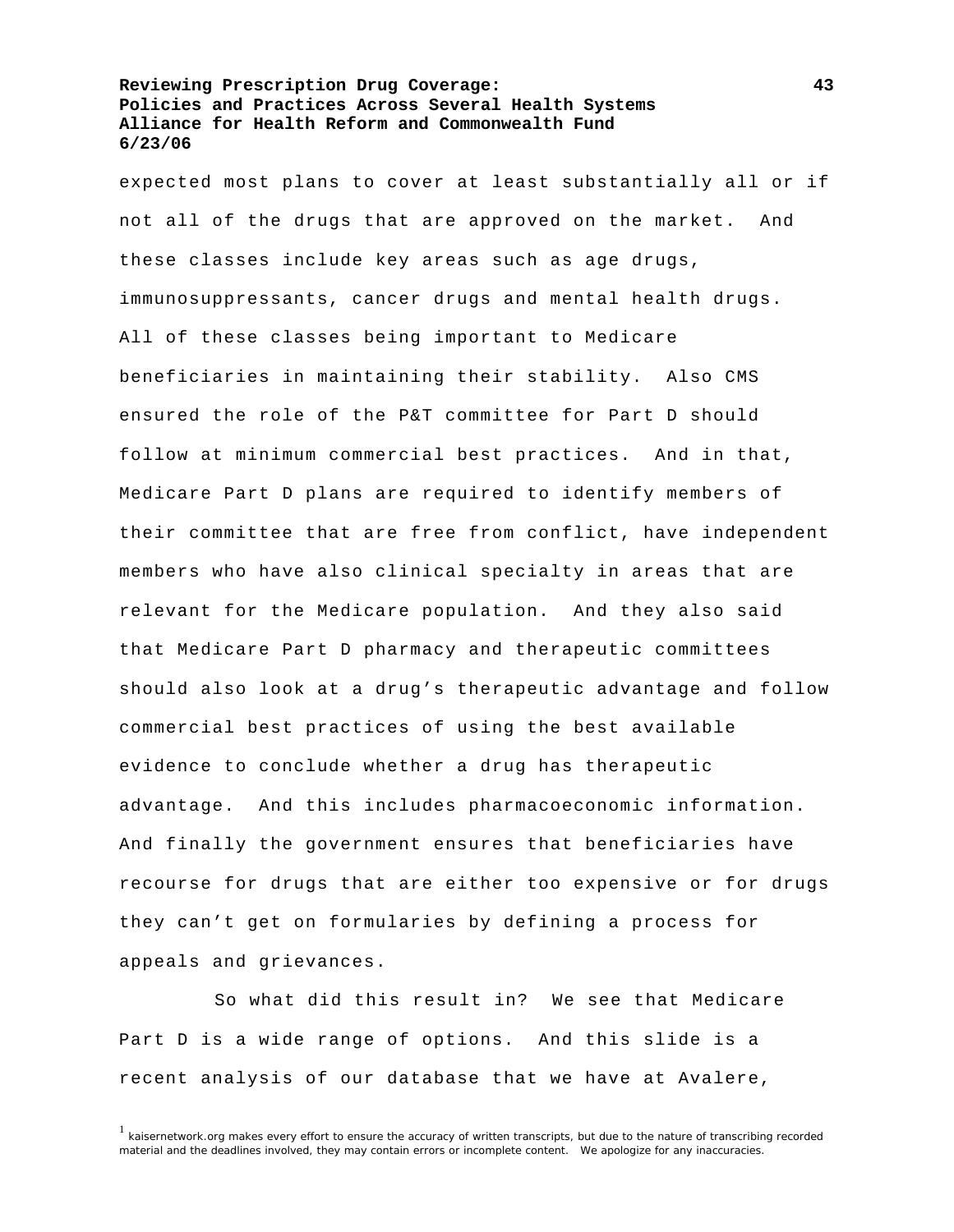expected most plans to cover at least substantially all or if not all of the drugs that are approved on the market. And these classes include key areas such as age drugs, immunosuppressants, cancer drugs and mental health drugs. All of these classes being important to Medicare beneficiaries in maintaining their stability. Also CMS ensured the role of the P&T committee for Part D should follow at minimum commercial best practices. And in that, Medicare Part D plans are required to identify members of their committee that are free from conflict, have independent members who have also clinical specialty in areas that are relevant for the Medicare population. And they also said that Medicare Part D pharmacy and therapeutic committees should also look at a drug's therapeutic advantage and follow commercial best practices of using the best available evidence to conclude whether a drug has therapeutic advantage. And this includes pharmacoeconomic information. And finally the government ensures that beneficiaries have recourse for drugs that are either too expensive or for drugs they can't get on formularies by defining a process for appeals and grievances.

 So what did this result in? We see that Medicare Part D is a wide range of options. And this slide is a recent analysis of our database that we have at Avalere,

<sup>&</sup>lt;sup>1</sup> kaisernetwork.org makes every effort to ensure the accuracy of written transcripts, but due to the nature of transcribing recorded material and the deadlines involved, they may contain errors or incomplete content. We apologize for any inaccuracies.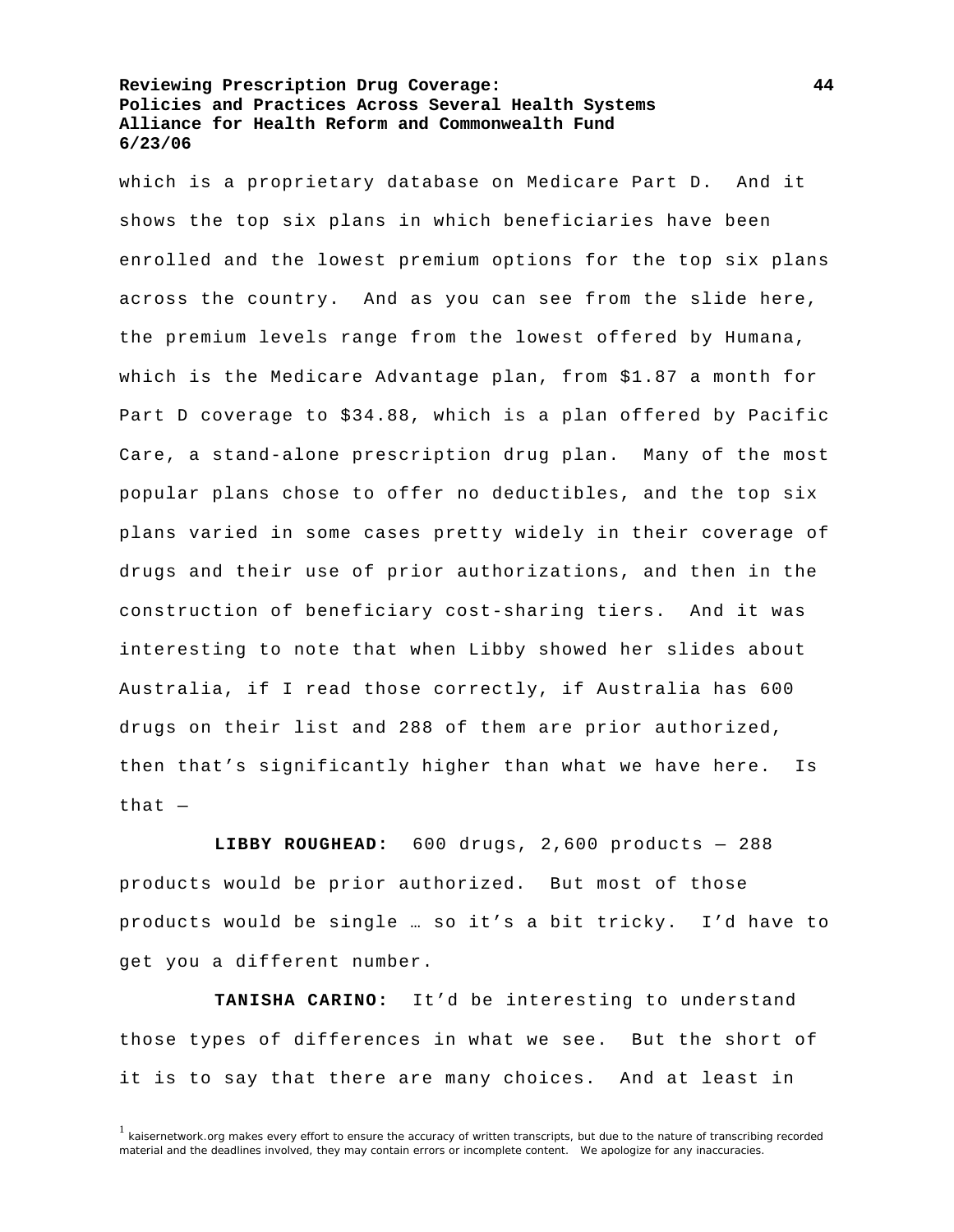which is a proprietary database on Medicare Part D. And it shows the top six plans in which beneficiaries have been enrolled and the lowest premium options for the top six plans across the country. And as you can see from the slide here, the premium levels range from the lowest offered by Humana, which is the Medicare Advantage plan, from \$1.87 a month for Part D coverage to \$34.88, which is a plan offered by Pacific Care, a stand-alone prescription drug plan. Many of the most popular plans chose to offer no deductibles, and the top six plans varied in some cases pretty widely in their coverage of drugs and their use of prior authorizations, and then in the construction of beneficiary cost-sharing tiers. And it was interesting to note that when Libby showed her slides about Australia, if I read those correctly, if Australia has 600 drugs on their list and 288 of them are prior authorized, then that's significantly higher than what we have here. Is that  $-$ 

**LIBBY ROUGHEAD:** 600 drugs, 2,600 products — 288 products would be prior authorized. But most of those products would be single … so it's a bit tricky. I'd have to get you a different number.

**TANISHA CARINO:** It'd be interesting to understand those types of differences in what we see. But the short of it is to say that there are many choices. And at least in

 $1$  kaisernetwork.org makes every effort to ensure the accuracy of written transcripts, but due to the nature of transcribing recorded material and the deadlines involved, they may contain errors or incomplete content. We apologize for any inaccuracies.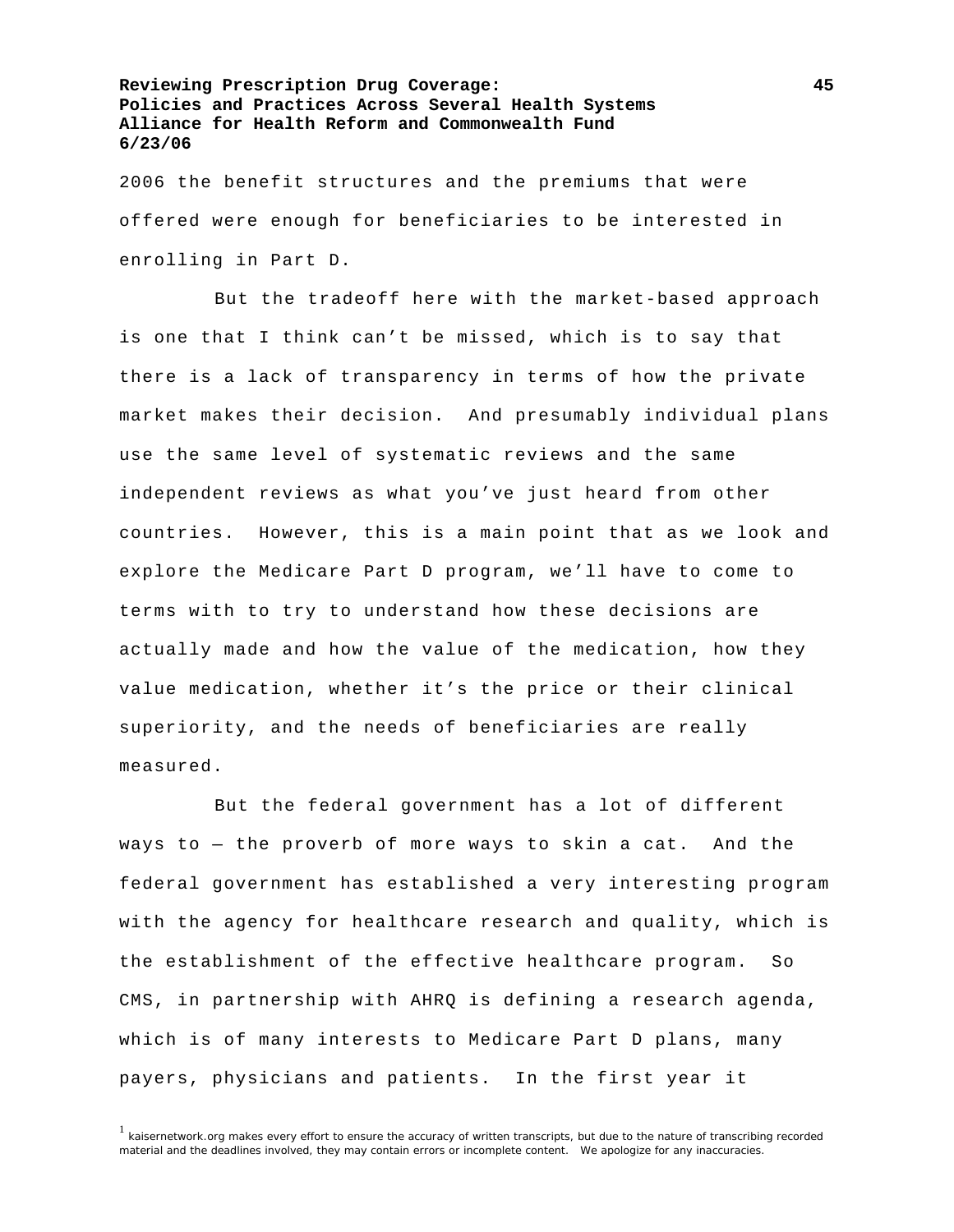2006 the benefit structures and the premiums that were offered were enough for beneficiaries to be interested in enrolling in Part D.

 But the tradeoff here with the market-based approach is one that I think can't be missed, which is to say that there is a lack of transparency in terms of how the private market makes their decision. And presumably individual plans use the same level of systematic reviews and the same independent reviews as what you've just heard from other countries. However, this is a main point that as we look and explore the Medicare Part D program, we'll have to come to terms with to try to understand how these decisions are actually made and how the value of the medication, how they value medication, whether it's the price or their clinical superiority, and the needs of beneficiaries are really measured.

 But the federal government has a lot of different ways to — the proverb of more ways to skin a cat. And the federal government has established a very interesting program with the agency for healthcare research and quality, which is the establishment of the effective healthcare program. So CMS, in partnership with AHRQ is defining a research agenda, which is of many interests to Medicare Part D plans, many payers, physicians and patients. In the first year it

<sup>1</sup> kaisernetwork.org makes every effort to ensure the accuracy of written transcripts, but due to the nature of transcribing recorded material and the deadlines involved, they may contain errors or incomplete content. We apologize for any inaccuracies.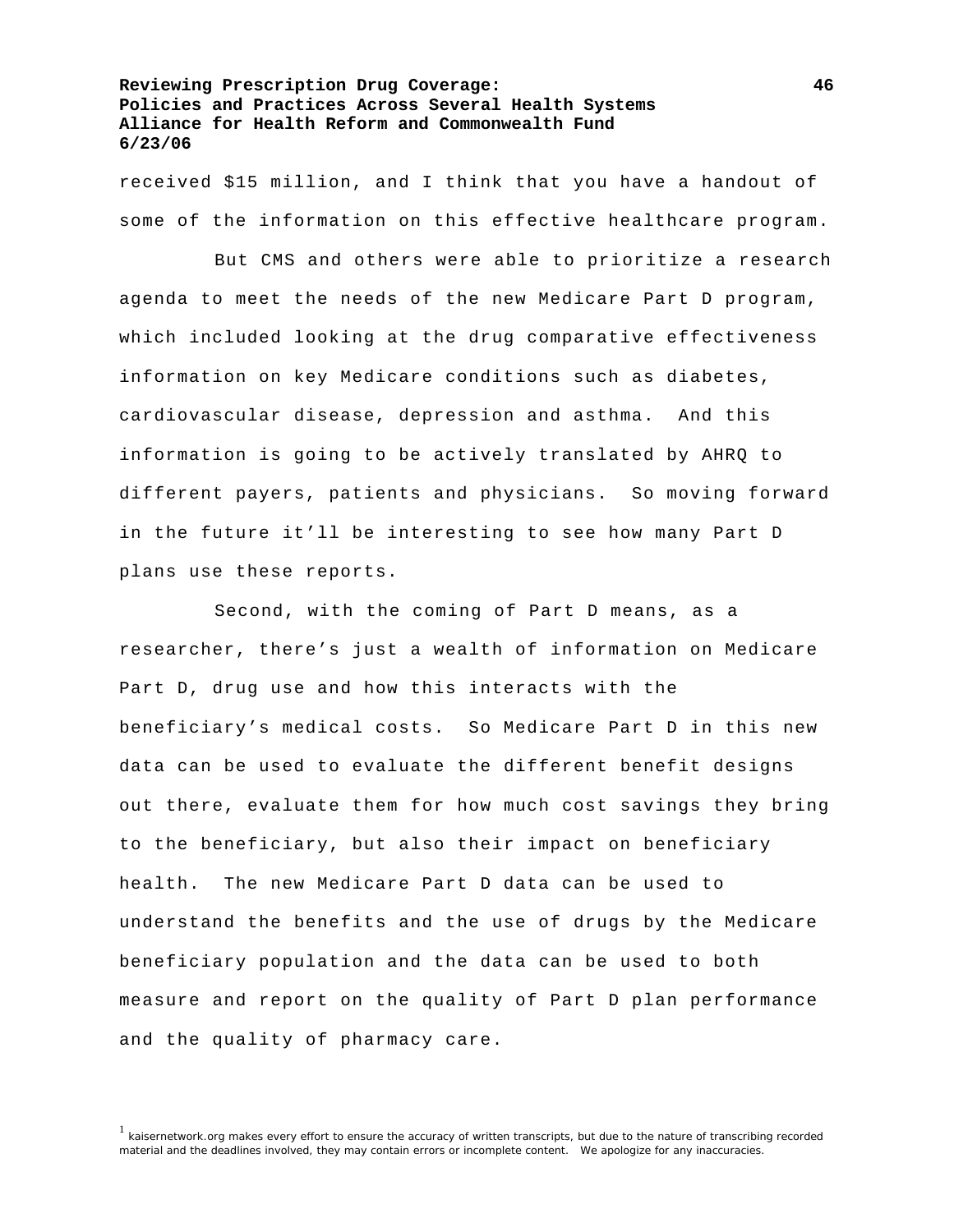received \$15 million, and I think that you have a handout of some of the information on this effective healthcare program.

 But CMS and others were able to prioritize a research agenda to meet the needs of the new Medicare Part D program, which included looking at the drug comparative effectiveness information on key Medicare conditions such as diabetes, cardiovascular disease, depression and asthma. And this information is going to be actively translated by AHRQ to different payers, patients and physicians. So moving forward in the future it'll be interesting to see how many Part D plans use these reports.

 Second, with the coming of Part D means, as a researcher, there's just a wealth of information on Medicare Part D, drug use and how this interacts with the beneficiary's medical costs. So Medicare Part D in this new data can be used to evaluate the different benefit designs out there, evaluate them for how much cost savings they bring to the beneficiary, but also their impact on beneficiary health. The new Medicare Part D data can be used to understand the benefits and the use of drugs by the Medicare beneficiary population and the data can be used to both measure and report on the quality of Part D plan performance and the quality of pharmacy care.

<sup>&</sup>lt;sup>1</sup> kaisernetwork.org makes every effort to ensure the accuracy of written transcripts, but due to the nature of transcribing recorded material and the deadlines involved, they may contain errors or incomplete content. We apologize for any inaccuracies.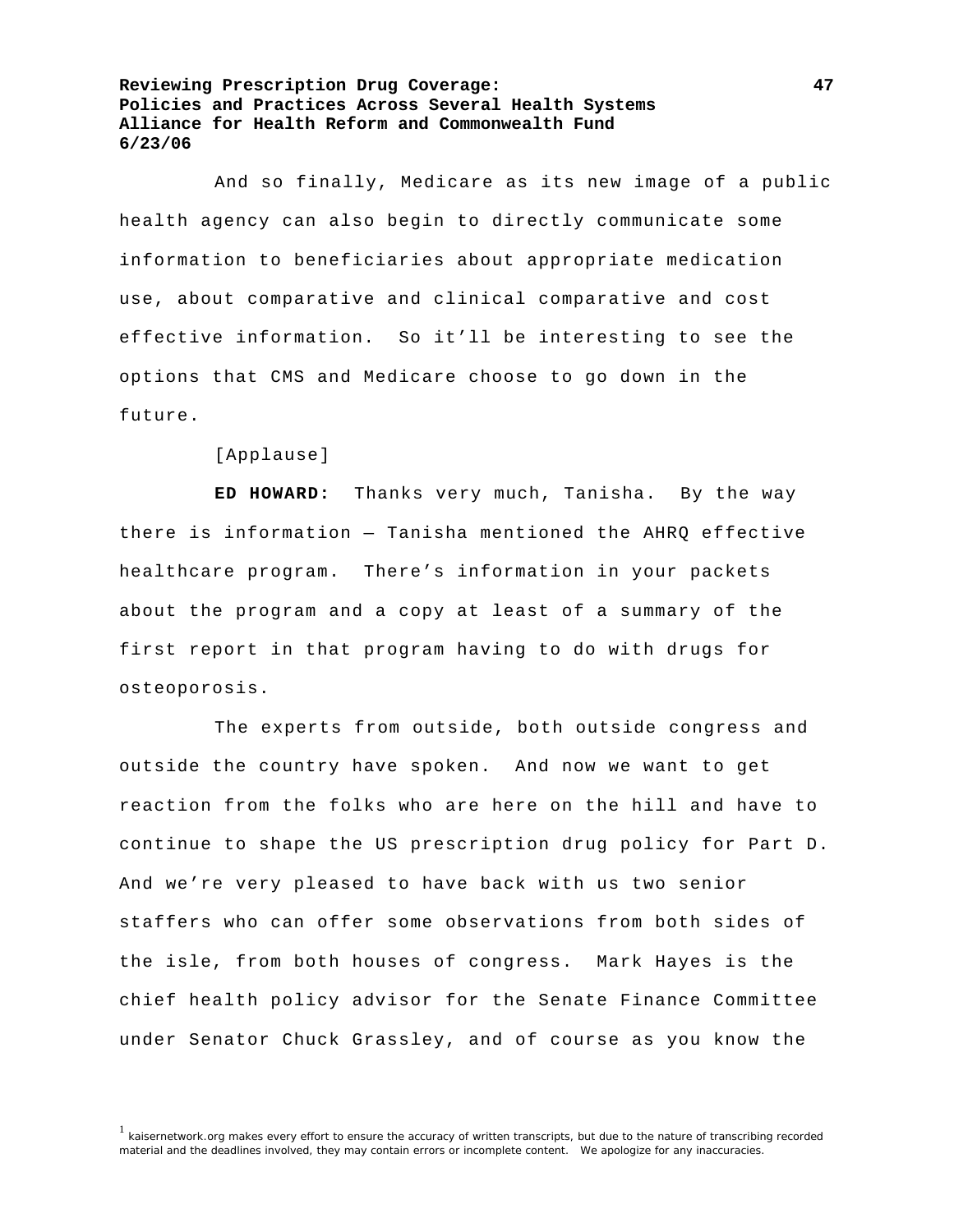And so finally, Medicare as its new image of a public health agency can also begin to directly communicate some information to beneficiaries about appropriate medication use, about comparative and clinical comparative and cost effective information. So it'll be interesting to see the options that CMS and Medicare choose to go down in the future.

[Applause]

**ED HOWARD:** Thanks very much, Tanisha. By the way there is information — Tanisha mentioned the AHRQ effective healthcare program. There's information in your packets about the program and a copy at least of a summary of the first report in that program having to do with drugs for osteoporosis.

 The experts from outside, both outside congress and outside the country have spoken. And now we want to get reaction from the folks who are here on the hill and have to continue to shape the US prescription drug policy for Part D. And we're very pleased to have back with us two senior staffers who can offer some observations from both sides of the isle, from both houses of congress. Mark Hayes is the chief health policy advisor for the Senate Finance Committee under Senator Chuck Grassley, and of course as you know the

<sup>&</sup>lt;sup>1</sup> kaisernetwork.org makes every effort to ensure the accuracy of written transcripts, but due to the nature of transcribing recorded material and the deadlines involved, they may contain errors or incomplete content. We apologize for any inaccuracies.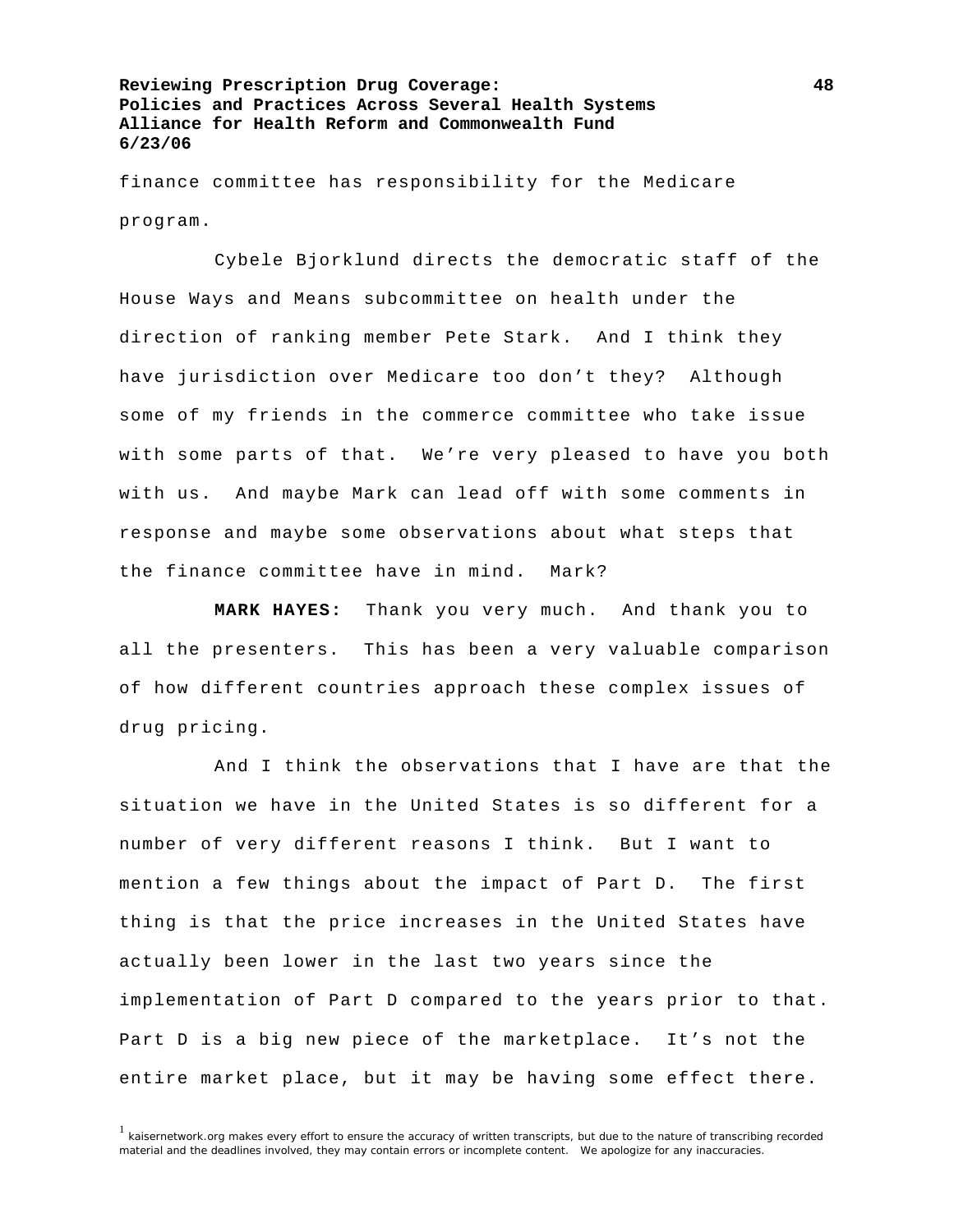finance committee has responsibility for the Medicare program.

 Cybele Bjorklund directs the democratic staff of the House Ways and Means subcommittee on health under the direction of ranking member Pete Stark. And I think they have jurisdiction over Medicare too don't they? Although some of my friends in the commerce committee who take issue with some parts of that. We're very pleased to have you both with us. And maybe Mark can lead off with some comments in response and maybe some observations about what steps that the finance committee have in mind. Mark?

**MARK HAYES:** Thank you very much. And thank you to all the presenters. This has been a very valuable comparison of how different countries approach these complex issues of drug pricing.

 And I think the observations that I have are that the situation we have in the United States is so different for a number of very different reasons I think. But I want to mention a few things about the impact of Part D. The first thing is that the price increases in the United States have actually been lower in the last two years since the implementation of Part D compared to the years prior to that. Part D is a big new piece of the marketplace. It's not the entire market place, but it may be having some effect there.

 $1$  kaisernetwork.org makes every effort to ensure the accuracy of written transcripts, but due to the nature of transcribing recorded material and the deadlines involved, they may contain errors or incomplete content. We apologize for any inaccuracies.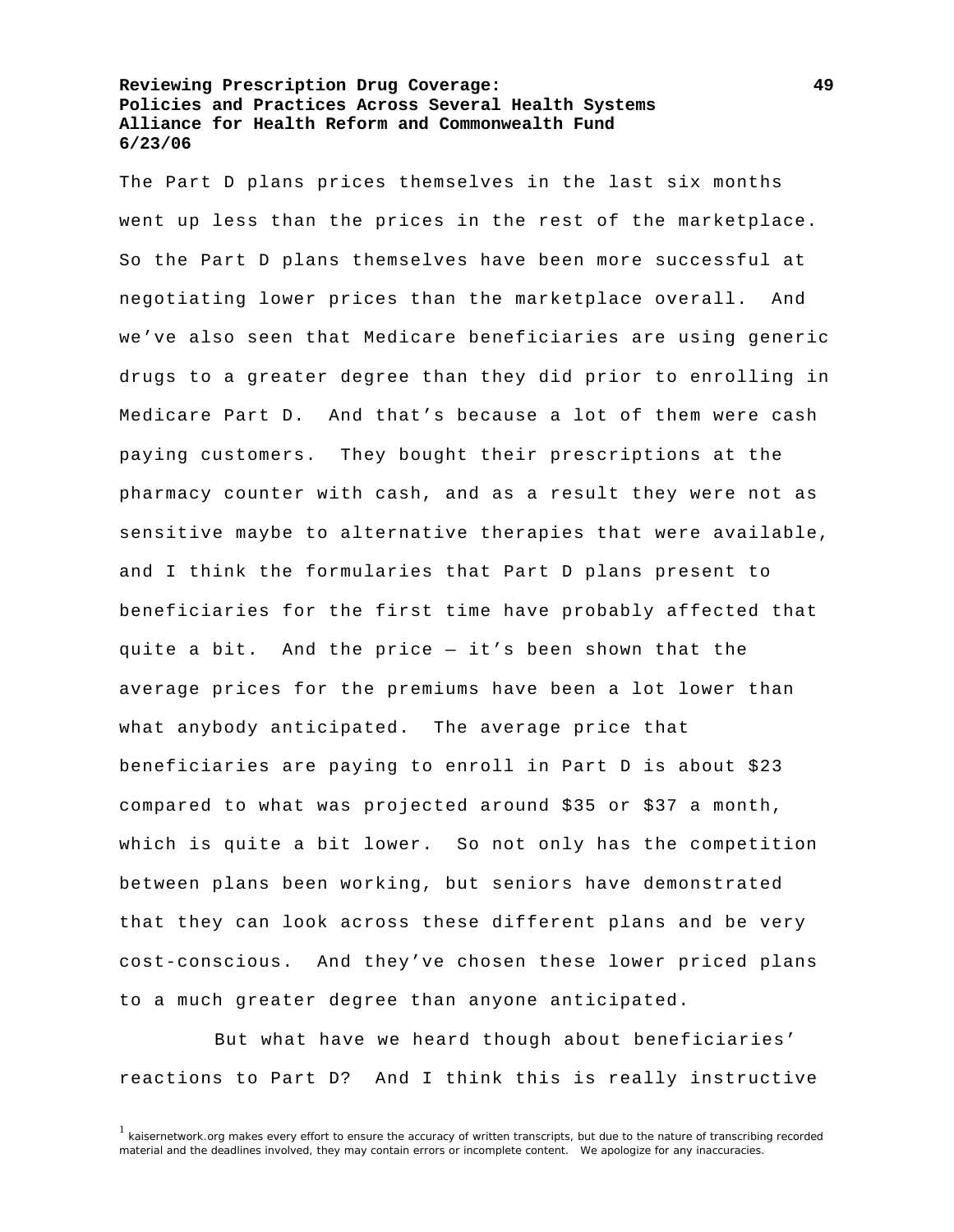The Part D plans prices themselves in the last six months went up less than the prices in the rest of the marketplace. So the Part D plans themselves have been more successful at negotiating lower prices than the marketplace overall. And we've also seen that Medicare beneficiaries are using generic drugs to a greater degree than they did prior to enrolling in Medicare Part D. And that's because a lot of them were cash paying customers. They bought their prescriptions at the pharmacy counter with cash, and as a result they were not as sensitive maybe to alternative therapies that were available, and I think the formularies that Part D plans present to beneficiaries for the first time have probably affected that quite a bit. And the price — it's been shown that the average prices for the premiums have been a lot lower than what anybody anticipated. The average price that beneficiaries are paying to enroll in Part D is about \$23 compared to what was projected around \$35 or \$37 a month, which is quite a bit lower. So not only has the competition between plans been working, but seniors have demonstrated that they can look across these different plans and be very cost-conscious. And they've chosen these lower priced plans to a much greater degree than anyone anticipated.

 But what have we heard though about beneficiaries' reactions to Part D? And I think this is really instructive

 $1$  kaisernetwork.org makes every effort to ensure the accuracy of written transcripts, but due to the nature of transcribing recorded material and the deadlines involved, they may contain errors or incomplete content. We apologize for any inaccuracies.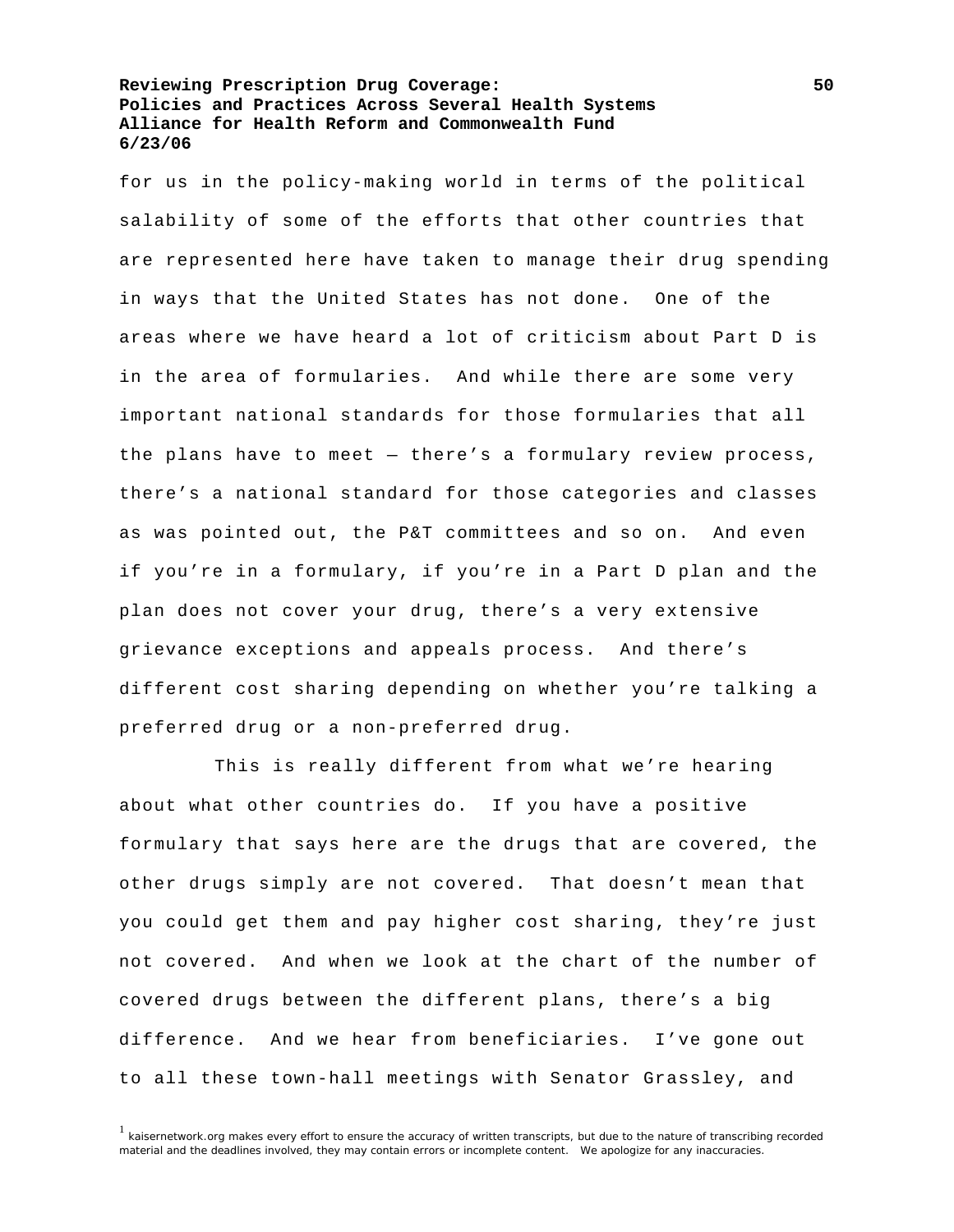for us in the policy-making world in terms of the political salability of some of the efforts that other countries that are represented here have taken to manage their drug spending in ways that the United States has not done. One of the areas where we have heard a lot of criticism about Part D is in the area of formularies. And while there are some very important national standards for those formularies that all the plans have to meet — there's a formulary review process, there's a national standard for those categories and classes as was pointed out, the P&T committees and so on. And even if you're in a formulary, if you're in a Part D plan and the plan does not cover your drug, there's a very extensive grievance exceptions and appeals process. And there's different cost sharing depending on whether you're talking a preferred drug or a non-preferred drug.

 This is really different from what we're hearing about what other countries do. If you have a positive formulary that says here are the drugs that are covered, the other drugs simply are not covered. That doesn't mean that you could get them and pay higher cost sharing, they're just not covered. And when we look at the chart of the number of covered drugs between the different plans, there's a big difference. And we hear from beneficiaries. I've gone out to all these town-hall meetings with Senator Grassley, and

 $1$  kaisernetwork.org makes every effort to ensure the accuracy of written transcripts, but due to the nature of transcribing recorded material and the deadlines involved, they may contain errors or incomplete content. We apologize for any inaccuracies.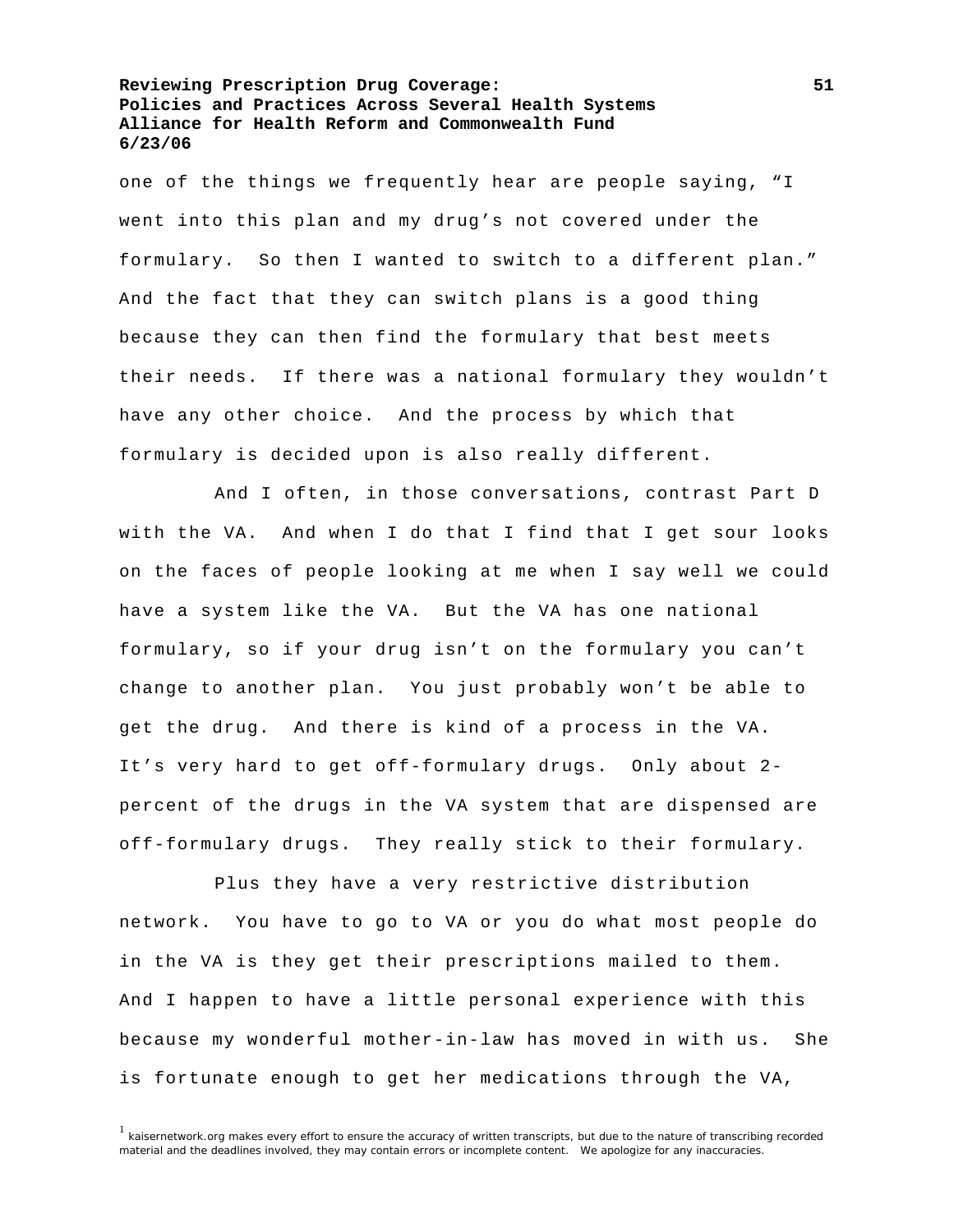one of the things we frequently hear are people saying, "I went into this plan and my drug's not covered under the formulary. So then I wanted to switch to a different plan." And the fact that they can switch plans is a good thing because they can then find the formulary that best meets their needs. If there was a national formulary they wouldn't have any other choice. And the process by which that formulary is decided upon is also really different.

 And I often, in those conversations, contrast Part D with the VA. And when I do that I find that I get sour looks on the faces of people looking at me when I say well we could have a system like the VA. But the VA has one national formulary, so if your drug isn't on the formulary you can't change to another plan. You just probably won't be able to get the drug. And there is kind of a process in the VA. It's very hard to get off-formulary drugs. Only about 2 percent of the drugs in the VA system that are dispensed are off-formulary drugs. They really stick to their formulary.

 Plus they have a very restrictive distribution network. You have to go to VA or you do what most people do in the VA is they get their prescriptions mailed to them. And I happen to have a little personal experience with this because my wonderful mother-in-law has moved in with us. She is fortunate enough to get her medications through the VA,

 $1$  kaisernetwork.org makes every effort to ensure the accuracy of written transcripts, but due to the nature of transcribing recorded material and the deadlines involved, they may contain errors or incomplete content. We apologize for any inaccuracies.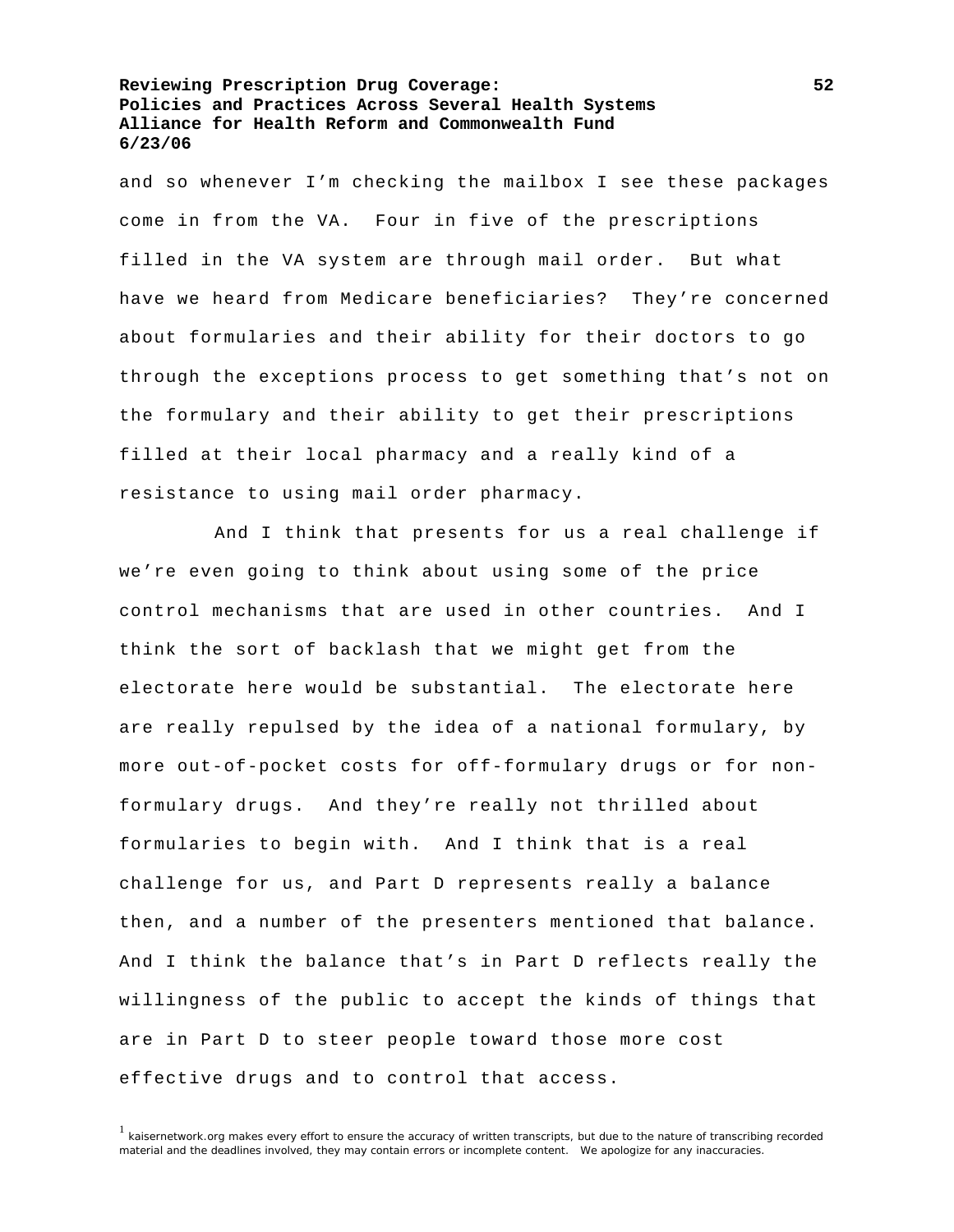and so whenever I'm checking the mailbox I see these packages come in from the VA. Four in five of the prescriptions filled in the VA system are through mail order. But what have we heard from Medicare beneficiaries? They're concerned about formularies and their ability for their doctors to go through the exceptions process to get something that's not on the formulary and their ability to get their prescriptions filled at their local pharmacy and a really kind of a resistance to using mail order pharmacy.

 And I think that presents for us a real challenge if we're even going to think about using some of the price control mechanisms that are used in other countries. And I think the sort of backlash that we might get from the electorate here would be substantial. The electorate here are really repulsed by the idea of a national formulary, by more out-of-pocket costs for off-formulary drugs or for nonformulary drugs. And they're really not thrilled about formularies to begin with. And I think that is a real challenge for us, and Part D represents really a balance then, and a number of the presenters mentioned that balance. And I think the balance that's in Part D reflects really the willingness of the public to accept the kinds of things that are in Part D to steer people toward those more cost effective drugs and to control that access.

<sup>&</sup>lt;sup>1</sup> kaisernetwork.org makes every effort to ensure the accuracy of written transcripts, but due to the nature of transcribing recorded material and the deadlines involved, they may contain errors or incomplete content. We apologize for any inaccuracies.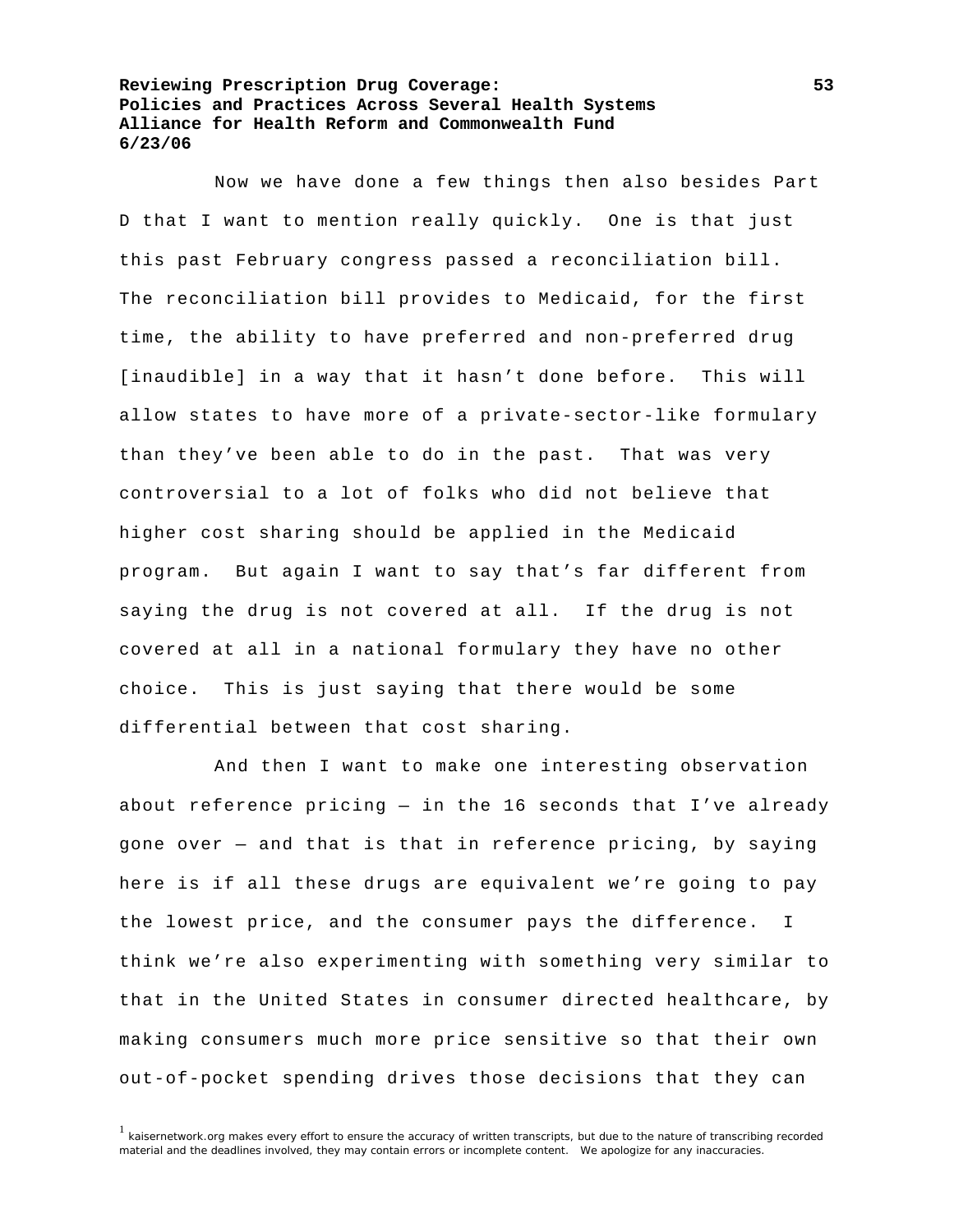Now we have done a few things then also besides Part D that I want to mention really quickly. One is that just this past February congress passed a reconciliation bill. The reconciliation bill provides to Medicaid, for the first time, the ability to have preferred and non-preferred drug [inaudible] in a way that it hasn't done before. This will allow states to have more of a private-sector-like formulary than they've been able to do in the past. That was very controversial to a lot of folks who did not believe that higher cost sharing should be applied in the Medicaid program. But again I want to say that's far different from saying the drug is not covered at all. If the drug is not covered at all in a national formulary they have no other choice. This is just saying that there would be some differential between that cost sharing.

 And then I want to make one interesting observation about reference pricing — in the 16 seconds that I've already gone over — and that is that in reference pricing, by saying here is if all these drugs are equivalent we're going to pay the lowest price, and the consumer pays the difference. I think we're also experimenting with something very similar to that in the United States in consumer directed healthcare, by making consumers much more price sensitive so that their own out-of-pocket spending drives those decisions that they can

 $1$  kaisernetwork.org makes every effort to ensure the accuracy of written transcripts, but due to the nature of transcribing recorded material and the deadlines involved, they may contain errors or incomplete content. We apologize for any inaccuracies.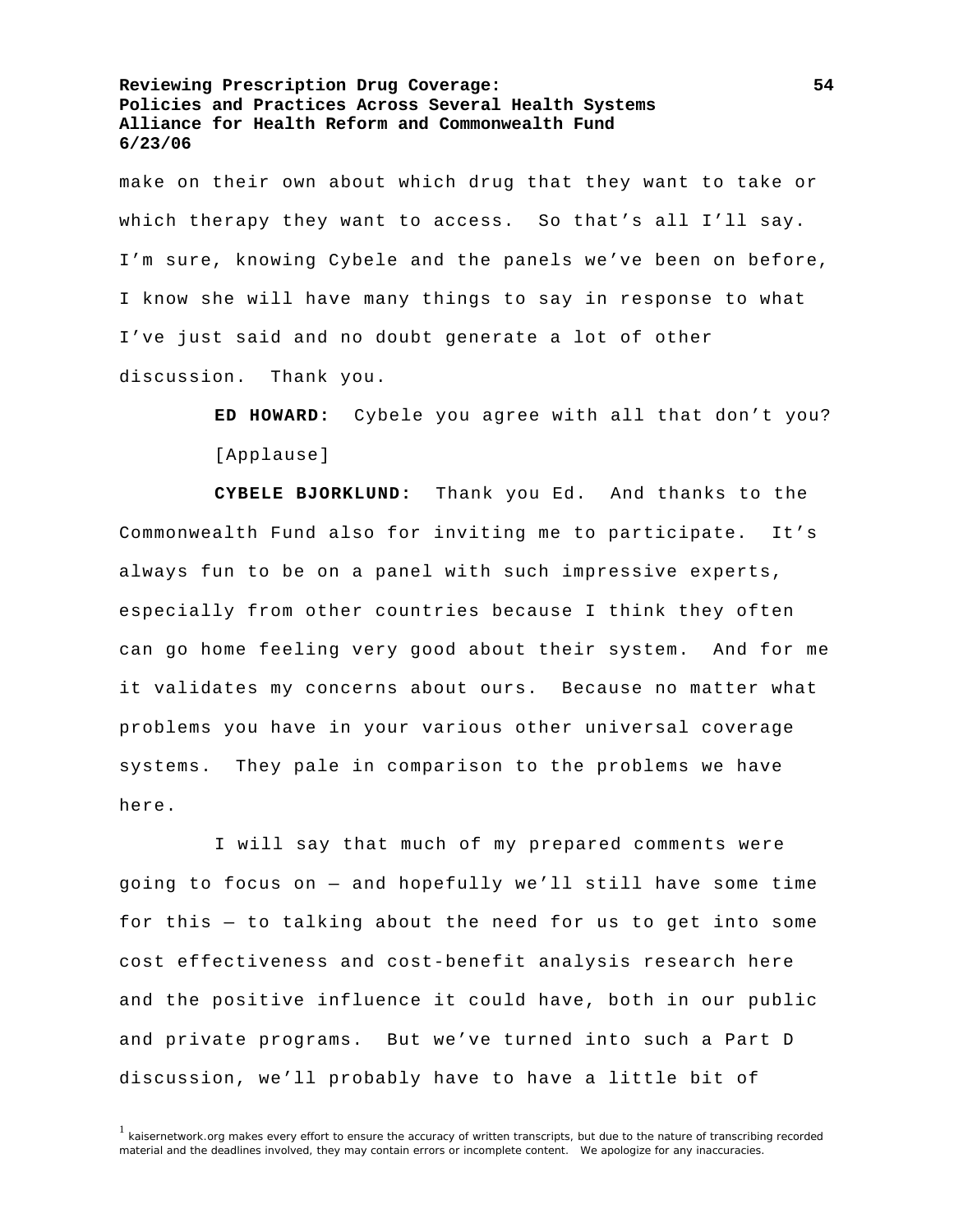make on their own about which drug that they want to take or which therapy they want to access. So that's all I'll say. I'm sure, knowing Cybele and the panels we've been on before, I know she will have many things to say in response to what I've just said and no doubt generate a lot of other discussion. Thank you.

> **ED HOWARD:** Cybele you agree with all that don't you? [Applause]

**CYBELE BJORKLUND:** Thank you Ed. And thanks to the Commonwealth Fund also for inviting me to participate. It's always fun to be on a panel with such impressive experts, especially from other countries because I think they often can go home feeling very good about their system. And for me it validates my concerns about ours. Because no matter what problems you have in your various other universal coverage systems. They pale in comparison to the problems we have here.

 I will say that much of my prepared comments were going to focus on — and hopefully we'll still have some time for this — to talking about the need for us to get into some cost effectiveness and cost-benefit analysis research here and the positive influence it could have, both in our public and private programs. But we've turned into such a Part D discussion, we'll probably have to have a little bit of

 $1$  kaisernetwork.org makes every effort to ensure the accuracy of written transcripts, but due to the nature of transcribing recorded material and the deadlines involved, they may contain errors or incomplete content. We apologize for any inaccuracies.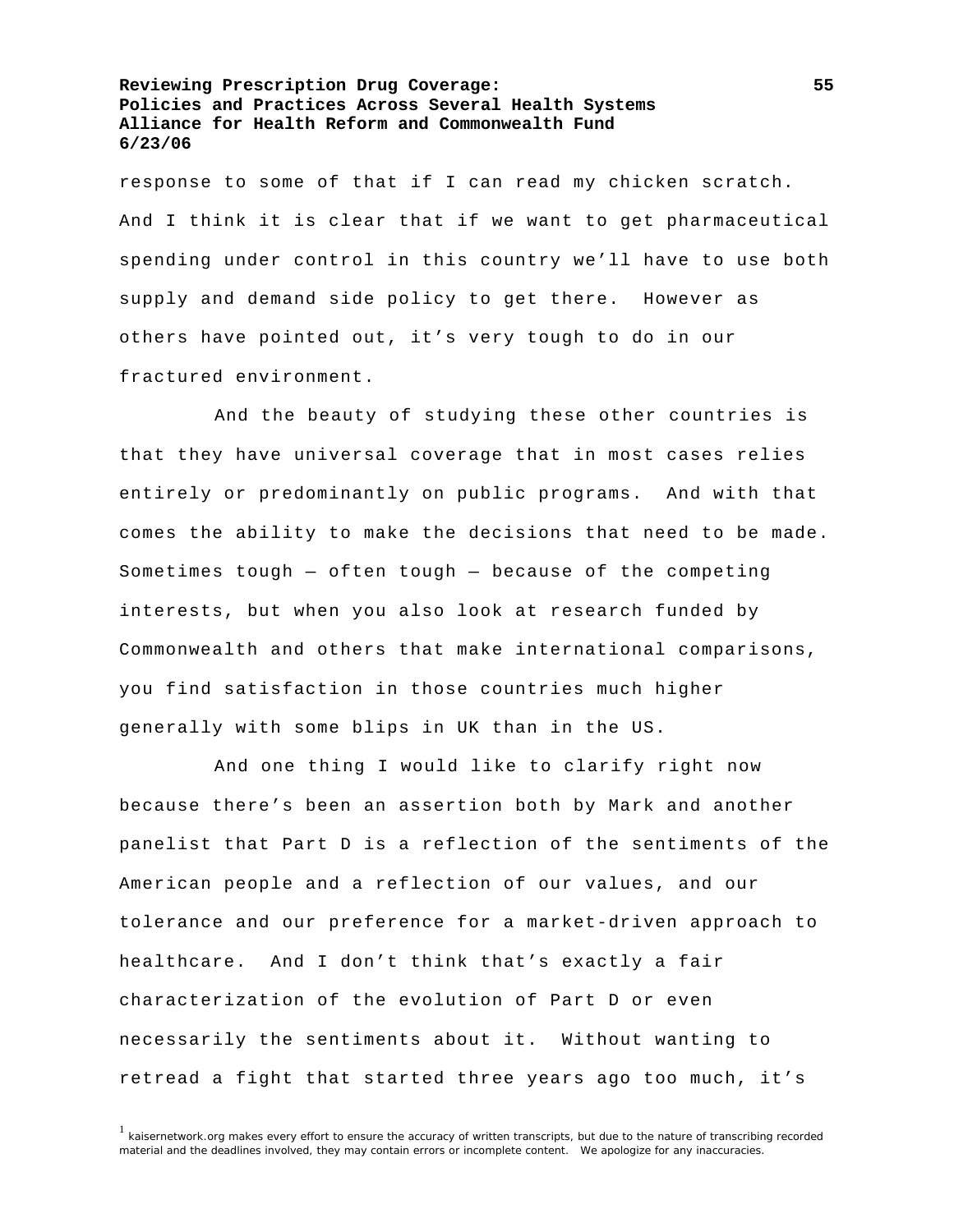response to some of that if I can read my chicken scratch. And I think it is clear that if we want to get pharmaceutical spending under control in this country we'll have to use both supply and demand side policy to get there. However as others have pointed out, it's very tough to do in our fractured environment.

 And the beauty of studying these other countries is that they have universal coverage that in most cases relies entirely or predominantly on public programs. And with that comes the ability to make the decisions that need to be made. Sometimes tough — often tough — because of the competing interests, but when you also look at research funded by Commonwealth and others that make international comparisons, you find satisfaction in those countries much higher generally with some blips in UK than in the US.

 And one thing I would like to clarify right now because there's been an assertion both by Mark and another panelist that Part D is a reflection of the sentiments of the American people and a reflection of our values, and our tolerance and our preference for a market-driven approach to healthcare. And I don't think that's exactly a fair characterization of the evolution of Part D or even necessarily the sentiments about it. Without wanting to retread a fight that started three years ago too much, it's

<sup>&</sup>lt;sup>1</sup> kaisernetwork.org makes every effort to ensure the accuracy of written transcripts, but due to the nature of transcribing recorded material and the deadlines involved, they may contain errors or incomplete content. We apologize for any inaccuracies.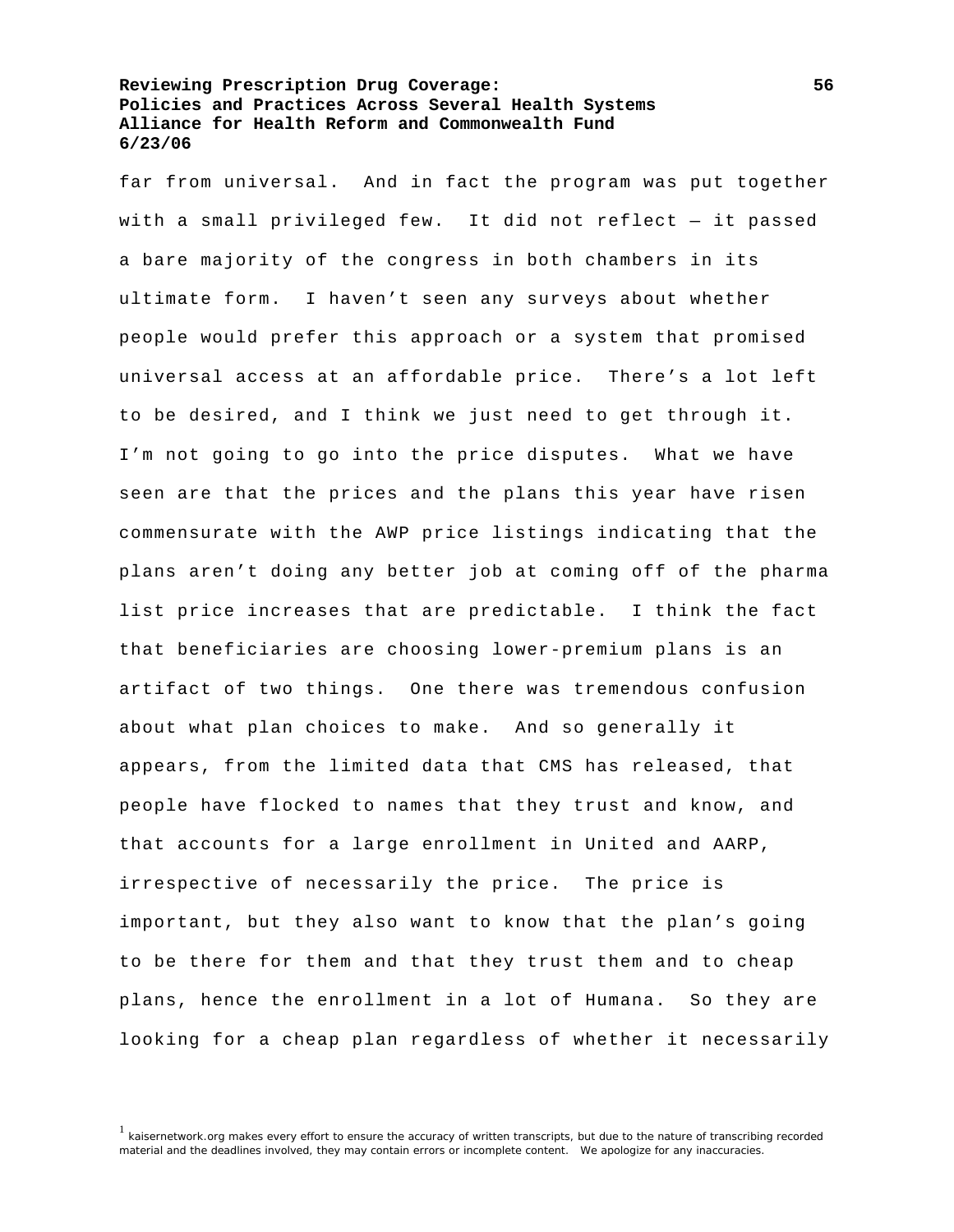far from universal. And in fact the program was put together with a small privileged few. It did not reflect — it passed a bare majority of the congress in both chambers in its ultimate form. I haven't seen any surveys about whether people would prefer this approach or a system that promised universal access at an affordable price. There's a lot left to be desired, and I think we just need to get through it. I'm not going to go into the price disputes. What we have seen are that the prices and the plans this year have risen commensurate with the AWP price listings indicating that the plans aren't doing any better job at coming off of the pharma list price increases that are predictable. I think the fact that beneficiaries are choosing lower-premium plans is an artifact of two things. One there was tremendous confusion about what plan choices to make. And so generally it appears, from the limited data that CMS has released, that people have flocked to names that they trust and know, and that accounts for a large enrollment in United and AARP, irrespective of necessarily the price. The price is important, but they also want to know that the plan's going to be there for them and that they trust them and to cheap plans, hence the enrollment in a lot of Humana. So they are looking for a cheap plan regardless of whether it necessarily

<sup>1</sup> kaisernetwork.org makes every effort to ensure the accuracy of written transcripts, but due to the nature of transcribing recorded material and the deadlines involved, they may contain errors or incomplete content. We apologize for any inaccuracies.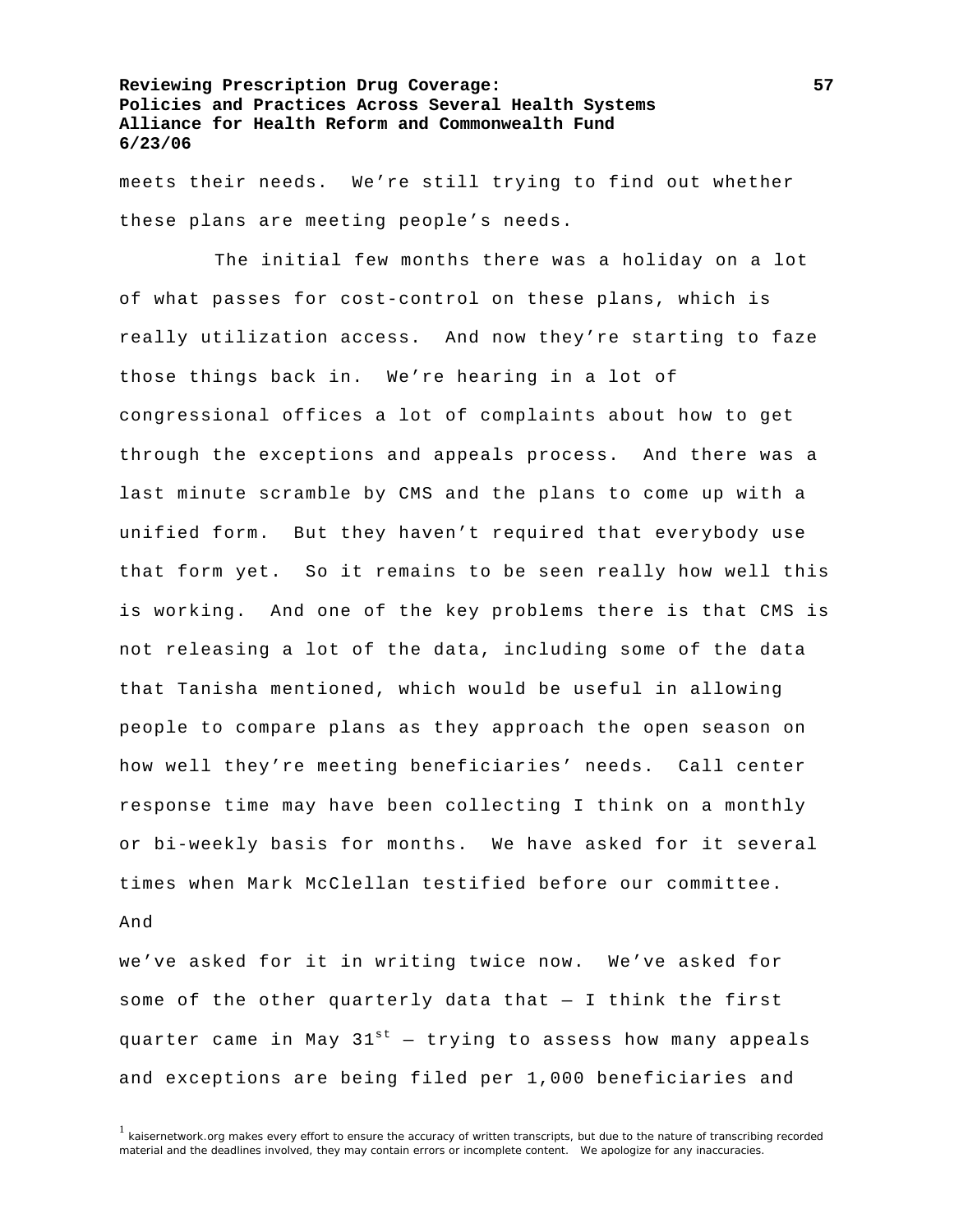meets their needs. We're still trying to find out whether these plans are meeting people's needs.

 The initial few months there was a holiday on a lot of what passes for cost-control on these plans, which is really utilization access. And now they're starting to faze those things back in. We're hearing in a lot of congressional offices a lot of complaints about how to get through the exceptions and appeals process. And there was a last minute scramble by CMS and the plans to come up with a unified form. But they haven't required that everybody use that form yet. So it remains to be seen really how well this is working. And one of the key problems there is that CMS is not releasing a lot of the data, including some of the data that Tanisha mentioned, which would be useful in allowing people to compare plans as they approach the open season on how well they're meeting beneficiaries' needs. Call center response time may have been collecting I think on a monthly or bi-weekly basis for months. We have asked for it several times when Mark McClellan testified before our committee.

## And

we've asked for it in writing twice now. We've asked for some of the other quarterly data that — I think the first quarter came in May  $31^{st}$  – trying to assess how many appeals and exceptions are being filed per 1,000 beneficiaries and

<sup>&</sup>lt;sup>1</sup> kaisernetwork.org makes every effort to ensure the accuracy of written transcripts, but due to the nature of transcribing recorded material and the deadlines involved, they may contain errors or incomplete content. We apologize for any inaccuracies.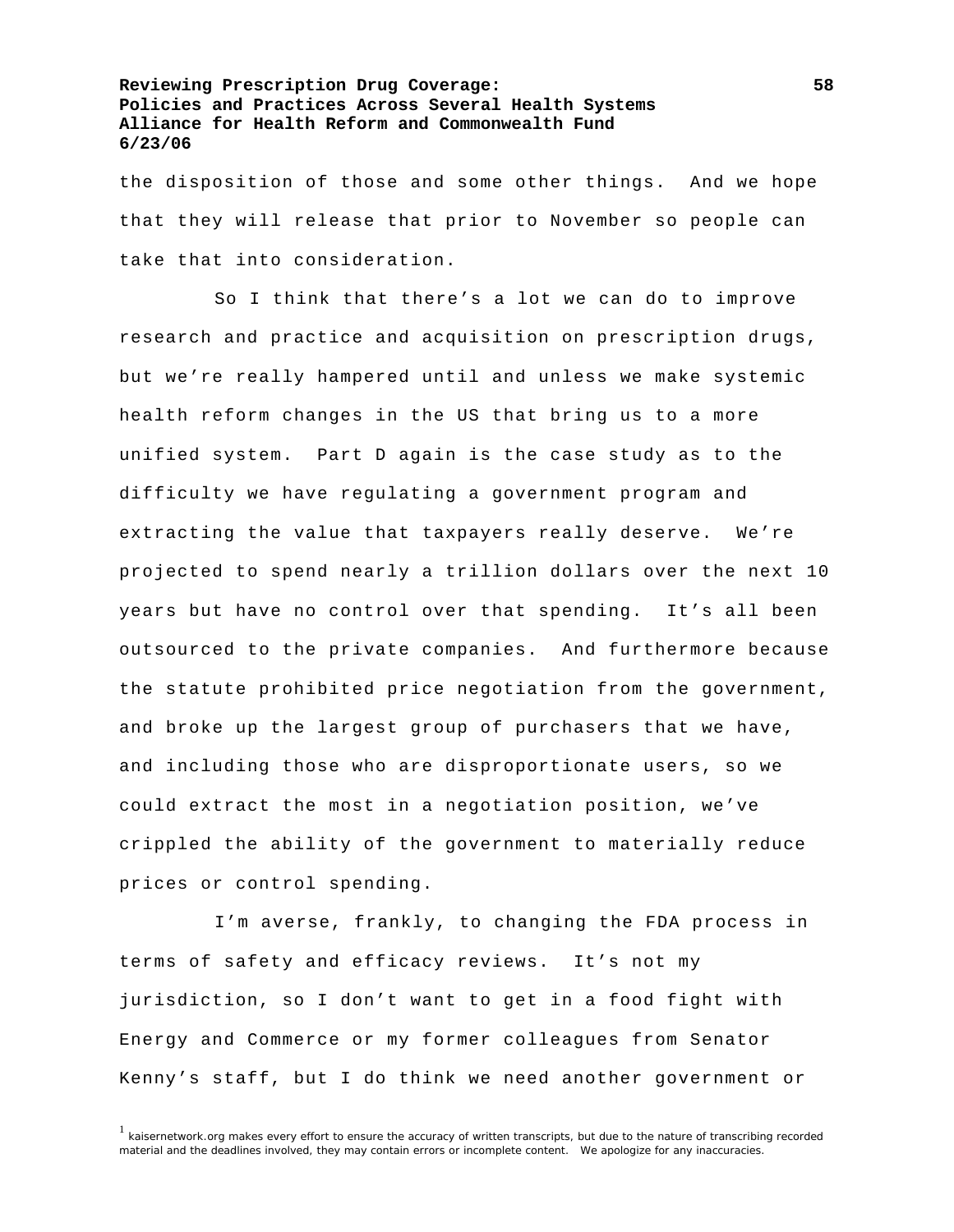the disposition of those and some other things. And we hope that they will release that prior to November so people can take that into consideration.

 So I think that there's a lot we can do to improve research and practice and acquisition on prescription drugs, but we're really hampered until and unless we make systemic health reform changes in the US that bring us to a more unified system. Part D again is the case study as to the difficulty we have regulating a government program and extracting the value that taxpayers really deserve. We're projected to spend nearly a trillion dollars over the next 10 years but have no control over that spending. It's all been outsourced to the private companies. And furthermore because the statute prohibited price negotiation from the government, and broke up the largest group of purchasers that we have, and including those who are disproportionate users, so we could extract the most in a negotiation position, we've crippled the ability of the government to materially reduce prices or control spending.

 I'm averse, frankly, to changing the FDA process in terms of safety and efficacy reviews. It's not my jurisdiction, so I don't want to get in a food fight with Energy and Commerce or my former colleagues from Senator Kenny's staff, but I do think we need another government or

<sup>&</sup>lt;sup>1</sup> kaisernetwork.org makes every effort to ensure the accuracy of written transcripts, but due to the nature of transcribing recorded material and the deadlines involved, they may contain errors or incomplete content. We apologize for any inaccuracies.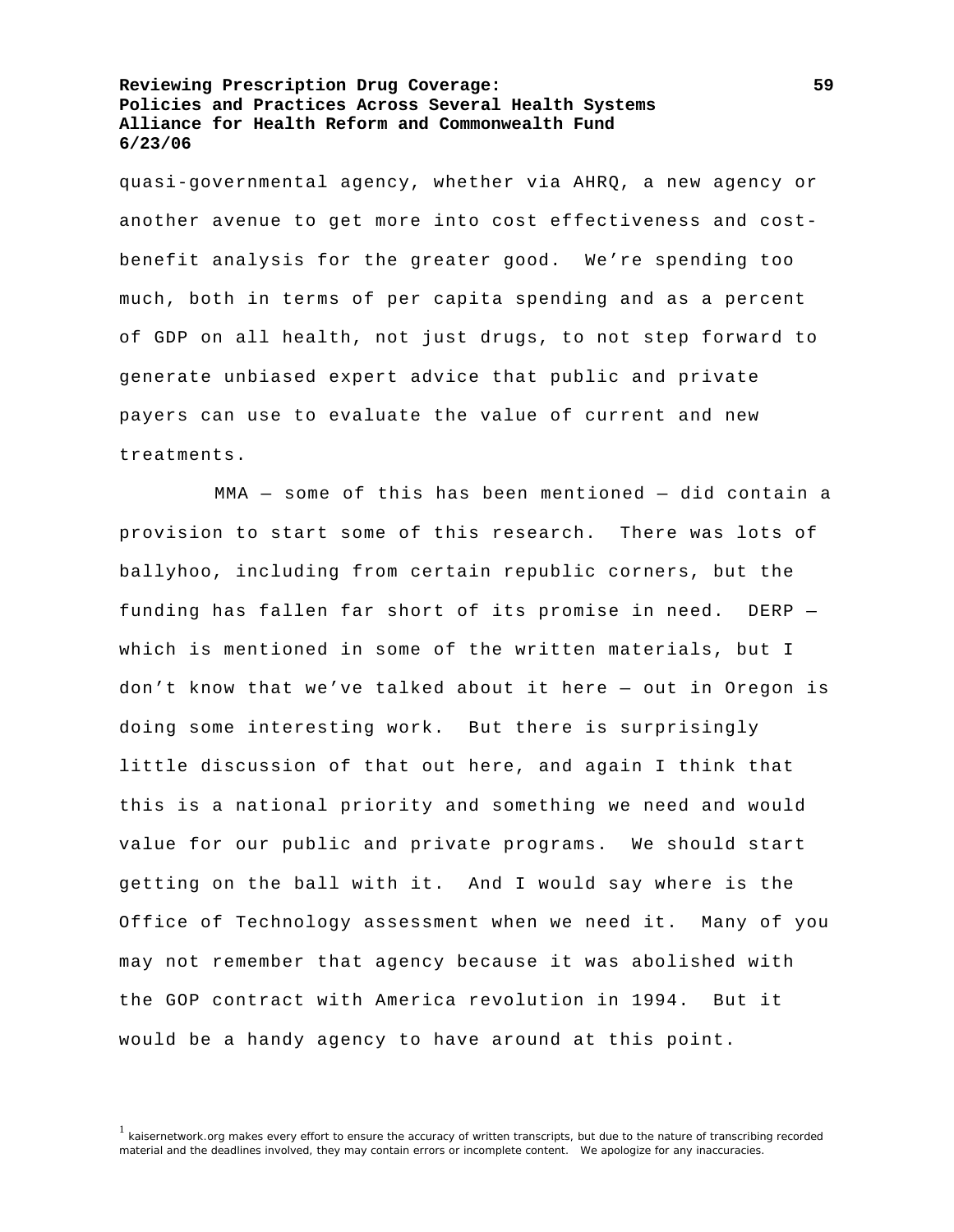quasi-governmental agency, whether via AHRQ, a new agency or another avenue to get more into cost effectiveness and costbenefit analysis for the greater good. We're spending too much, both in terms of per capita spending and as a percent of GDP on all health, not just drugs, to not step forward to generate unbiased expert advice that public and private payers can use to evaluate the value of current and new treatments.

 MMA — some of this has been mentioned — did contain a provision to start some of this research. There was lots of ballyhoo, including from certain republic corners, but the funding has fallen far short of its promise in need. DERP which is mentioned in some of the written materials, but I don't know that we've talked about it here — out in Oregon is doing some interesting work. But there is surprisingly little discussion of that out here, and again I think that this is a national priority and something we need and would value for our public and private programs. We should start getting on the ball with it. And I would say where is the Office of Technology assessment when we need it. Many of you may not remember that agency because it was abolished with the GOP contract with America revolution in 1994. But it would be a handy agency to have around at this point.

<sup>&</sup>lt;sup>1</sup> kaisernetwork.org makes every effort to ensure the accuracy of written transcripts, but due to the nature of transcribing recorded material and the deadlines involved, they may contain errors or incomplete content. We apologize for any inaccuracies.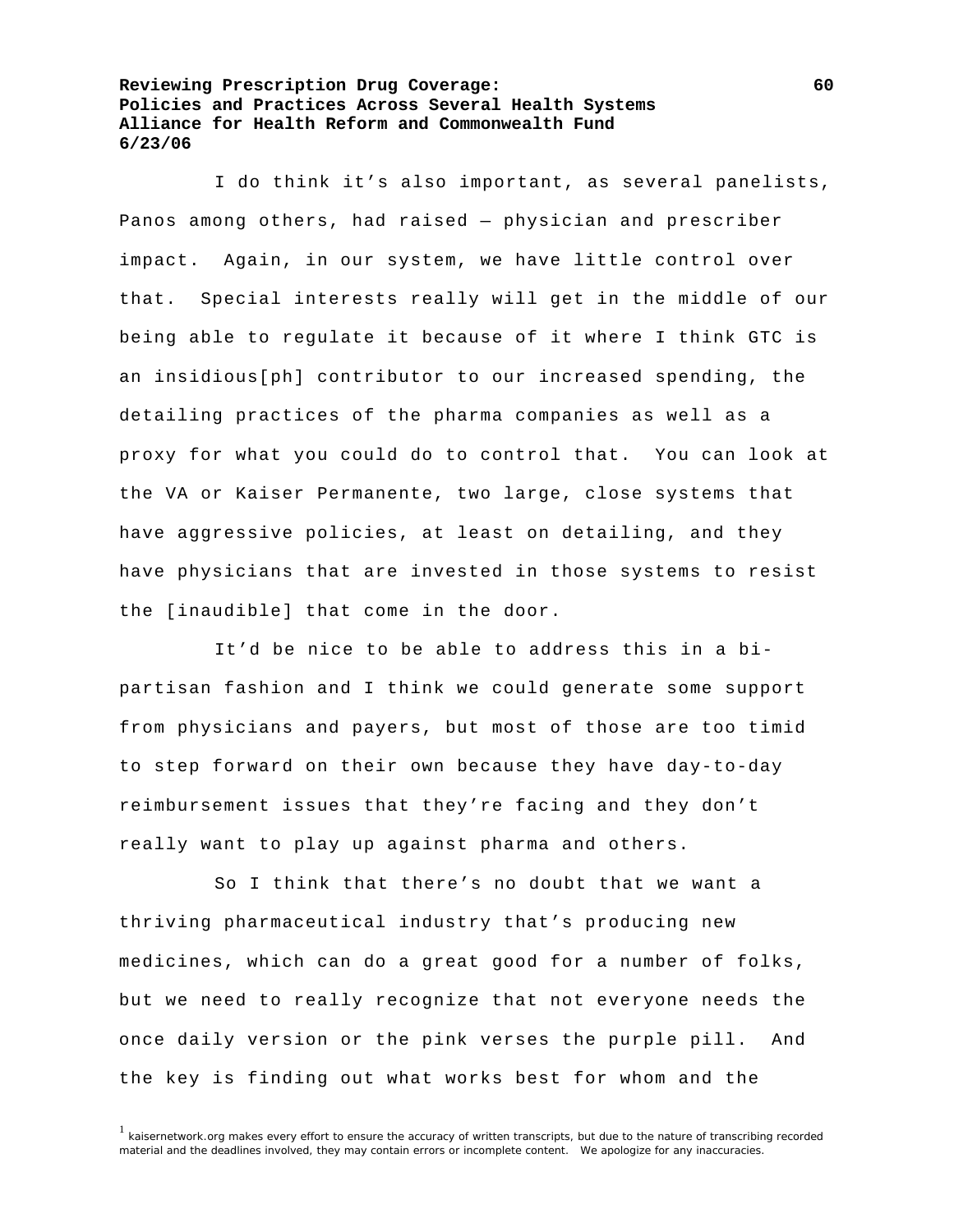I do think it's also important, as several panelists, Panos among others, had raised — physician and prescriber impact. Again, in our system, we have little control over that. Special interests really will get in the middle of our being able to regulate it because of it where I think GTC is an insidious[ph] contributor to our increased spending, the detailing practices of the pharma companies as well as a proxy for what you could do to control that. You can look at the VA or Kaiser Permanente, two large, close systems that have aggressive policies, at least on detailing, and they have physicians that are invested in those systems to resist the [inaudible] that come in the door.

 It'd be nice to be able to address this in a bipartisan fashion and I think we could generate some support from physicians and payers, but most of those are too timid to step forward on their own because they have day-to-day reimbursement issues that they're facing and they don't really want to play up against pharma and others.

 So I think that there's no doubt that we want a thriving pharmaceutical industry that's producing new medicines, which can do a great good for a number of folks, but we need to really recognize that not everyone needs the once daily version or the pink verses the purple pill. And the key is finding out what works best for whom and the

<sup>&</sup>lt;sup>1</sup> kaisernetwork.org makes every effort to ensure the accuracy of written transcripts, but due to the nature of transcribing recorded material and the deadlines involved, they may contain errors or incomplete content. We apologize for any inaccuracies.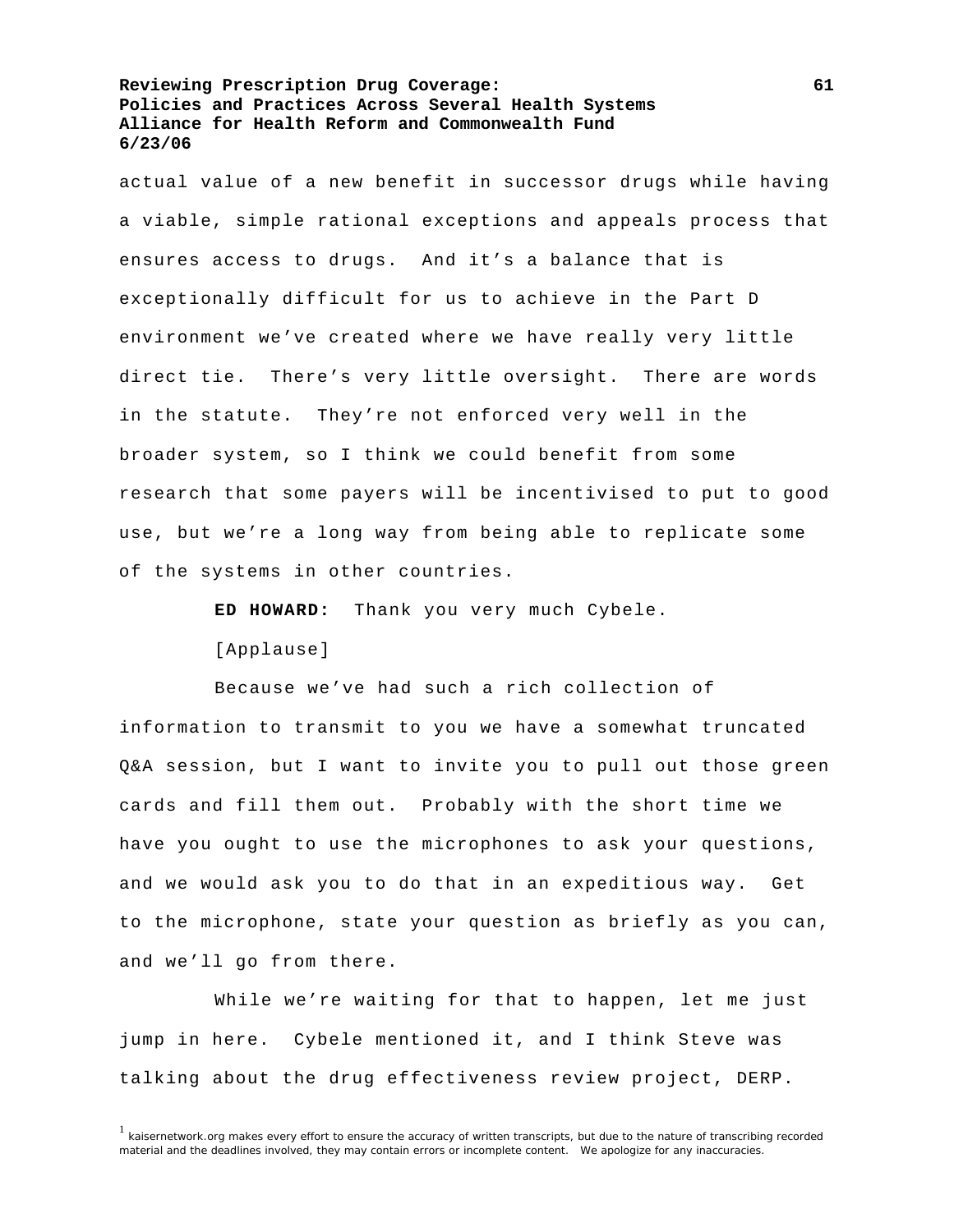actual value of a new benefit in successor drugs while having a viable, simple rational exceptions and appeals process that ensures access to drugs. And it's a balance that is exceptionally difficult for us to achieve in the Part D environment we've created where we have really very little direct tie. There's very little oversight. There are words in the statute. They're not enforced very well in the broader system, so I think we could benefit from some research that some payers will be incentivised to put to good use, but we're a long way from being able to replicate some of the systems in other countries.

**ED HOWARD:** Thank you very much Cybele.

[Applause]

 Because we've had such a rich collection of information to transmit to you we have a somewhat truncated Q&A session, but I want to invite you to pull out those green cards and fill them out. Probably with the short time we have you ought to use the microphones to ask your questions, and we would ask you to do that in an expeditious way. Get to the microphone, state your question as briefly as you can, and we'll go from there.

 While we're waiting for that to happen, let me just jump in here. Cybele mentioned it, and I think Steve was talking about the drug effectiveness review project, DERP.

 $1$  kaisernetwork.org makes every effort to ensure the accuracy of written transcripts, but due to the nature of transcribing recorded material and the deadlines involved, they may contain errors or incomplete content. We apologize for any inaccuracies.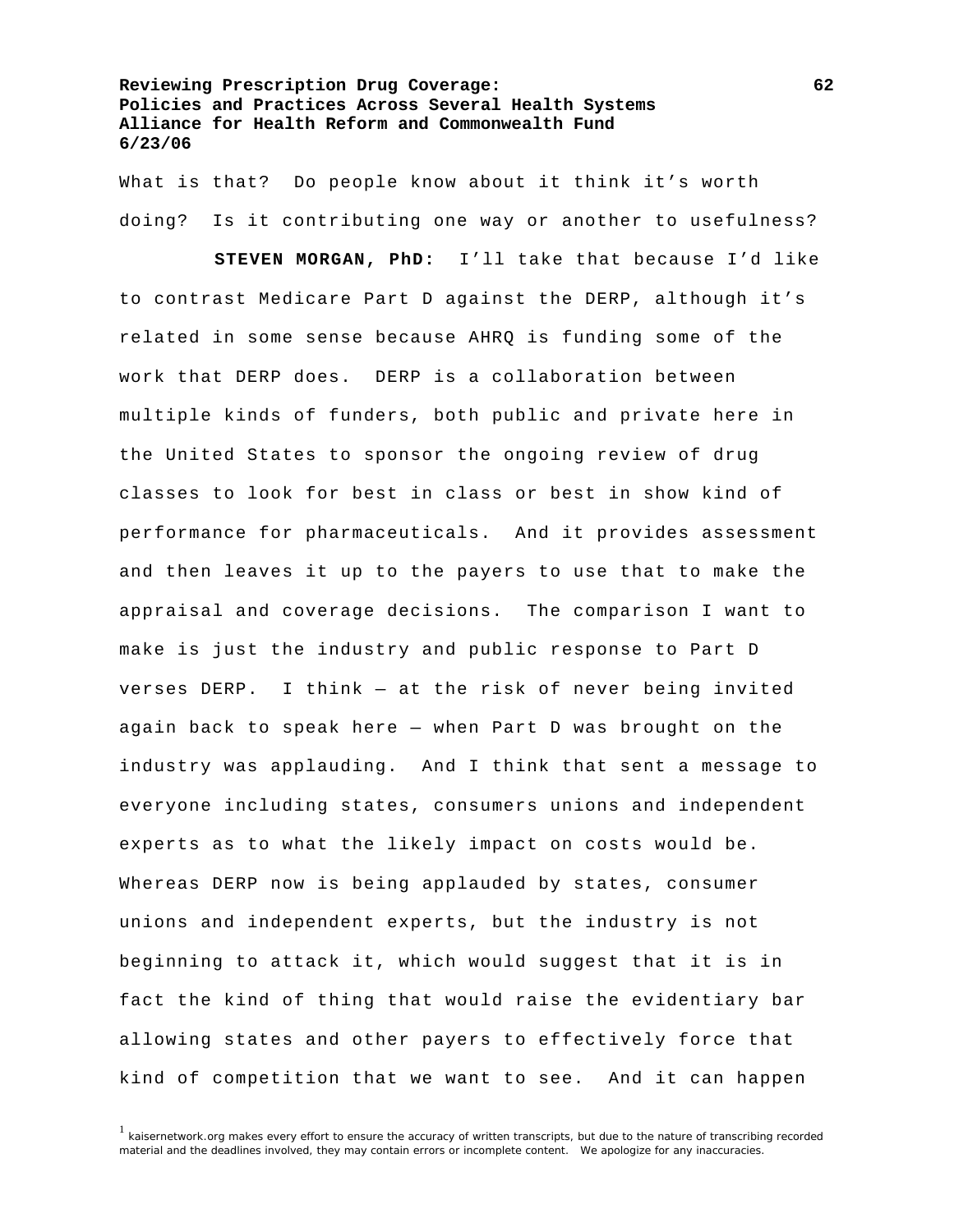What is that? Do people know about it think it's worth doing? Is it contributing one way or another to usefulness?

**STEVEN MORGAN, PhD:** I'll take that because I'd like to contrast Medicare Part D against the DERP, although it's related in some sense because AHRQ is funding some of the work that DERP does. DERP is a collaboration between multiple kinds of funders, both public and private here in the United States to sponsor the ongoing review of drug classes to look for best in class or best in show kind of performance for pharmaceuticals. And it provides assessment and then leaves it up to the payers to use that to make the appraisal and coverage decisions. The comparison I want to make is just the industry and public response to Part D verses DERP. I think — at the risk of never being invited again back to speak here — when Part D was brought on the industry was applauding. And I think that sent a message to everyone including states, consumers unions and independent experts as to what the likely impact on costs would be. Whereas DERP now is being applauded by states, consumer unions and independent experts, but the industry is not beginning to attack it, which would suggest that it is in fact the kind of thing that would raise the evidentiary bar allowing states and other payers to effectively force that kind of competition that we want to see. And it can happen

 $1$  kaisernetwork.org makes every effort to ensure the accuracy of written transcripts, but due to the nature of transcribing recorded material and the deadlines involved, they may contain errors or incomplete content. We apologize for any inaccuracies.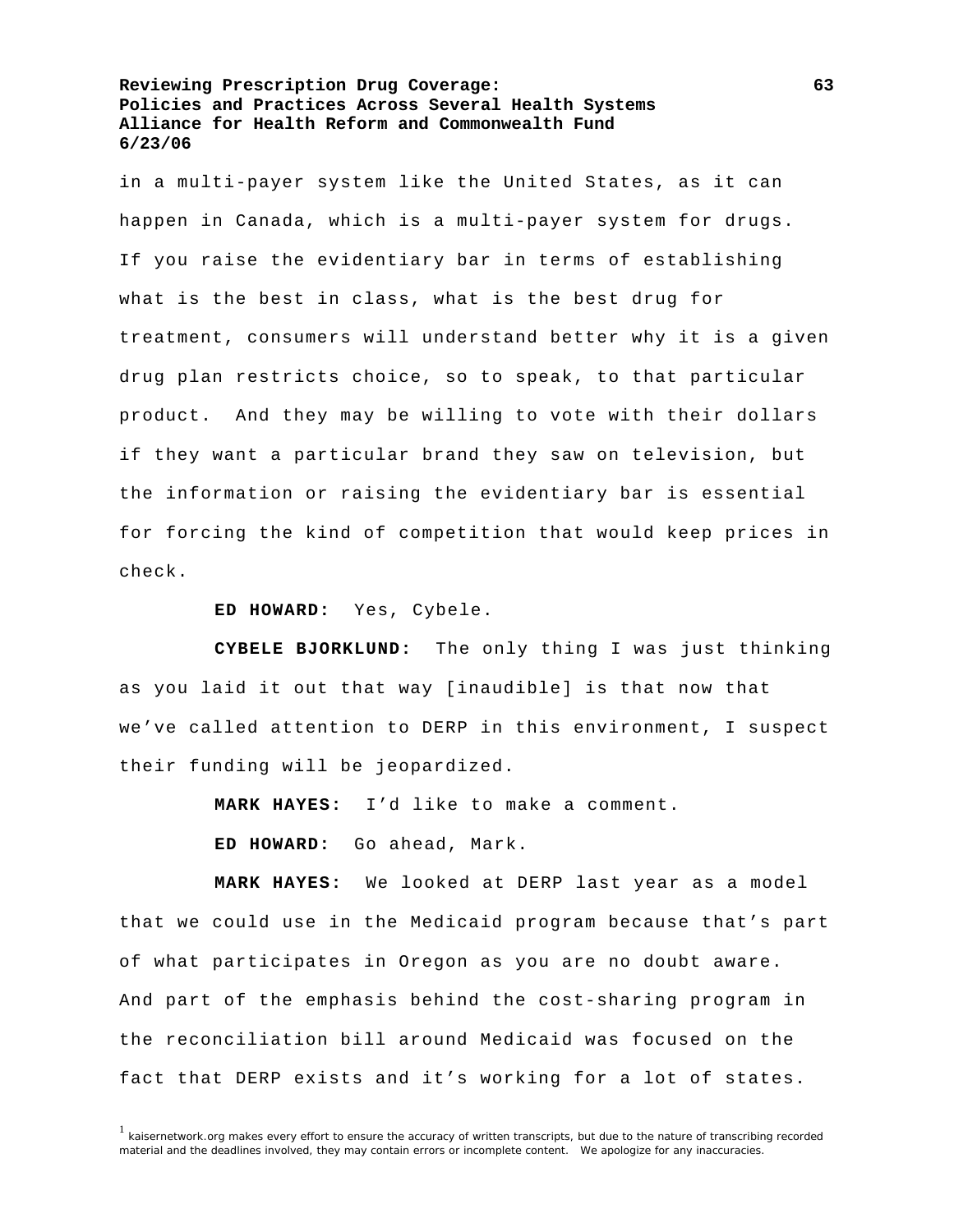in a multi-payer system like the United States, as it can happen in Canada, which is a multi-payer system for drugs. If you raise the evidentiary bar in terms of establishing what is the best in class, what is the best drug for treatment, consumers will understand better why it is a given drug plan restricts choice, so to speak, to that particular product. And they may be willing to vote with their dollars if they want a particular brand they saw on television, but the information or raising the evidentiary bar is essential for forcing the kind of competition that would keep prices in check.

**ED HOWARD:** Yes, Cybele.

**CYBELE BJORKLUND:** The only thing I was just thinking as you laid it out that way [inaudible] is that now that we've called attention to DERP in this environment, I suspect their funding will be jeopardized.

**MARK HAYES:** I'd like to make a comment.

**ED HOWARD:** Go ahead, Mark.

**MARK HAYES:** We looked at DERP last year as a model that we could use in the Medicaid program because that's part of what participates in Oregon as you are no doubt aware. And part of the emphasis behind the cost-sharing program in the reconciliation bill around Medicaid was focused on the fact that DERP exists and it's working for a lot of states.

<sup>&</sup>lt;sup>1</sup> kaisernetwork.org makes every effort to ensure the accuracy of written transcripts, but due to the nature of transcribing recorded material and the deadlines involved, they may contain errors or incomplete content. We apologize for any inaccuracies.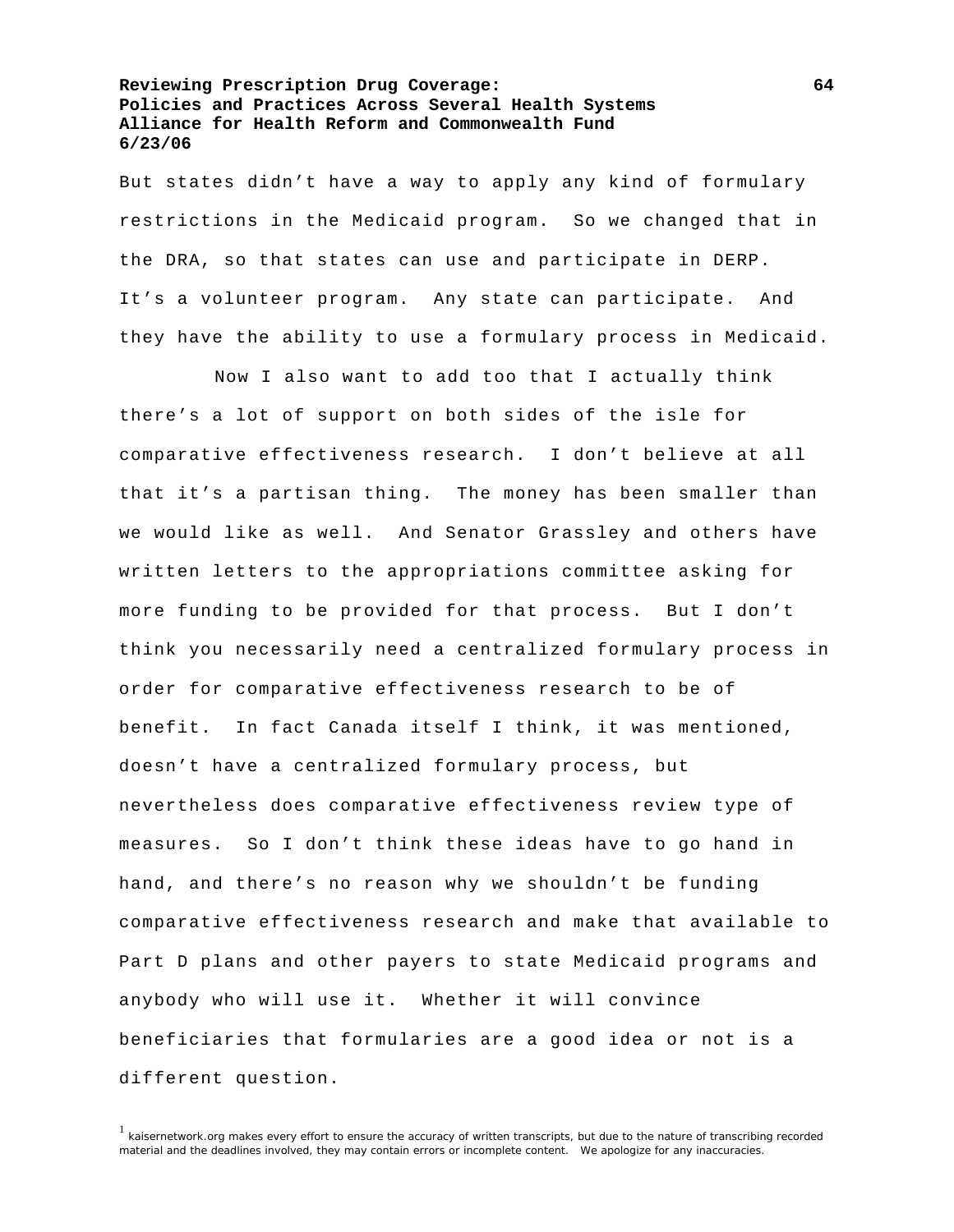But states didn't have a way to apply any kind of formulary restrictions in the Medicaid program. So we changed that in the DRA, so that states can use and participate in DERP. It's a volunteer program. Any state can participate. And they have the ability to use a formulary process in Medicaid.

 Now I also want to add too that I actually think there's a lot of support on both sides of the isle for comparative effectiveness research. I don't believe at all that it's a partisan thing. The money has been smaller than we would like as well. And Senator Grassley and others have written letters to the appropriations committee asking for more funding to be provided for that process. But I don't think you necessarily need a centralized formulary process in order for comparative effectiveness research to be of benefit. In fact Canada itself I think, it was mentioned, doesn't have a centralized formulary process, but nevertheless does comparative effectiveness review type of measures. So I don't think these ideas have to go hand in hand, and there's no reason why we shouldn't be funding comparative effectiveness research and make that available to Part D plans and other payers to state Medicaid programs and anybody who will use it. Whether it will convince beneficiaries that formularies are a good idea or not is a different question.

<sup>1</sup> kaisernetwork.org makes every effort to ensure the accuracy of written transcripts, but due to the nature of transcribing recorded material and the deadlines involved, they may contain errors or incomplete content. We apologize for any inaccuracies.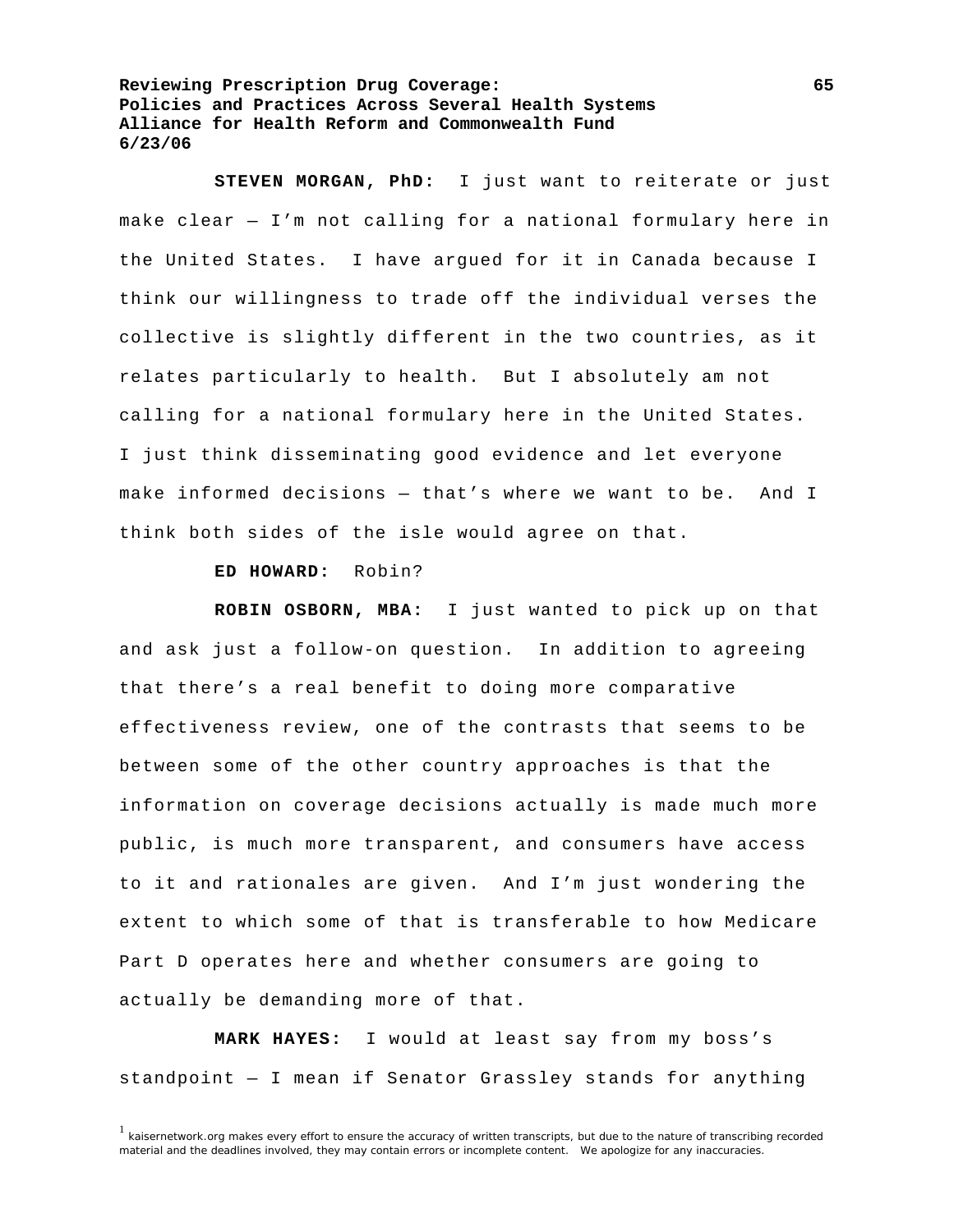**STEVEN MORGAN, PhD:** I just want to reiterate or just make clear — I'm not calling for a national formulary here in the United States. I have argued for it in Canada because I think our willingness to trade off the individual verses the collective is slightly different in the two countries, as it relates particularly to health. But I absolutely am not calling for a national formulary here in the United States. I just think disseminating good evidence and let everyone make informed decisions — that's where we want to be. And I think both sides of the isle would agree on that.

## **ED HOWARD:** Robin?

**ROBIN OSBORN, MBA:** I just wanted to pick up on that and ask just a follow-on question. In addition to agreeing that there's a real benefit to doing more comparative effectiveness review, one of the contrasts that seems to be between some of the other country approaches is that the information on coverage decisions actually is made much more public, is much more transparent, and consumers have access to it and rationales are given. And I'm just wondering the extent to which some of that is transferable to how Medicare Part D operates here and whether consumers are going to actually be demanding more of that.

**MARK HAYES:** I would at least say from my boss's standpoint — I mean if Senator Grassley stands for anything

 $1$  kaisernetwork.org makes every effort to ensure the accuracy of written transcripts, but due to the nature of transcribing recorded material and the deadlines involved, they may contain errors or incomplete content. We apologize for any inaccuracies.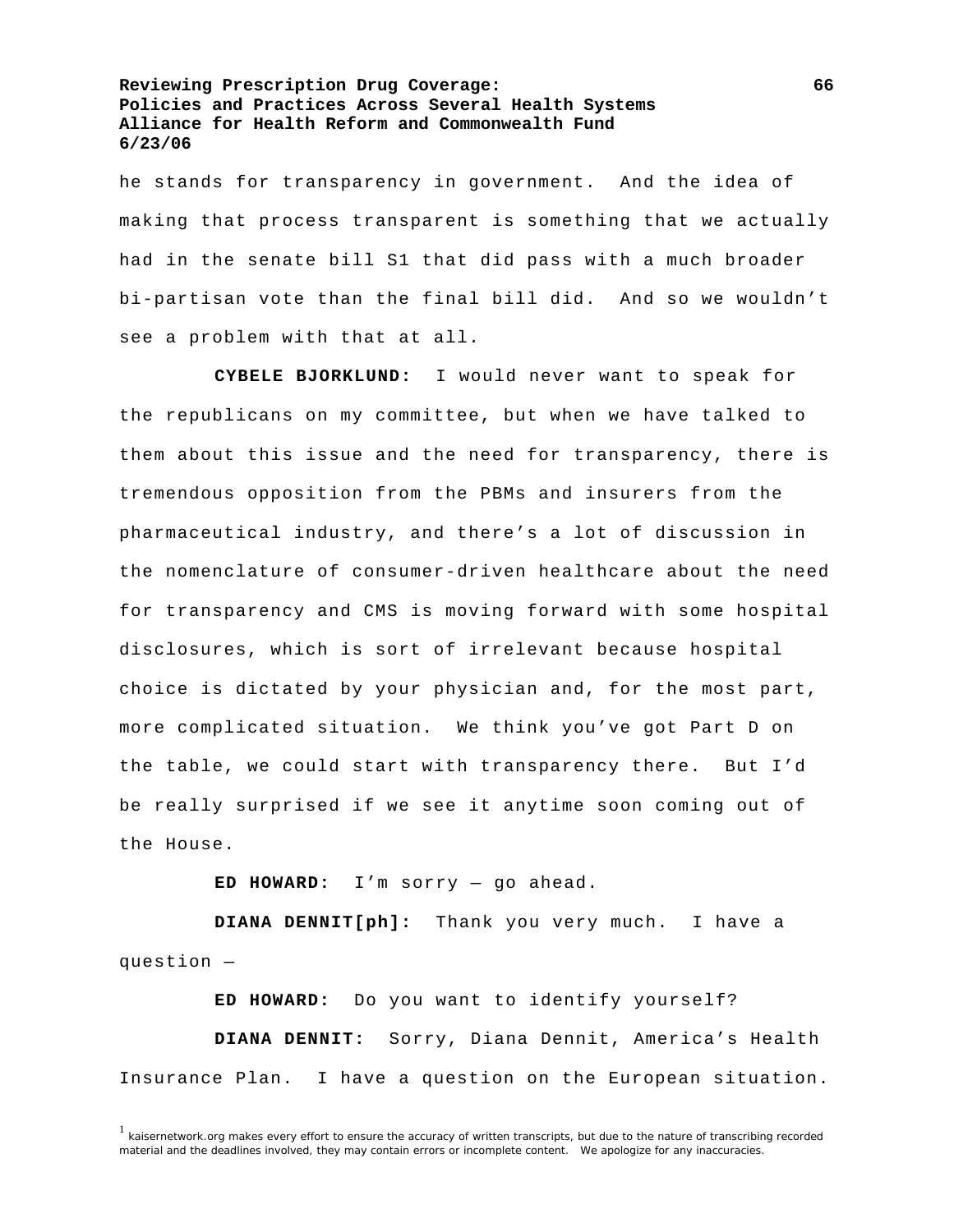he stands for transparency in government. And the idea of making that process transparent is something that we actually had in the senate bill S1 that did pass with a much broader bi-partisan vote than the final bill did. And so we wouldn't see a problem with that at all.

**CYBELE BJORKLUND:** I would never want to speak for the republicans on my committee, but when we have talked to them about this issue and the need for transparency, there is tremendous opposition from the PBMs and insurers from the pharmaceutical industry, and there's a lot of discussion in the nomenclature of consumer-driven healthcare about the need for transparency and CMS is moving forward with some hospital disclosures, which is sort of irrelevant because hospital choice is dictated by your physician and, for the most part, more complicated situation. We think you've got Part D on the table, we could start with transparency there. But I'd be really surprised if we see it anytime soon coming out of the House.

**ED HOWARD:** I'm sorry — go ahead.

**DIANA DENNIT[ph]:** Thank you very much. I have a question —

**ED HOWARD:** Do you want to identify yourself?

**DIANA DENNIT:** Sorry, Diana Dennit, America's Health Insurance Plan. I have a question on the European situation.

 $1$  kaisernetwork.org makes every effort to ensure the accuracy of written transcripts, but due to the nature of transcribing recorded material and the deadlines involved, they may contain errors or incomplete content. We apologize for any inaccuracies.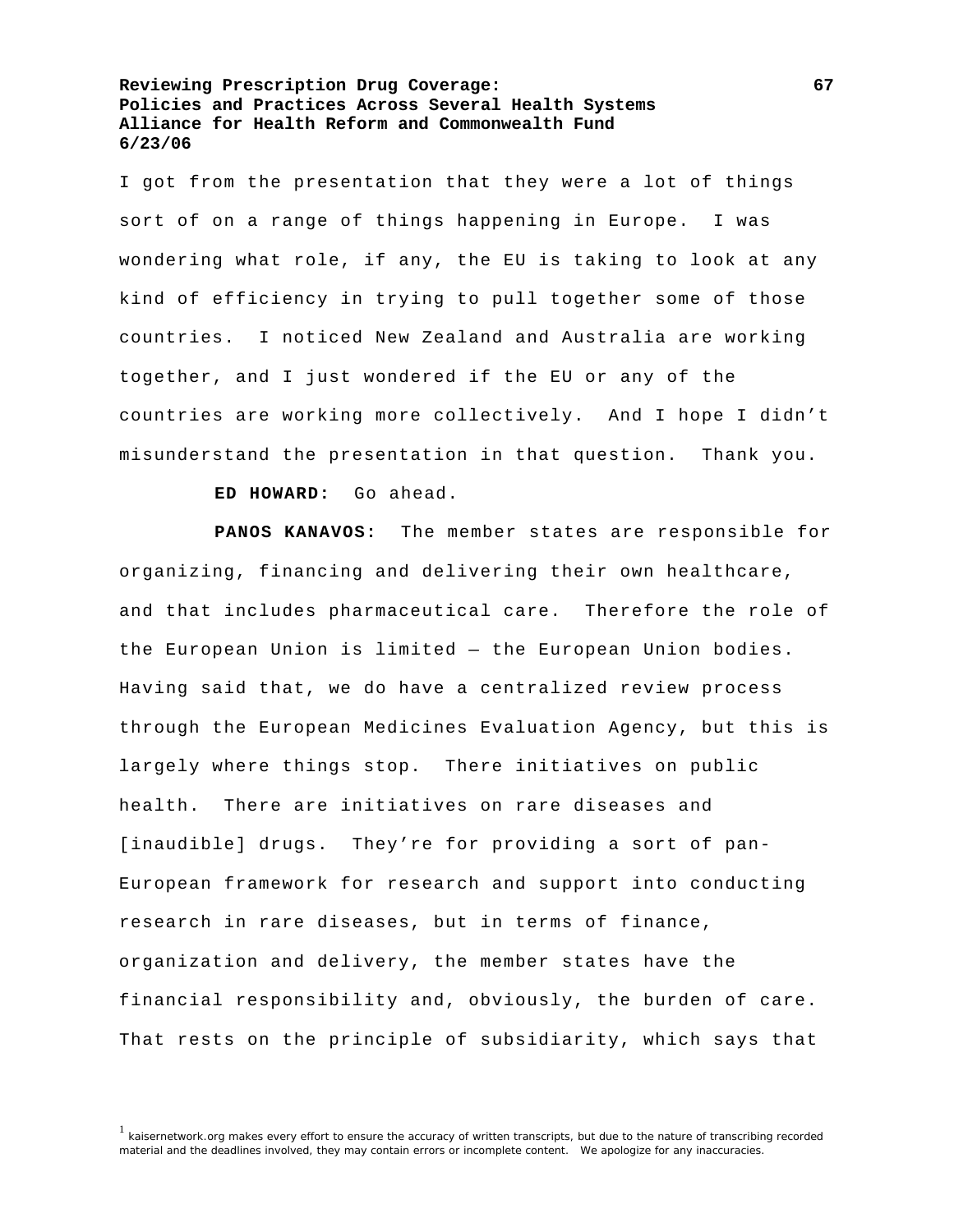I got from the presentation that they were a lot of things sort of on a range of things happening in Europe. I was wondering what role, if any, the EU is taking to look at any kind of efficiency in trying to pull together some of those countries. I noticed New Zealand and Australia are working together, and I just wondered if the EU or any of the countries are working more collectively. And I hope I didn't misunderstand the presentation in that question. Thank you.

**ED HOWARD:** Go ahead.

**PANOS KANAVOS:** The member states are responsible for organizing, financing and delivering their own healthcare, and that includes pharmaceutical care. Therefore the role of the European Union is limited — the European Union bodies. Having said that, we do have a centralized review process through the European Medicines Evaluation Agency, but this is largely where things stop. There initiatives on public health. There are initiatives on rare diseases and [inaudible] drugs. They're for providing a sort of pan-European framework for research and support into conducting research in rare diseases, but in terms of finance, organization and delivery, the member states have the financial responsibility and, obviously, the burden of care. That rests on the principle of subsidiarity, which says that

<sup>&</sup>lt;sup>1</sup> kaisernetwork.org makes every effort to ensure the accuracy of written transcripts, but due to the nature of transcribing recorded material and the deadlines involved, they may contain errors or incomplete content. We apologize for any inaccuracies.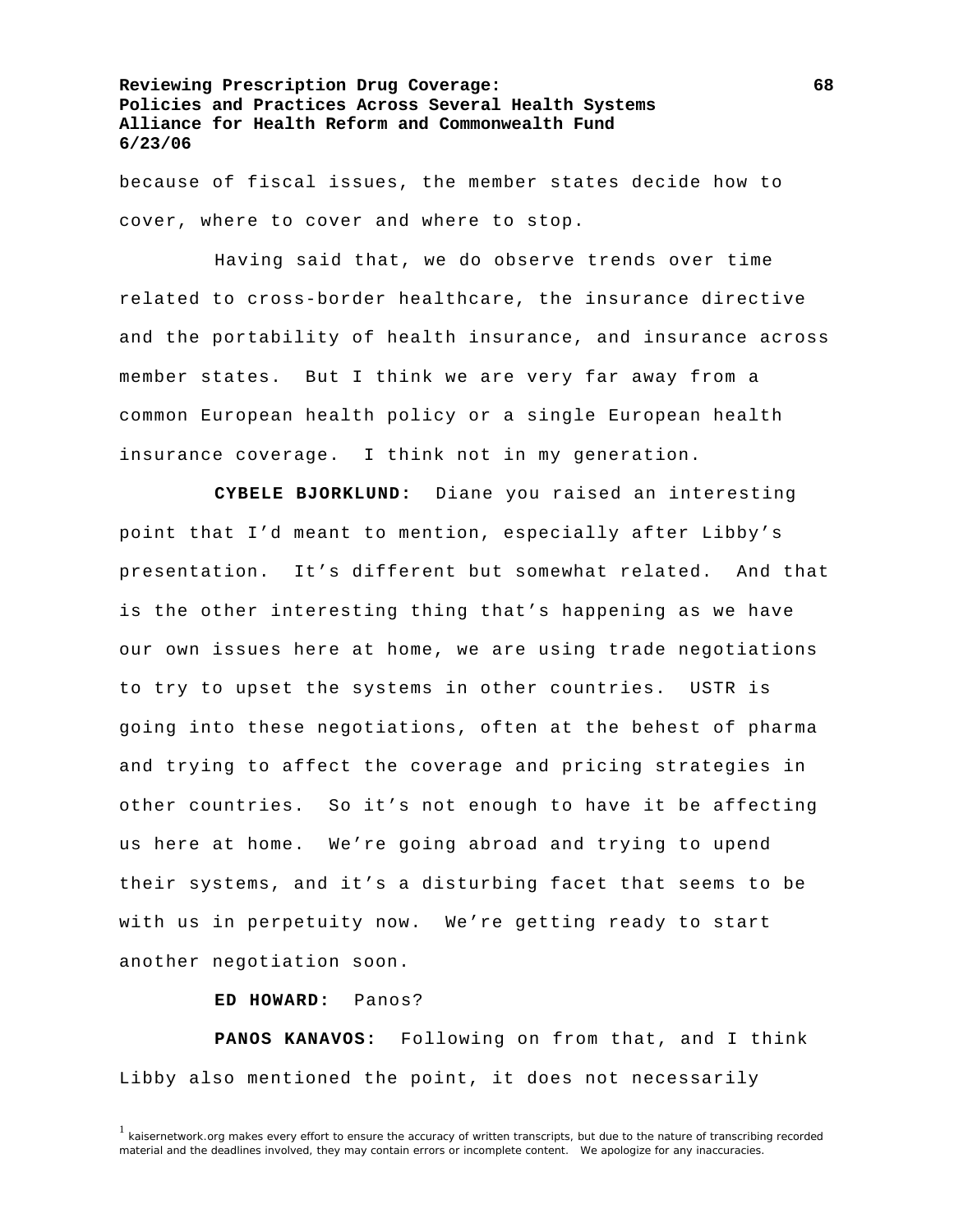because of fiscal issues, the member states decide how to cover, where to cover and where to stop.

 Having said that, we do observe trends over time related to cross-border healthcare, the insurance directive and the portability of health insurance, and insurance across member states. But I think we are very far away from a common European health policy or a single European health insurance coverage. I think not in my generation.

**CYBELE BJORKLUND:** Diane you raised an interesting point that I'd meant to mention, especially after Libby's presentation. It's different but somewhat related. And that is the other interesting thing that's happening as we have our own issues here at home, we are using trade negotiations to try to upset the systems in other countries. USTR is going into these negotiations, often at the behest of pharma and trying to affect the coverage and pricing strategies in other countries. So it's not enough to have it be affecting us here at home. We're going abroad and trying to upend their systems, and it's a disturbing facet that seems to be with us in perpetuity now. We're getting ready to start another negotiation soon.

**ED HOWARD:** Panos?

**PANOS KANAVOS:** Following on from that, and I think Libby also mentioned the point, it does not necessarily

 $1$  kaisernetwork.org makes every effort to ensure the accuracy of written transcripts, but due to the nature of transcribing recorded material and the deadlines involved, they may contain errors or incomplete content. We apologize for any inaccuracies.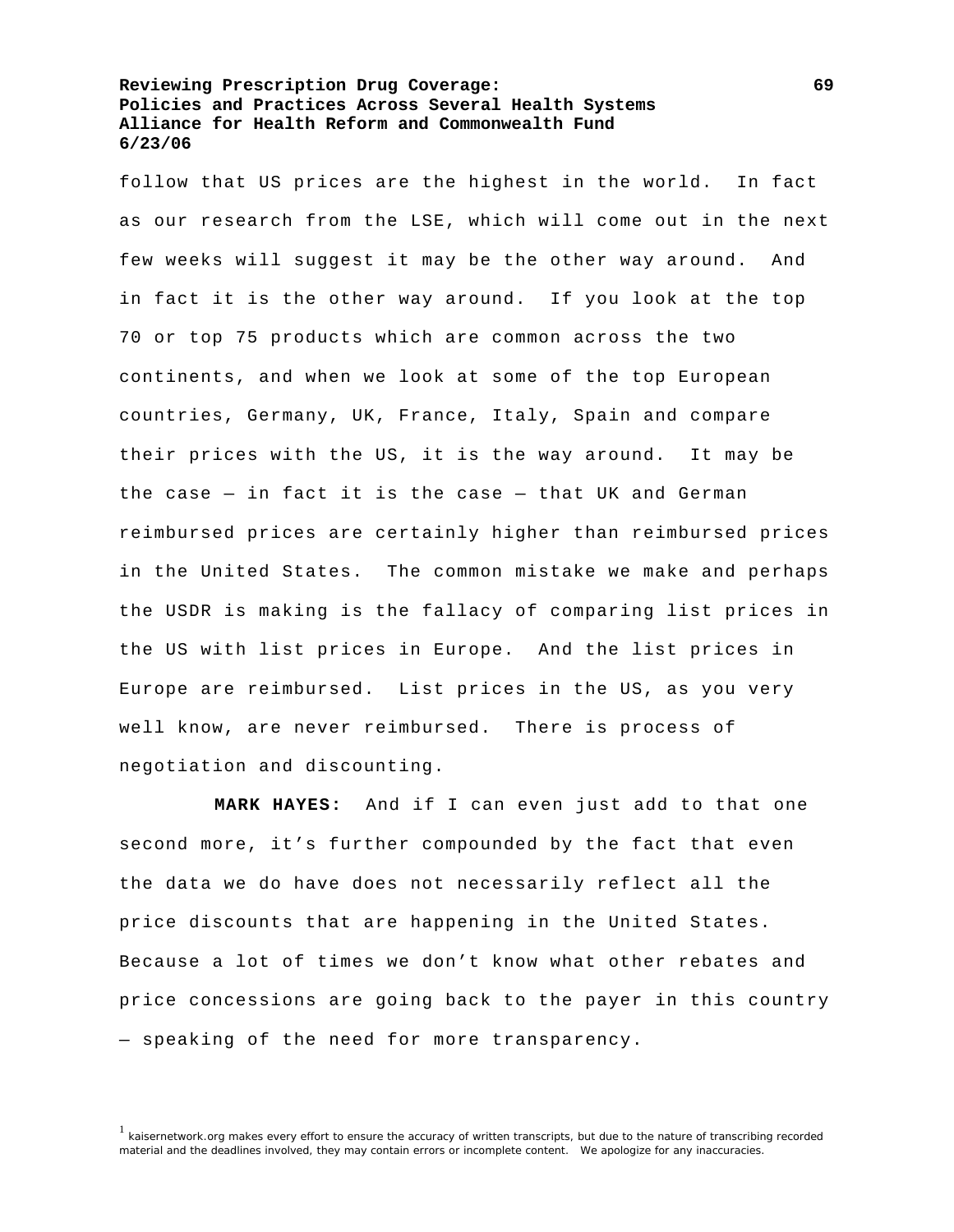follow that US prices are the highest in the world. In fact as our research from the LSE, which will come out in the next few weeks will suggest it may be the other way around. And in fact it is the other way around. If you look at the top 70 or top 75 products which are common across the two continents, and when we look at some of the top European countries, Germany, UK, France, Italy, Spain and compare their prices with the US, it is the way around. It may be the case  $-$  in fact it is the case  $-$  that UK and German reimbursed prices are certainly higher than reimbursed prices in the United States. The common mistake we make and perhaps the USDR is making is the fallacy of comparing list prices in the US with list prices in Europe. And the list prices in Europe are reimbursed. List prices in the US, as you very well know, are never reimbursed. There is process of negotiation and discounting.

**MARK HAYES:** And if I can even just add to that one second more, it's further compounded by the fact that even the data we do have does not necessarily reflect all the price discounts that are happening in the United States. Because a lot of times we don't know what other rebates and price concessions are going back to the payer in this country — speaking of the need for more transparency.

<sup>1</sup> kaisernetwork.org makes every effort to ensure the accuracy of written transcripts, but due to the nature of transcribing recorded material and the deadlines involved, they may contain errors or incomplete content. We apologize for any inaccuracies.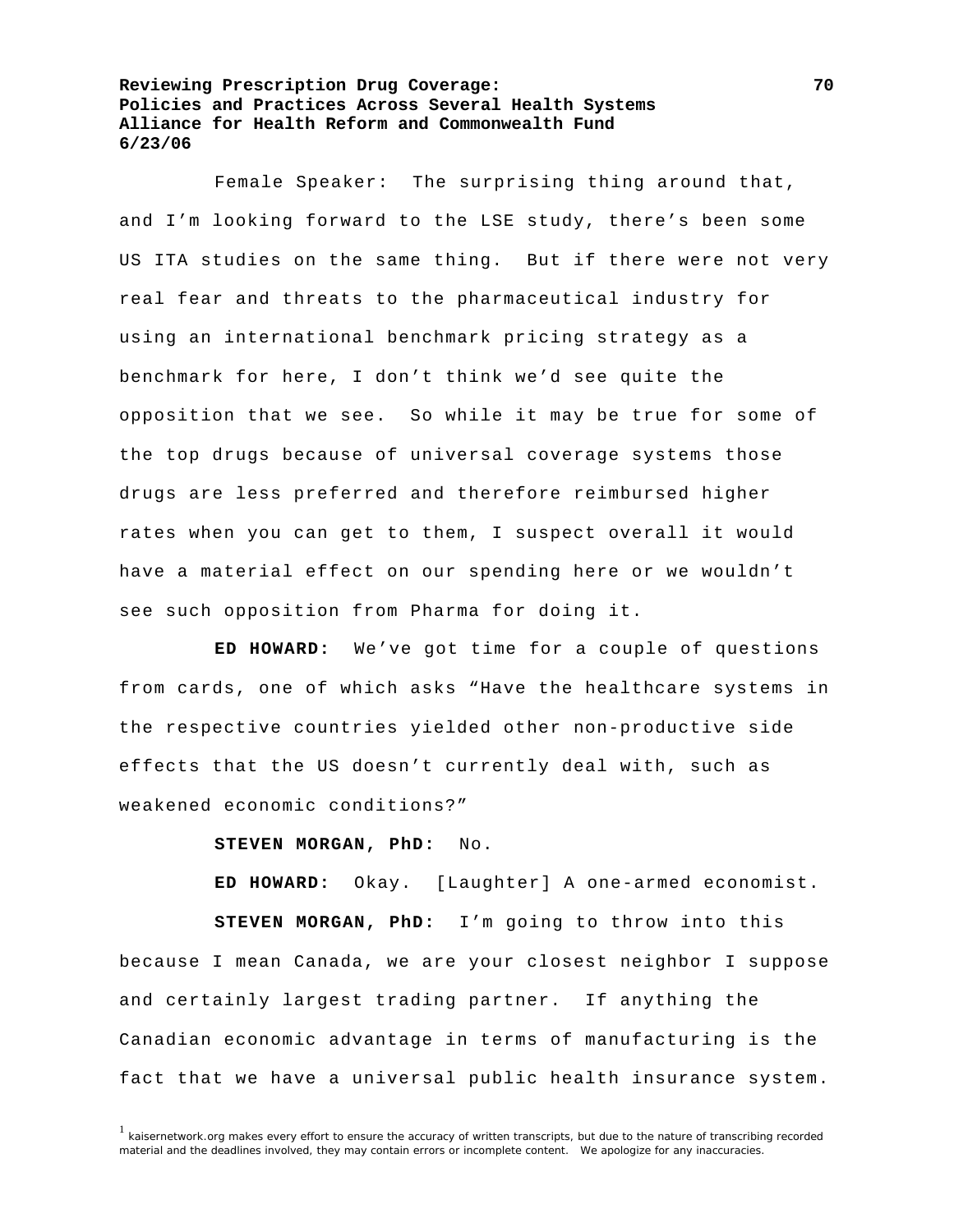Female Speaker: The surprising thing around that, and I'm looking forward to the LSE study, there's been some US ITA studies on the same thing. But if there were not very real fear and threats to the pharmaceutical industry for using an international benchmark pricing strategy as a benchmark for here, I don't think we'd see quite the opposition that we see. So while it may be true for some of the top drugs because of universal coverage systems those drugs are less preferred and therefore reimbursed higher rates when you can get to them, I suspect overall it would have a material effect on our spending here or we wouldn't see such opposition from Pharma for doing it.

**ED HOWARD:** We've got time for a couple of questions from cards, one of which asks "Have the healthcare systems in the respective countries yielded other non-productive side effects that the US doesn't currently deal with, such as weakened economic conditions?"

## **STEVEN MORGAN, PhD:** No.

**ED HOWARD:** Okay. [Laughter] A one-armed economist. **STEVEN MORGAN, PhD:** I'm going to throw into this because I mean Canada, we are your closest neighbor I suppose and certainly largest trading partner. If anything the Canadian economic advantage in terms of manufacturing is the fact that we have a universal public health insurance system.

 $1$  kaisernetwork.org makes every effort to ensure the accuracy of written transcripts, but due to the nature of transcribing recorded material and the deadlines involved, they may contain errors or incomplete content. We apologize for any inaccuracies.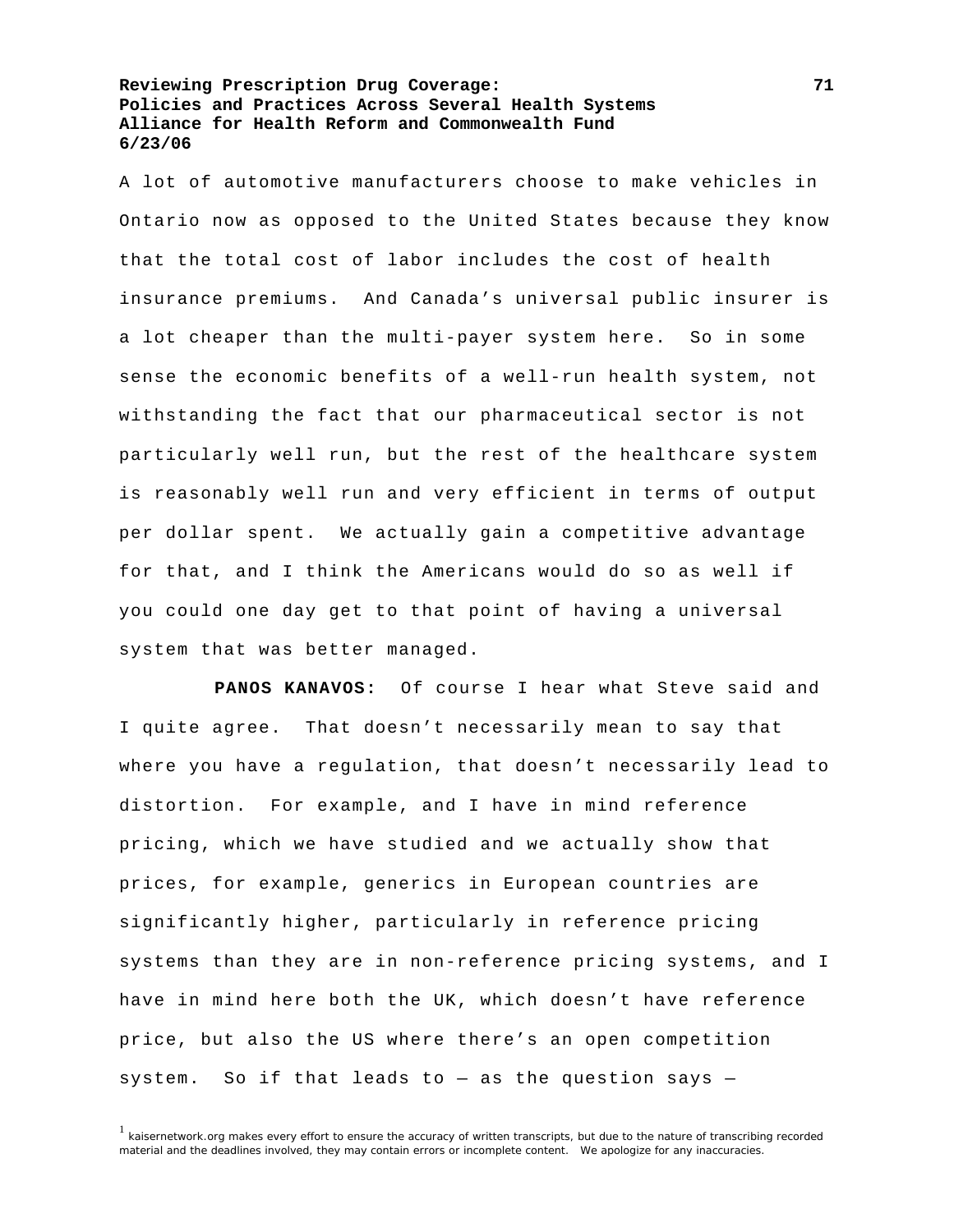A lot of automotive manufacturers choose to make vehicles in Ontario now as opposed to the United States because they know that the total cost of labor includes the cost of health insurance premiums. And Canada's universal public insurer is a lot cheaper than the multi-payer system here. So in some sense the economic benefits of a well-run health system, not withstanding the fact that our pharmaceutical sector is not particularly well run, but the rest of the healthcare system is reasonably well run and very efficient in terms of output per dollar spent. We actually gain a competitive advantage for that, and I think the Americans would do so as well if you could one day get to that point of having a universal system that was better managed.

**PANOS KANAVOS:** Of course I hear what Steve said and I quite agree. That doesn't necessarily mean to say that where you have a regulation, that doesn't necessarily lead to distortion. For example, and I have in mind reference pricing, which we have studied and we actually show that prices, for example, generics in European countries are significantly higher, particularly in reference pricing systems than they are in non-reference pricing systems, and I have in mind here both the UK, which doesn't have reference price, but also the US where there's an open competition system. So if that leads to  $-$  as the question says  $-$ 

<sup>1</sup> kaisernetwork.org makes every effort to ensure the accuracy of written transcripts, but due to the nature of transcribing recorded material and the deadlines involved, they may contain errors or incomplete content. We apologize for any inaccuracies.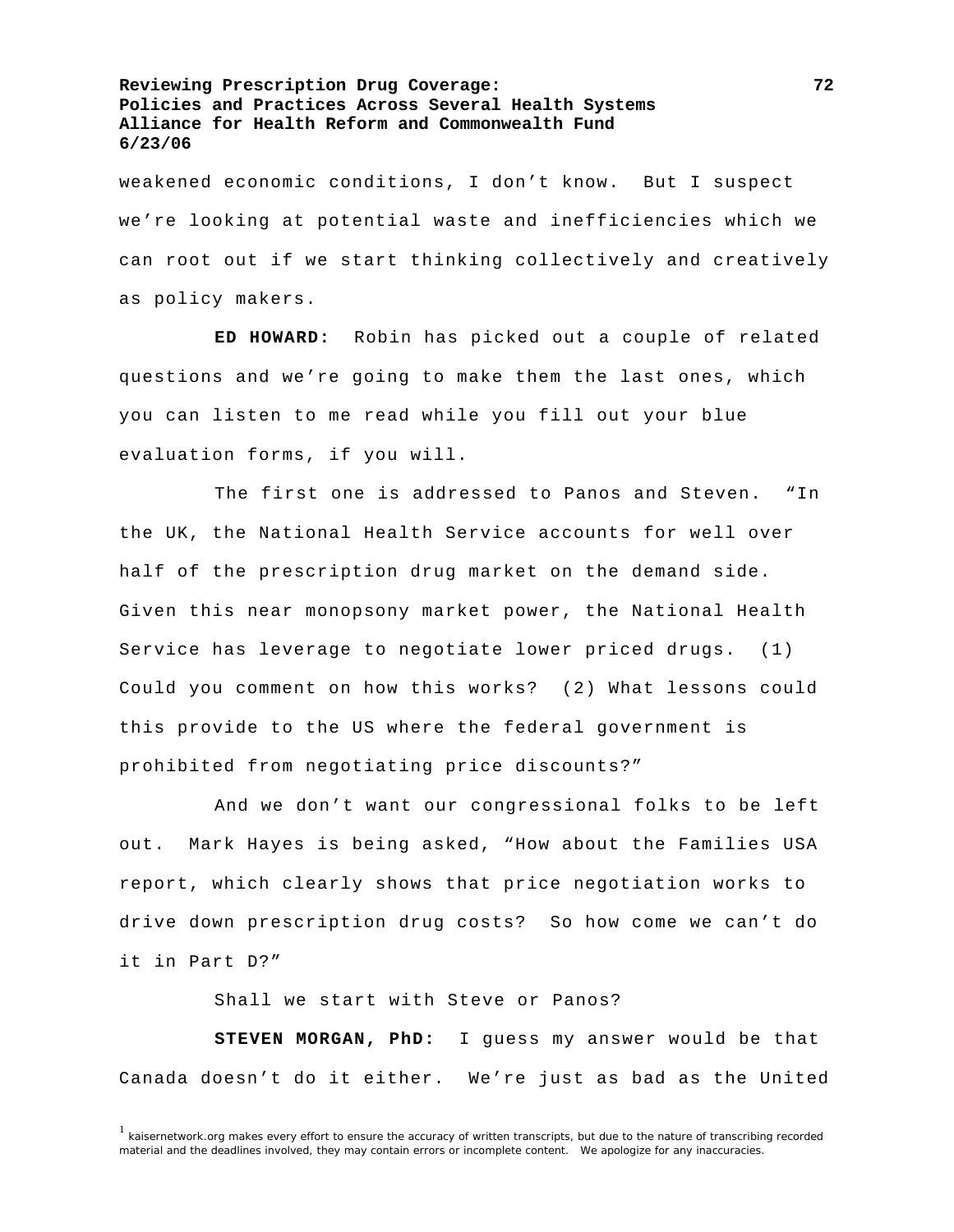weakened economic conditions, I don't know. But I suspect we're looking at potential waste and inefficiencies which we can root out if we start thinking collectively and creatively as policy makers.

**ED HOWARD:** Robin has picked out a couple of related questions and we're going to make them the last ones, which you can listen to me read while you fill out your blue evaluation forms, if you will.

 The first one is addressed to Panos and Steven. "In the UK, the National Health Service accounts for well over half of the prescription drug market on the demand side. Given this near monopsony market power, the National Health Service has leverage to negotiate lower priced drugs. (1) Could you comment on how this works? (2) What lessons could this provide to the US where the federal government is prohibited from negotiating price discounts?"

 And we don't want our congressional folks to be left out. Mark Hayes is being asked, "How about the Families USA report, which clearly shows that price negotiation works to drive down prescription drug costs? So how come we can't do it in Part D?"

Shall we start with Steve or Panos?

**STEVEN MORGAN, PhD:** I guess my answer would be that Canada doesn't do it either. We're just as bad as the United

 $1$  kaisernetwork.org makes every effort to ensure the accuracy of written transcripts, but due to the nature of transcribing recorded material and the deadlines involved, they may contain errors or incomplete content. We apologize for any inaccuracies.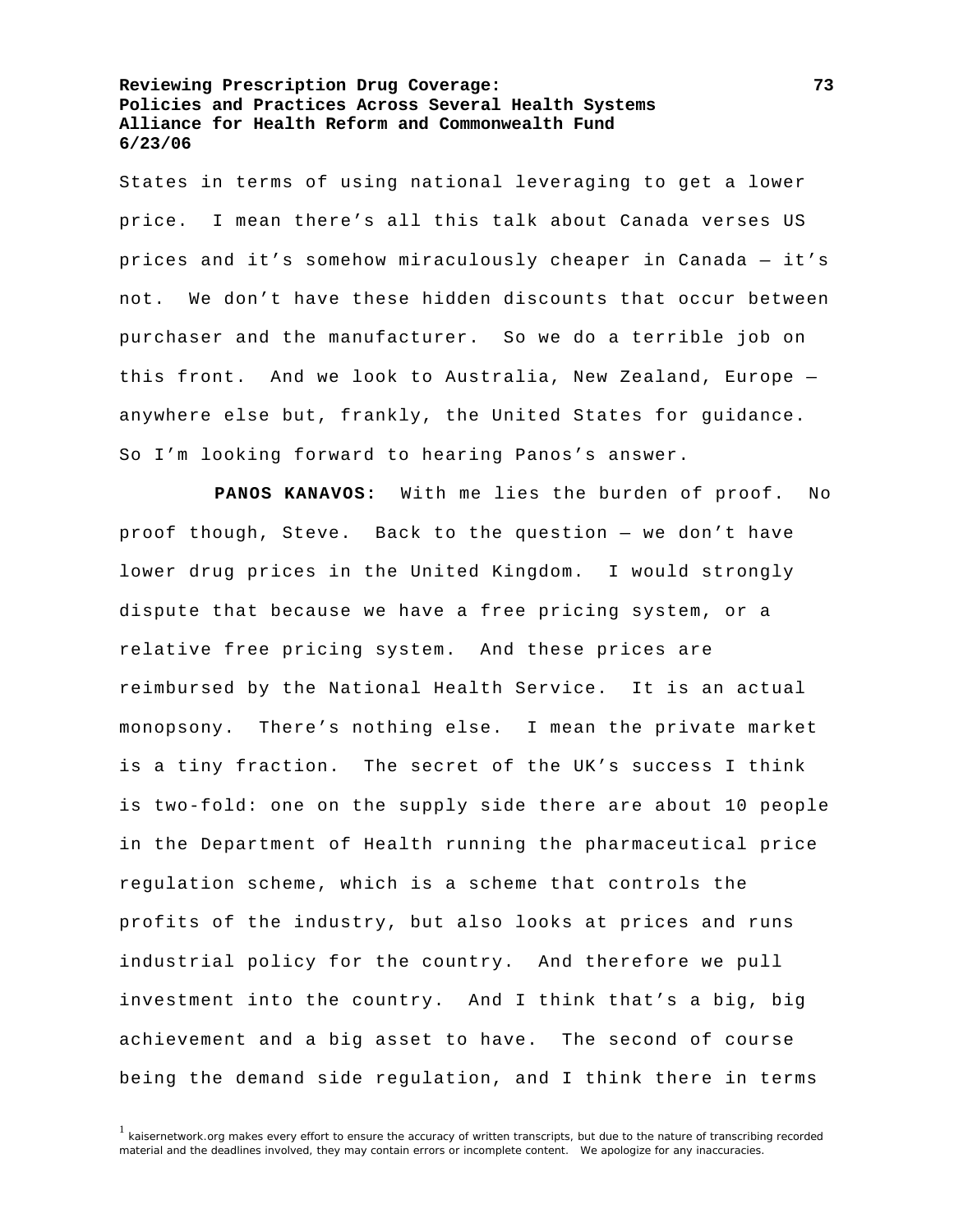States in terms of using national leveraging to get a lower price. I mean there's all this talk about Canada verses US prices and it's somehow miraculously cheaper in Canada — it's not. We don't have these hidden discounts that occur between purchaser and the manufacturer. So we do a terrible job on this front. And we look to Australia, New Zealand, Europe anywhere else but, frankly, the United States for guidance. So I'm looking forward to hearing Panos's answer.

**PANOS KANAVOS:** With me lies the burden of proof. No proof though, Steve. Back to the question — we don't have lower drug prices in the United Kingdom. I would strongly dispute that because we have a free pricing system, or a relative free pricing system. And these prices are reimbursed by the National Health Service. It is an actual monopsony. There's nothing else. I mean the private market is a tiny fraction. The secret of the UK's success I think is two-fold: one on the supply side there are about 10 people in the Department of Health running the pharmaceutical price regulation scheme, which is a scheme that controls the profits of the industry, but also looks at prices and runs industrial policy for the country. And therefore we pull investment into the country. And I think that's a big, big achievement and a big asset to have. The second of course being the demand side regulation, and I think there in terms

 $1$  kaisernetwork.org makes every effort to ensure the accuracy of written transcripts, but due to the nature of transcribing recorded material and the deadlines involved, they may contain errors or incomplete content. We apologize for any inaccuracies.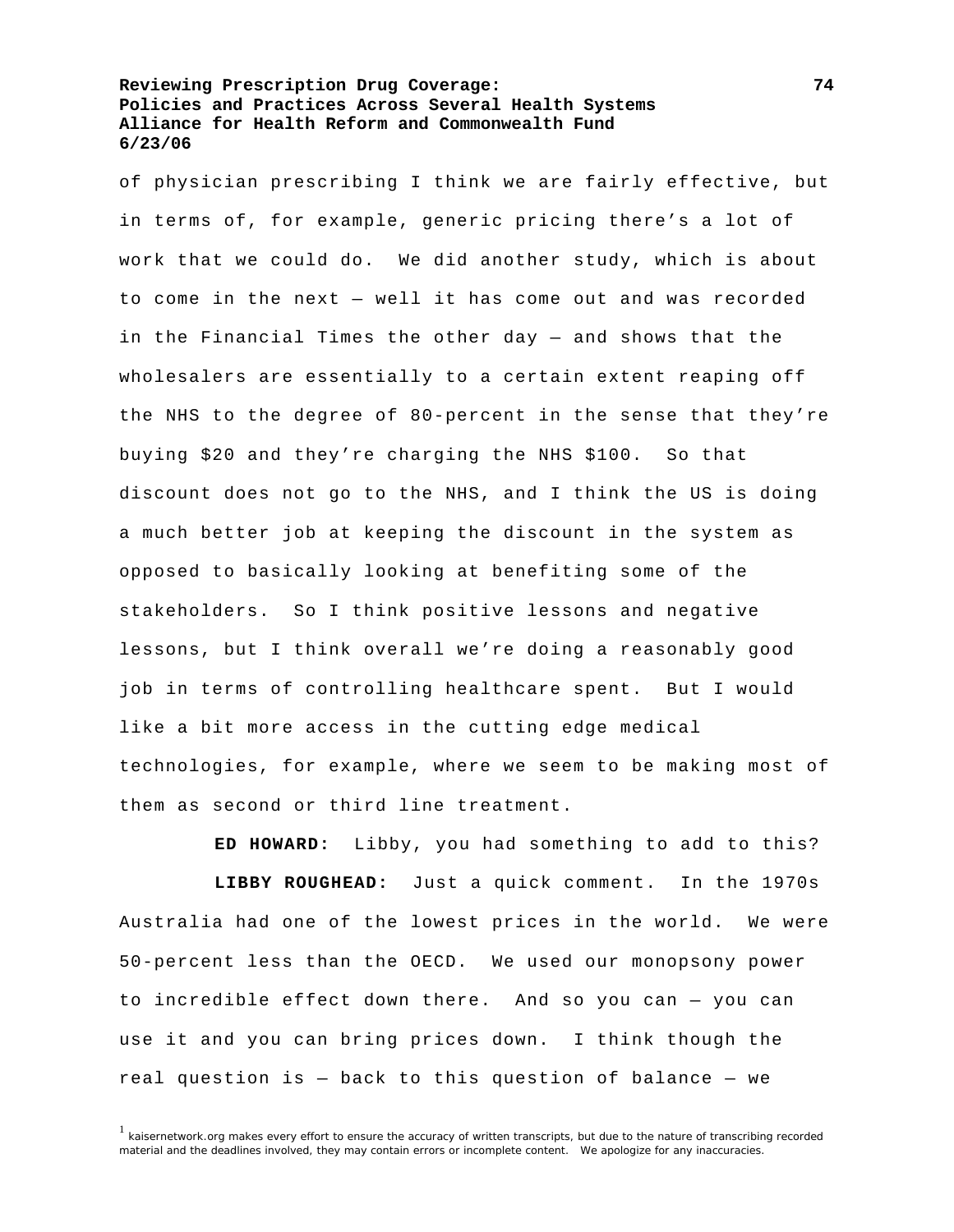of physician prescribing I think we are fairly effective, but in terms of, for example, generic pricing there's a lot of work that we could do. We did another study, which is about to come in the next — well it has come out and was recorded in the Financial Times the other day — and shows that the wholesalers are essentially to a certain extent reaping off the NHS to the degree of 80-percent in the sense that they're buying \$20 and they're charging the NHS \$100. So that discount does not go to the NHS, and I think the US is doing a much better job at keeping the discount in the system as opposed to basically looking at benefiting some of the stakeholders. So I think positive lessons and negative lessons, but I think overall we're doing a reasonably good job in terms of controlling healthcare spent. But I would like a bit more access in the cutting edge medical technologies, for example, where we seem to be making most of them as second or third line treatment.

**ED HOWARD:** Libby, you had something to add to this?

**LIBBY ROUGHEAD:** Just a quick comment. In the 1970s Australia had one of the lowest prices in the world. We were 50-percent less than the OECD. We used our monopsony power to incredible effect down there. And so you can — you can use it and you can bring prices down. I think though the real question is — back to this question of balance — we

 $1$  kaisernetwork.org makes every effort to ensure the accuracy of written transcripts, but due to the nature of transcribing recorded material and the deadlines involved, they may contain errors or incomplete content. We apologize for any inaccuracies.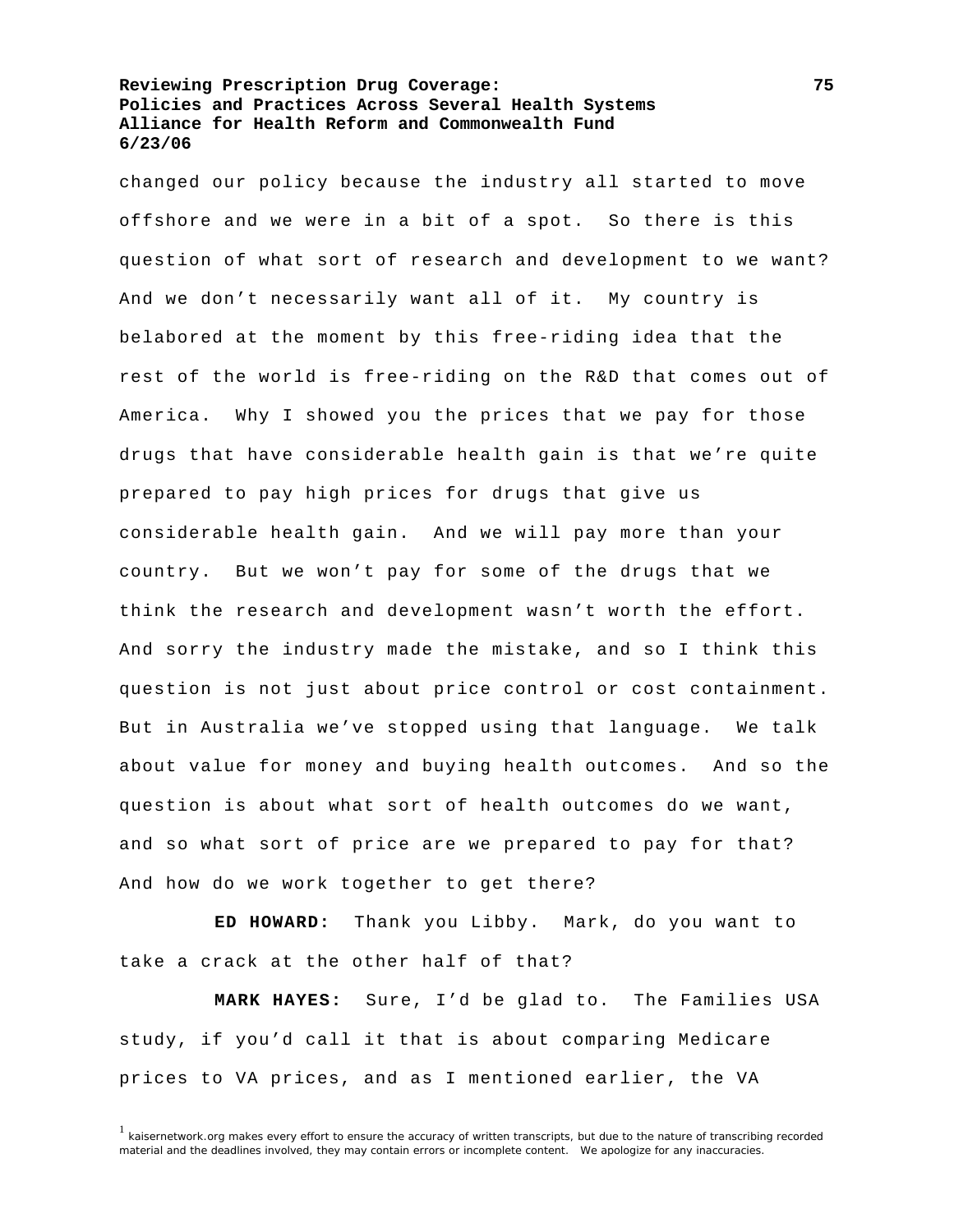changed our policy because the industry all started to move offshore and we were in a bit of a spot. So there is this question of what sort of research and development to we want? And we don't necessarily want all of it. My country is belabored at the moment by this free-riding idea that the rest of the world is free-riding on the R&D that comes out of America. Why I showed you the prices that we pay for those drugs that have considerable health gain is that we're quite prepared to pay high prices for drugs that give us considerable health gain. And we will pay more than your country. But we won't pay for some of the drugs that we think the research and development wasn't worth the effort. And sorry the industry made the mistake, and so I think this question is not just about price control or cost containment. But in Australia we've stopped using that language. We talk about value for money and buying health outcomes. And so the question is about what sort of health outcomes do we want, and so what sort of price are we prepared to pay for that? And how do we work together to get there?

**ED HOWARD:** Thank you Libby. Mark, do you want to take a crack at the other half of that?

**MARK HAYES:** Sure, I'd be glad to. The Families USA study, if you'd call it that is about comparing Medicare prices to VA prices, and as I mentioned earlier, the VA

 $1$  kaisernetwork.org makes every effort to ensure the accuracy of written transcripts, but due to the nature of transcribing recorded material and the deadlines involved, they may contain errors or incomplete content. We apologize for any inaccuracies.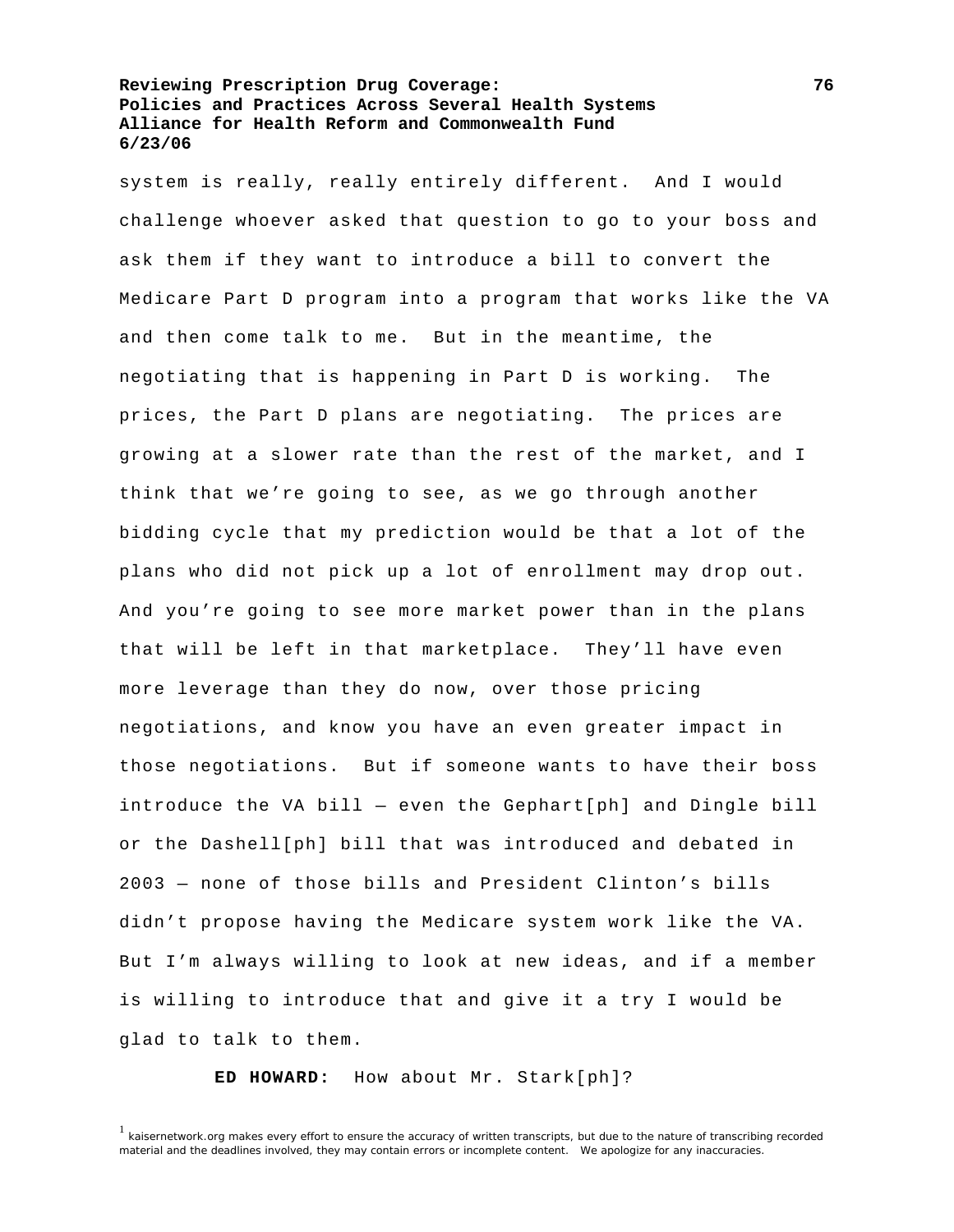system is really, really entirely different. And I would challenge whoever asked that question to go to your boss and ask them if they want to introduce a bill to convert the Medicare Part D program into a program that works like the VA and then come talk to me. But in the meantime, the negotiating that is happening in Part D is working. The prices, the Part D plans are negotiating. The prices are growing at a slower rate than the rest of the market, and I think that we're going to see, as we go through another bidding cycle that my prediction would be that a lot of the plans who did not pick up a lot of enrollment may drop out. And you're going to see more market power than in the plans that will be left in that marketplace. They'll have even more leverage than they do now, over those pricing negotiations, and know you have an even greater impact in those negotiations. But if someone wants to have their boss introduce the VA bill — even the Gephart[ph] and Dingle bill or the Dashell[ph] bill that was introduced and debated in 2003 — none of those bills and President Clinton's bills didn't propose having the Medicare system work like the VA. But I'm always willing to look at new ideas, and if a member is willing to introduce that and give it a try I would be glad to talk to them.

**ED HOWARD:** How about Mr. Stark[ph]?

<sup>&</sup>lt;sup>1</sup> kaisernetwork.org makes every effort to ensure the accuracy of written transcripts, but due to the nature of transcribing recorded material and the deadlines involved, they may contain errors or incomplete content. We apologize for any inaccuracies.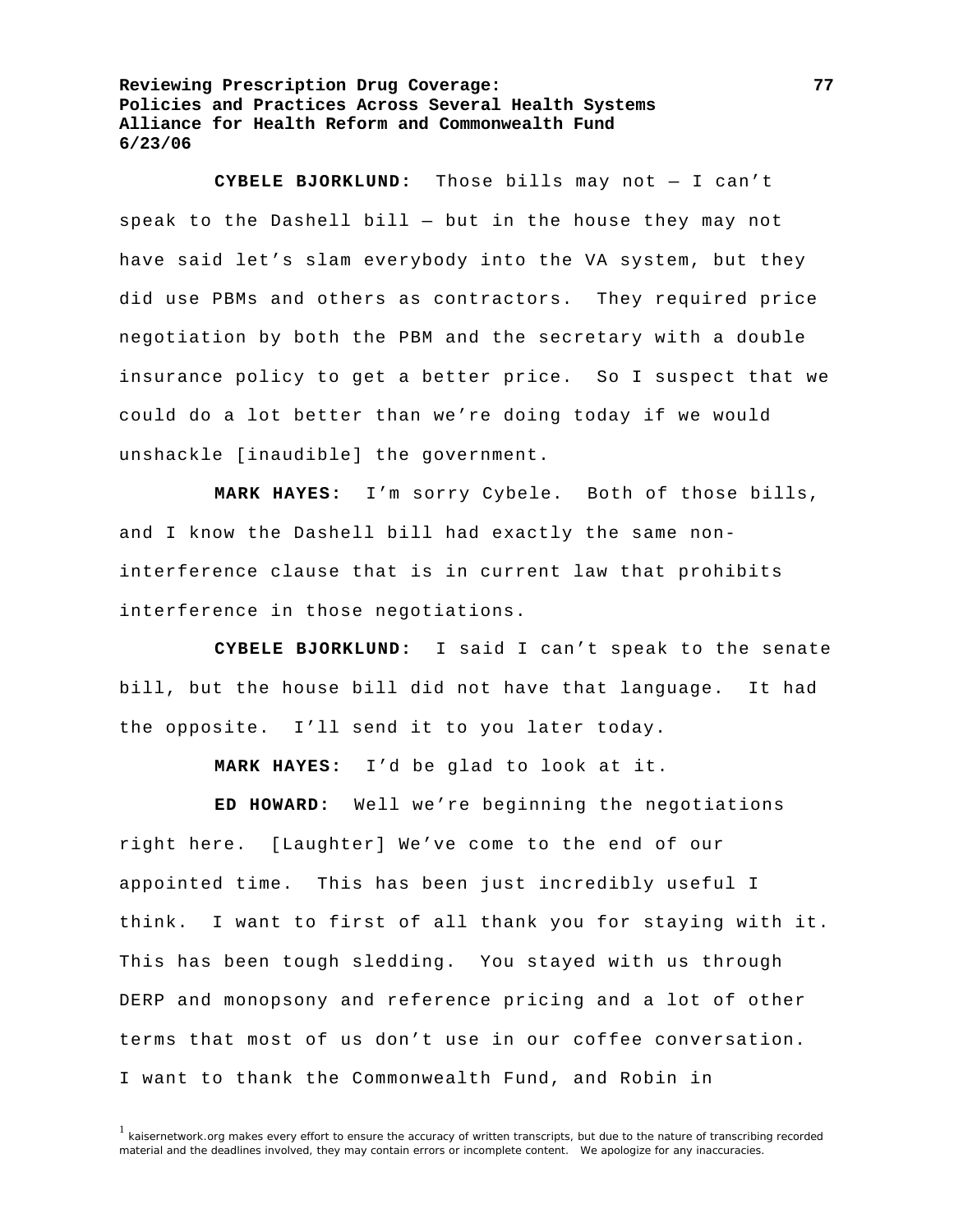**CYBELE BJORKLUND:** Those bills may not — I can't speak to the Dashell bill — but in the house they may not have said let's slam everybody into the VA system, but they did use PBMs and others as contractors. They required price negotiation by both the PBM and the secretary with a double insurance policy to get a better price. So I suspect that we could do a lot better than we're doing today if we would unshackle [inaudible] the government.

**MARK HAYES:** I'm sorry Cybele. Both of those bills, and I know the Dashell bill had exactly the same noninterference clause that is in current law that prohibits interference in those negotiations.

**CYBELE BJORKLUND:** I said I can't speak to the senate bill, but the house bill did not have that language. It had the opposite. I'll send it to you later today.

**MARK HAYES:** I'd be glad to look at it.

**ED HOWARD:** Well we're beginning the negotiations right here. [Laughter] We've come to the end of our appointed time. This has been just incredibly useful I think. I want to first of all thank you for staying with it. This has been tough sledding. You stayed with us through DERP and monopsony and reference pricing and a lot of other terms that most of us don't use in our coffee conversation. I want to thank the Commonwealth Fund, and Robin in

 $1$  kaisernetwork.org makes every effort to ensure the accuracy of written transcripts, but due to the nature of transcribing recorded material and the deadlines involved, they may contain errors or incomplete content. We apologize for any inaccuracies.